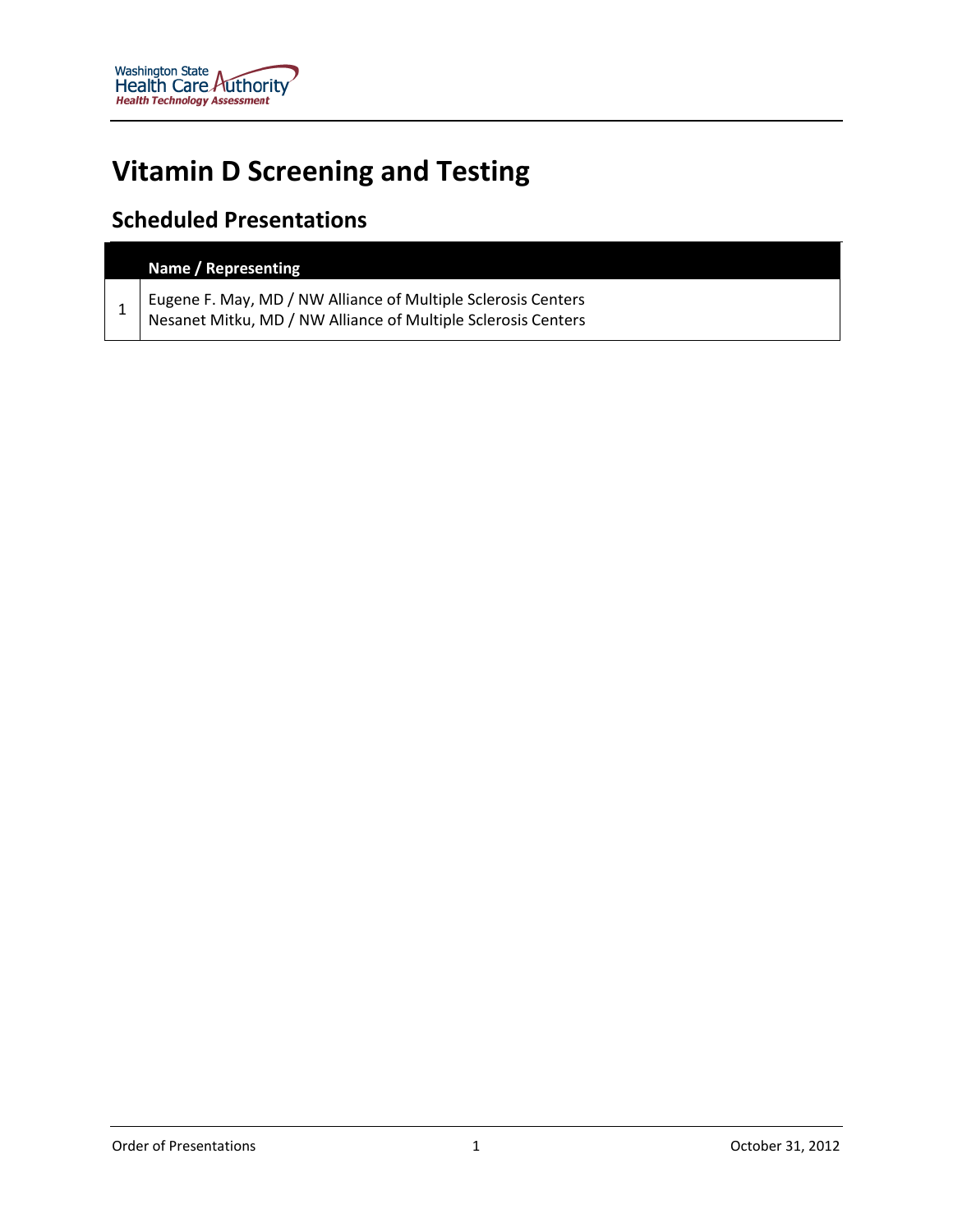# **Vitamin D Screening and Testing**

# **Scheduled Presentations**

| Name / Representing                                                                                                              |
|----------------------------------------------------------------------------------------------------------------------------------|
| Eugene F. May, MD / NW Alliance of Multiple Sclerosis Centers<br>  Nesanet Mitku, MD / NW Alliance of Multiple Sclerosis Centers |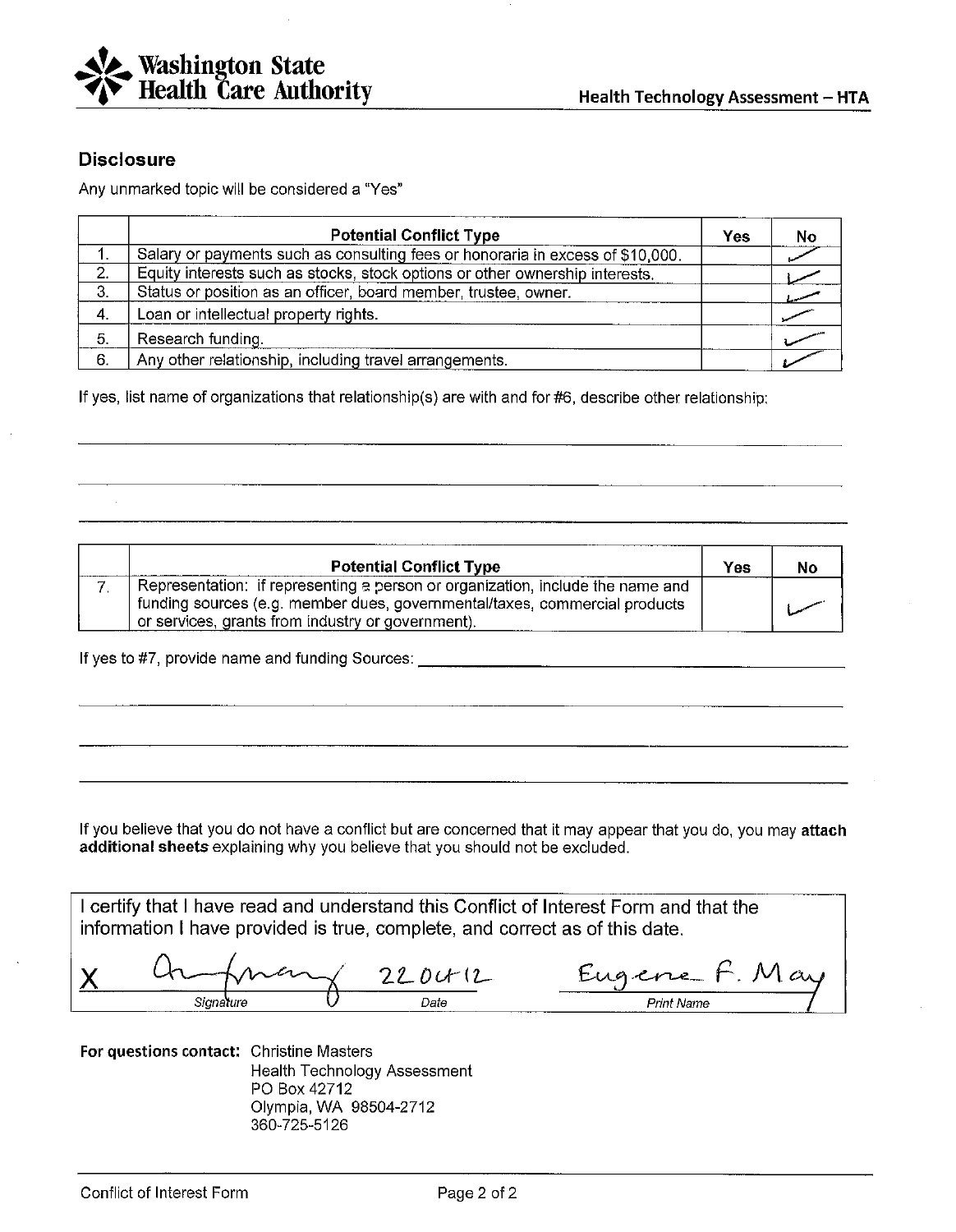

#### **Disclosure**

Any unmarked topic will be considered a "Yes"

|    | <b>Potential Conflict Type</b>                                                 | Yes | No |
|----|--------------------------------------------------------------------------------|-----|----|
|    | Salary or payments such as consulting fees or honoraria in excess of \$10,000. |     |    |
| 2. | Equity interests such as stocks, stock options or other ownership interests.   |     |    |
| 3. | Status or position as an officer, board member, trustee, owner.                |     |    |
| 4. | Loan or intellectual property rights.                                          |     |    |
| 5. | Research funding.                                                              |     |    |
| 6. | Any other relationship, including travel arrangements.                         |     |    |

If yes, list name of organizations that relationship(s) are with and for #6, describe other relationship;

| <b>Potential Conflict Type</b>                                                                                                                                                                                    | Yes | No |
|-------------------------------------------------------------------------------------------------------------------------------------------------------------------------------------------------------------------|-----|----|
| Representation: if representing a person or organization, include the name and<br>funding sources (e.g. member dues, governmental/taxes, commercial products<br>or services, grants from industry or government). |     |    |

If you believe that you do not have a conflict but are concerned that it may appear that you do, you may attach additional sheets explaining why you believe that you should not be excluded.

I certify that I have read and understand this Conflict of Interest Form and that the information I have provided is true, complete, and correct as of this date.

Eugene F. May  $220012$ Х Signature

For questions contact: Christine Masters Health Technology Assessment PO Box 42712 Olympia, WA 98504-2712 360-725-5126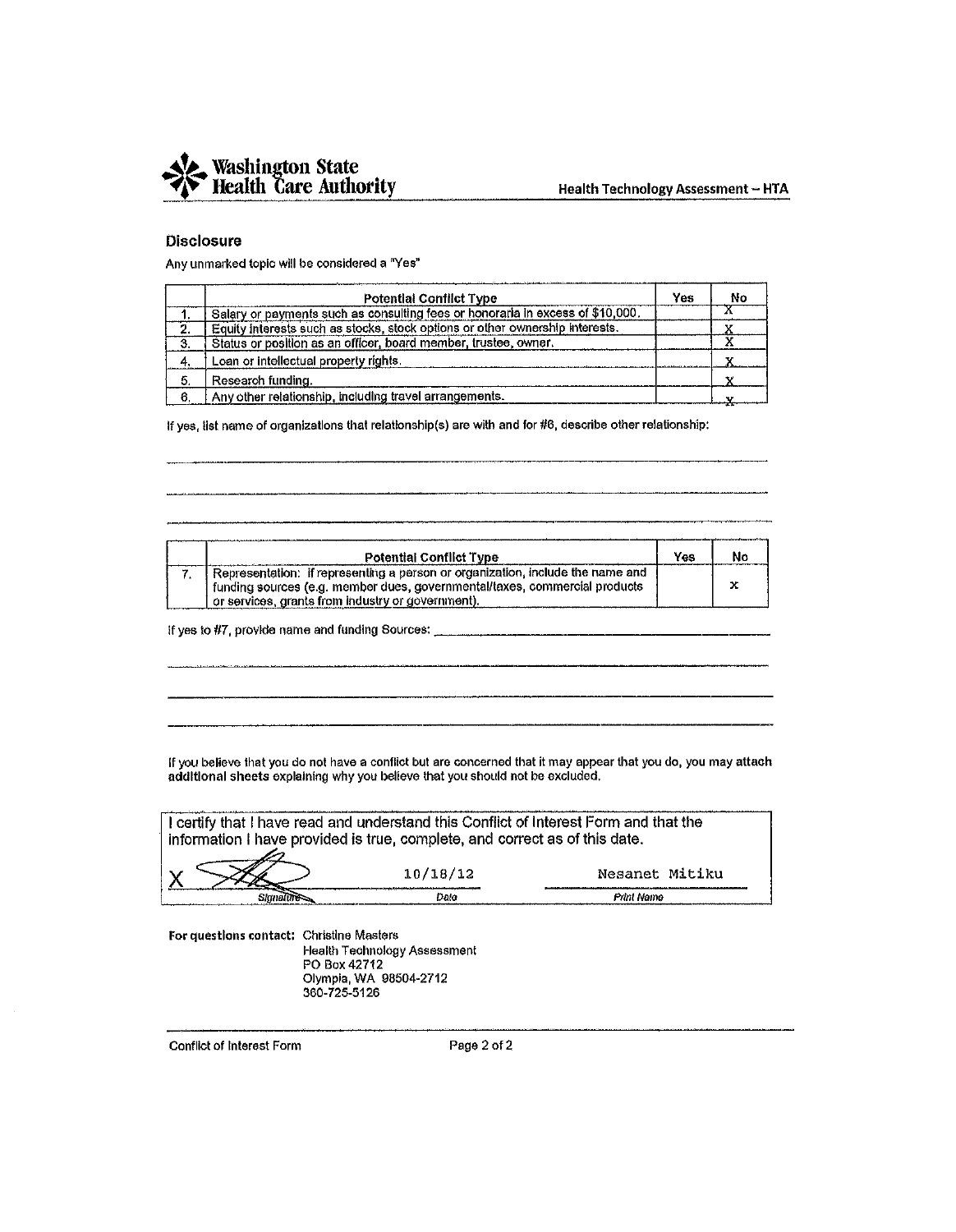

#### **Disclosure**

Any unmarked topic will be considered a "Yes"

|    | <b>Potential Conflict Type</b>                                                 | Yes | No |
|----|--------------------------------------------------------------------------------|-----|----|
|    | Salary or payments such as consulting fees or honoraria in excess of \$10,000. |     |    |
| 2. | Equity interests such as stocks, stock options or other ownership interests.   |     |    |
| 3. | Status or position as an officer, board member, trustee, owner.                |     |    |
| 4. | Loan or intellectual property rights.                                          |     |    |
| 5. | Research funding.                                                              |     |    |
| 6. | Any other relationship, including travel arrangements.                         |     |    |

If yes, list name of organizations that relationship(s) are with and for #6, describe other relationship:

| <b>Potential Conflict Type</b>                                                 | Yes | Nс |
|--------------------------------------------------------------------------------|-----|----|
| Representation: if representing a person or organization, include the name and |     |    |
| funding sources (e.g. member dues, governmental/taxes, commercial products     |     | x  |
| or services, grants from industry or government).                              |     |    |

If you believe that you do not have a conflict but are concerned that it may appear that you do, you may attach additional sheets explaining why you believe that you should not be excluded.

| I certify that I have read and understand this Conflict of Interest Form and that the<br>information I have provided is true, complete, and correct as of this date. |          |                |
|----------------------------------------------------------------------------------------------------------------------------------------------------------------------|----------|----------------|
|                                                                                                                                                                      | 10/18/12 | Nesanet Mitiku |
|                                                                                                                                                                      | ''hale   | Punt Name      |

For questions contact: Christine Masters Health Technology Assessment

PO Box 42712 Olympia, WA 98504-2712 360-725-5126

Conflict of Interest Form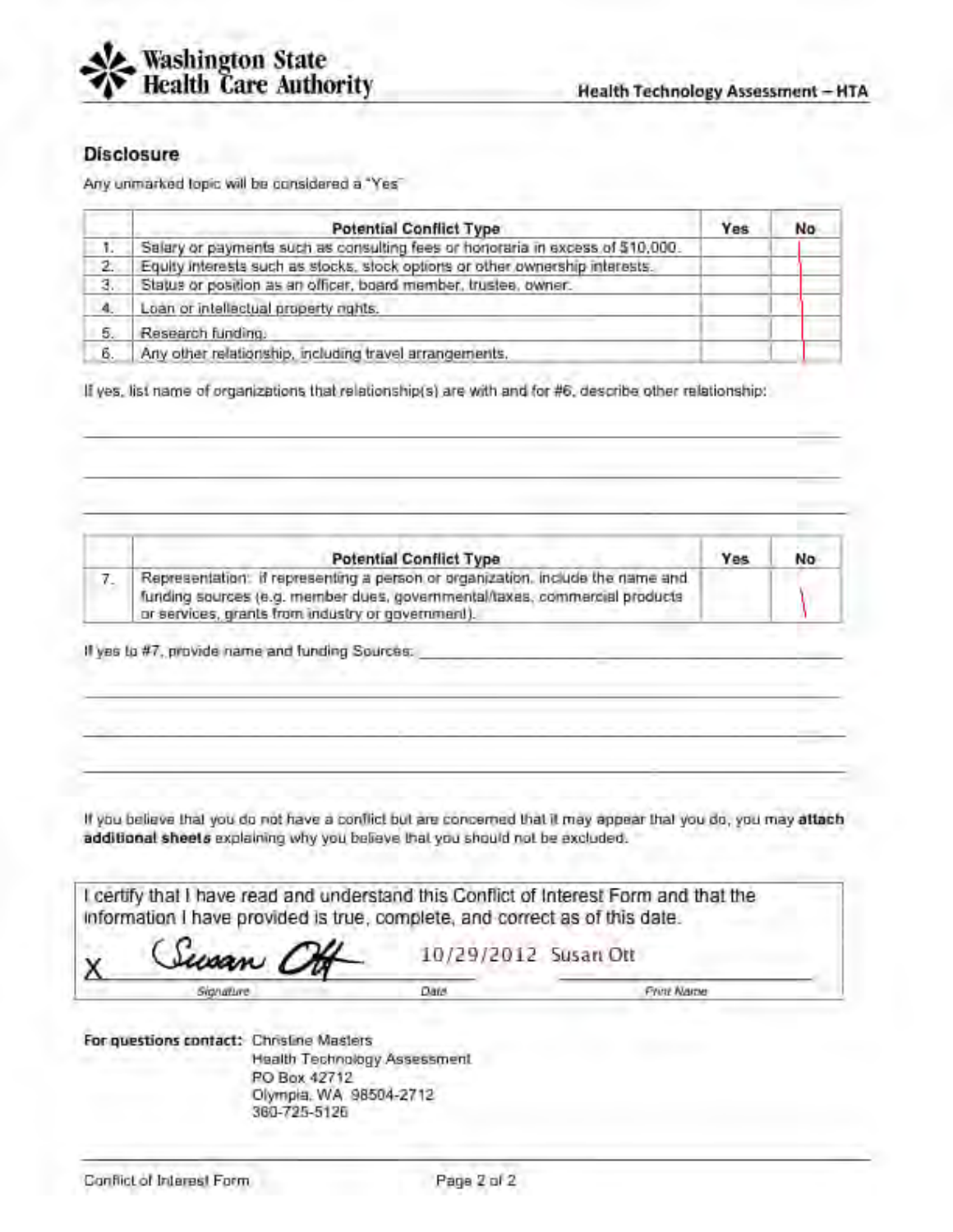

### **Disclosure**

Any unmarked topic will be considered a "Yes"

|             | <b>Potential Conflict Type</b>                                                 | Yes | No |
|-------------|--------------------------------------------------------------------------------|-----|----|
| $\Lambda$ . | Salary or payments such as consulting fees or honoraria in excess of \$10,000. |     |    |
| 2.          | Equity interests such as stocks, stock options or other ownership interests.   |     |    |
| з.          | Status or position as an officer, board member, trustee, owner.                |     |    |
| 4.          | Loan or intellectual property rights.                                          |     |    |
| 5.          | Research funding.                                                              |     |    |
| б.          | Any other relationship, including travel arrangements,                         |     |    |

If yes, list name of organizations that relationship(s) are with and for #6, describe other relationship:

| <b>Potential Conflict Type</b>                                                                                                                                                                                    | Yes | No |
|-------------------------------------------------------------------------------------------------------------------------------------------------------------------------------------------------------------------|-----|----|
| Representation: if representing a person or organization, include the name and<br>funding sources (e.g. member dues, governmental/taxes, commercial products<br>or services, grants from industry or government). |     |    |

If yes to #7, provide name and funding Sources.

If you believe that you do not have a conflict but are concerned that it may appear that you do, you may attach additional sheets explaining why you believe that you should not be excluded.

I certify that I have read and understand this Conflict of Interest Form and that the information I have provided is true, complete, and correct as of this date.

isa n

10/29/2012 Susan Ott

Signature

Date

**Frint Name** 

For questions contact: Christine Masters Health Technology Assessment PO Box 42712 Olympia, WA 98504-2712 360-725-5126

х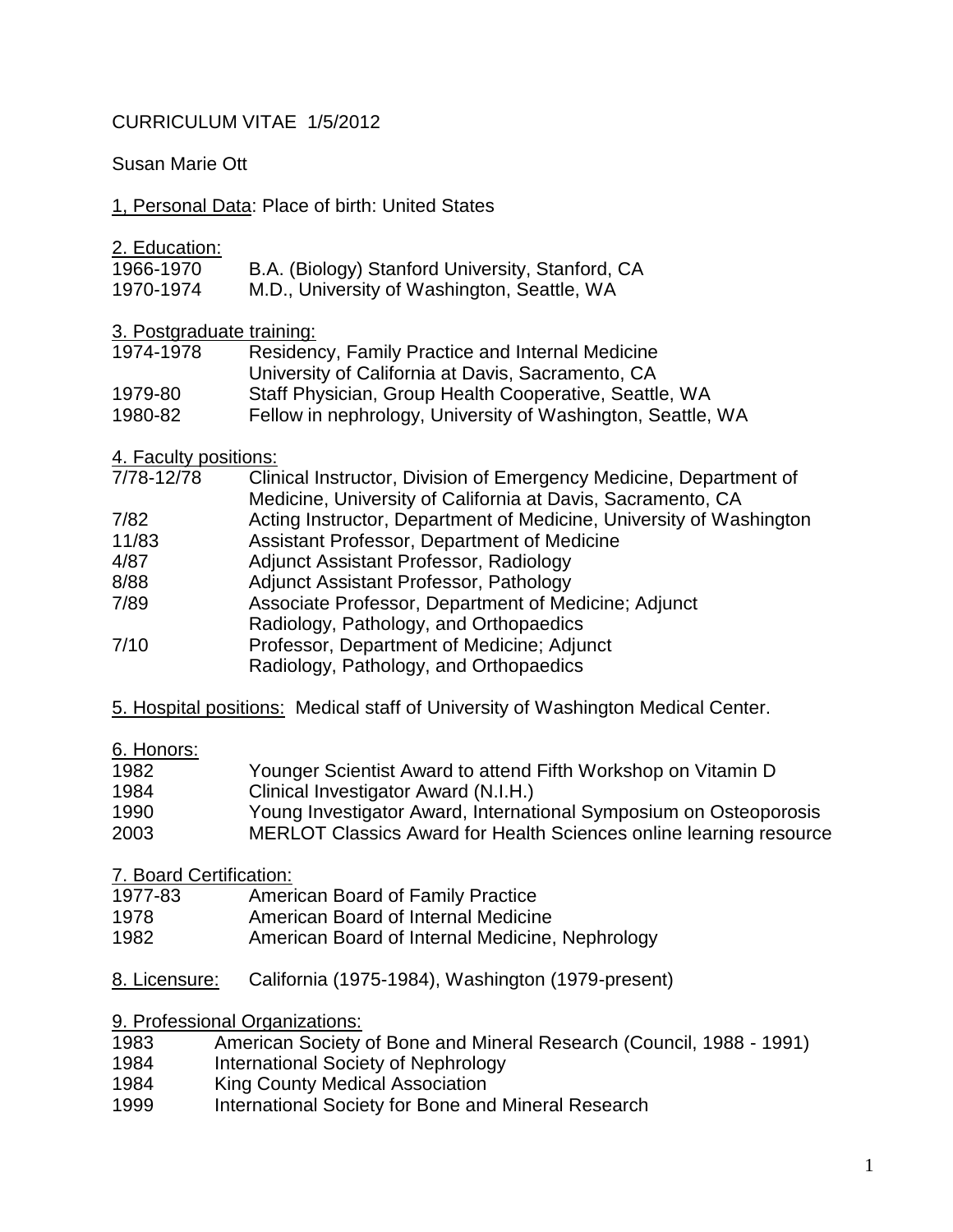# CURRICULUM VITAE 1/5/2012

Susan Marie Ott

1, Personal Data: Place of birth: United States

2. Education:

| 1966-1970   | B.A. (Biology) Stanford University, Stanford, CA        |
|-------------|---------------------------------------------------------|
| ,,,,,,,,,,, | $M \nabla$ Using the finite state $\Omega$ and $\Omega$ |

1970-1974 M.D., University of Washington, Seattle, WA

3. Postgraduate training:

| 1974-1978 | Residency, Family Practice and Internal Medicine            |
|-----------|-------------------------------------------------------------|
|           | University of California at Davis, Sacramento, CA           |
| 1979-80   | Staff Physician, Group Health Cooperative, Seattle, WA      |
| 1980-82   | Fellow in nephrology, University of Washington, Seattle, WA |

4. Faculty positions:

| 7/78-12/78 | Clinical Instructor, Division of Emergency Medicine, Department of  |
|------------|---------------------------------------------------------------------|
|            | Medicine, University of California at Davis, Sacramento, CA         |
| 7/82       | Acting Instructor, Department of Medicine, University of Washington |
| 11/83      | Assistant Professor, Department of Medicine                         |
| 4/87       | Adjunct Assistant Professor, Radiology                              |
| 8/88       | Adjunct Assistant Professor, Pathology                              |
| 7/89       | Associate Professor, Department of Medicine; Adjunct                |
|            | Radiology, Pathology, and Orthopaedics                              |
| 7/10       | Professor, Department of Medicine; Adjunct                          |
|            | Radiology, Pathology, and Orthopaedics                              |

5. Hospital positions: Medical staff of University of Washington Medical Center.

## 6. Honors:

| 1982 | Younger Scientist Award to attend Fifth Workshop on Vitamin D      |
|------|--------------------------------------------------------------------|
| 1984 | Clinical Investigator Award (N.I.H.)                               |
| 1990 | Young Investigator Award, International Symposium on Osteoporosis  |
| 2003 | MERLOT Classics Award for Health Sciences online learning resource |

7. Board Certification:

- 1977-83 American Board of Family Practice
- 1978 American Board of Internal Medicine
- 1982 American Board of Internal Medicine, Nephrology
- 8. Licensure: California (1975-1984), Washington (1979-present)

9. Professional Organizations:

- 1983 American Society of Bone and Mineral Research (Council, 1988 1991)<br>1984 International Society of Nephrology
- International Society of Nephrology
- 1984 King County Medical Association
- 1999 International Society for Bone and Mineral Research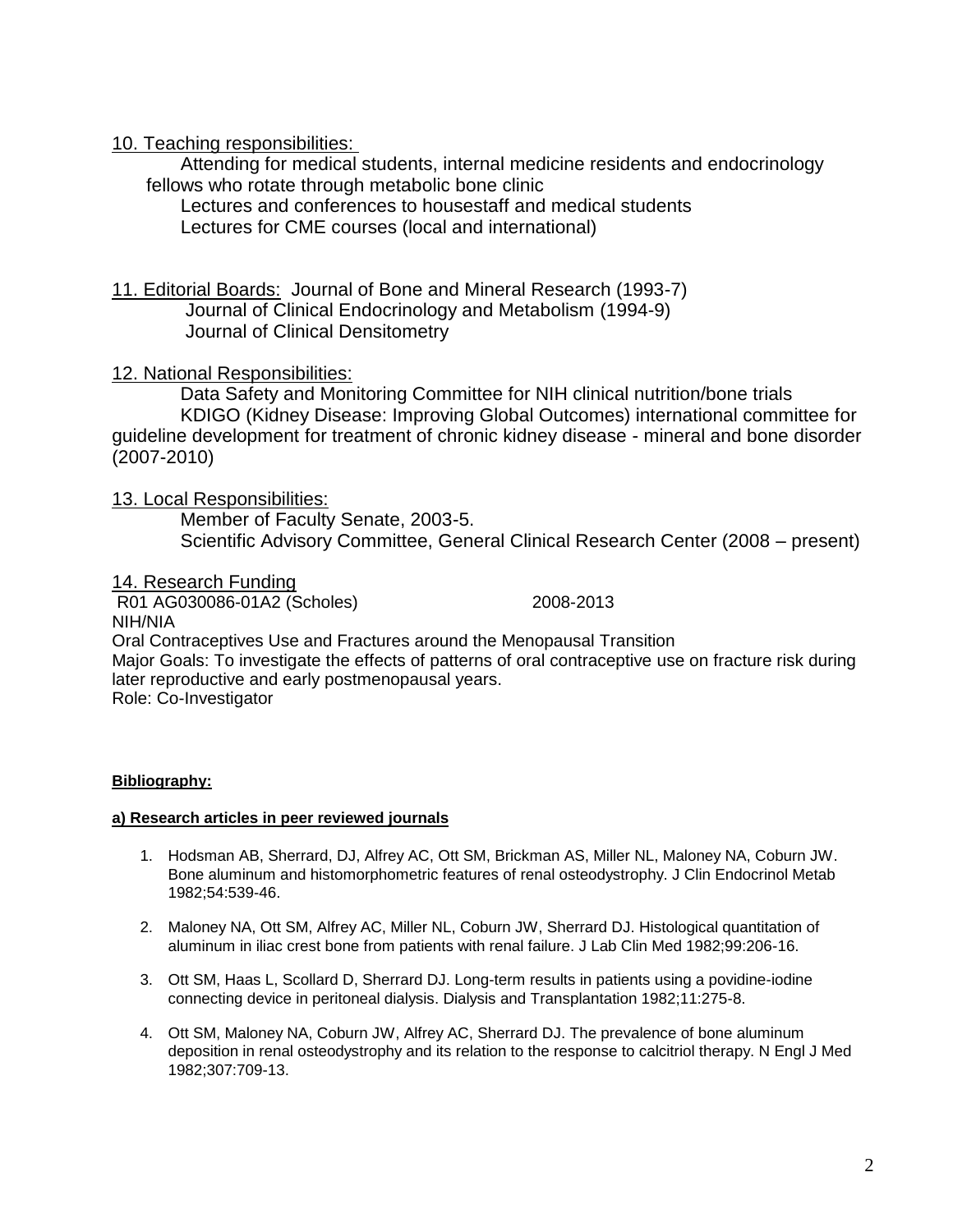### 10. Teaching responsibilities:

Attending for medical students, internal medicine residents and endocrinology fellows who rotate through metabolic bone clinic

Lectures and conferences to housestaff and medical students Lectures for CME courses (local and international)

11. Editorial Boards: Journal of Bone and Mineral Research (1993-7) Journal of Clinical Endocrinology and Metabolism (1994-9) Journal of Clinical Densitometry

### 12. National Responsibilities:

 Data Safety and Monitoring Committee for NIH clinical nutrition/bone trials KDIGO (Kidney Disease: Improving Global Outcomes) international committee for guideline development for treatment of chronic kidney disease - mineral and bone disorder (2007-2010)

### 13. Local Responsibilities:

 Member of Faculty Senate, 2003-5. Scientific Advisory Committee, General Clinical Research Center (2008 – present)

#### 14. Research Funding

 R01 AG030086-01A2 (Scholes) 2008-2013 NIH/NIA Oral Contraceptives Use and Fractures around the Menopausal Transition Major Goals: To investigate the effects of patterns of oral contraceptive use on fracture risk during later reproductive and early postmenopausal years. Role: Co-Investigator

#### **Bibliography:**

#### **a) Research articles in peer reviewed journals**

- 1. Hodsman AB, Sherrard, DJ, Alfrey AC, Ott SM, Brickman AS, Miller NL, Maloney NA, Coburn JW. Bone aluminum and histomorphometric features of renal osteodystrophy. J Clin Endocrinol Metab 1982;54:539-46.
- 2. Maloney NA, Ott SM, Alfrey AC, Miller NL, Coburn JW, Sherrard DJ. Histological quantitation of aluminum in iliac crest bone from patients with renal failure. J Lab Clin Med 1982;99:206-16.
- 3. Ott SM, Haas L, Scollard D, Sherrard DJ. Long-term results in patients using a povidine-iodine connecting device in peritoneal dialysis. Dialysis and Transplantation 1982;11:275-8.
- 4. Ott SM, Maloney NA, Coburn JW, Alfrey AC, Sherrard DJ. The prevalence of bone aluminum deposition in renal osteodystrophy and its relation to the response to calcitriol therapy. N Engl J Med 1982;307:709-13.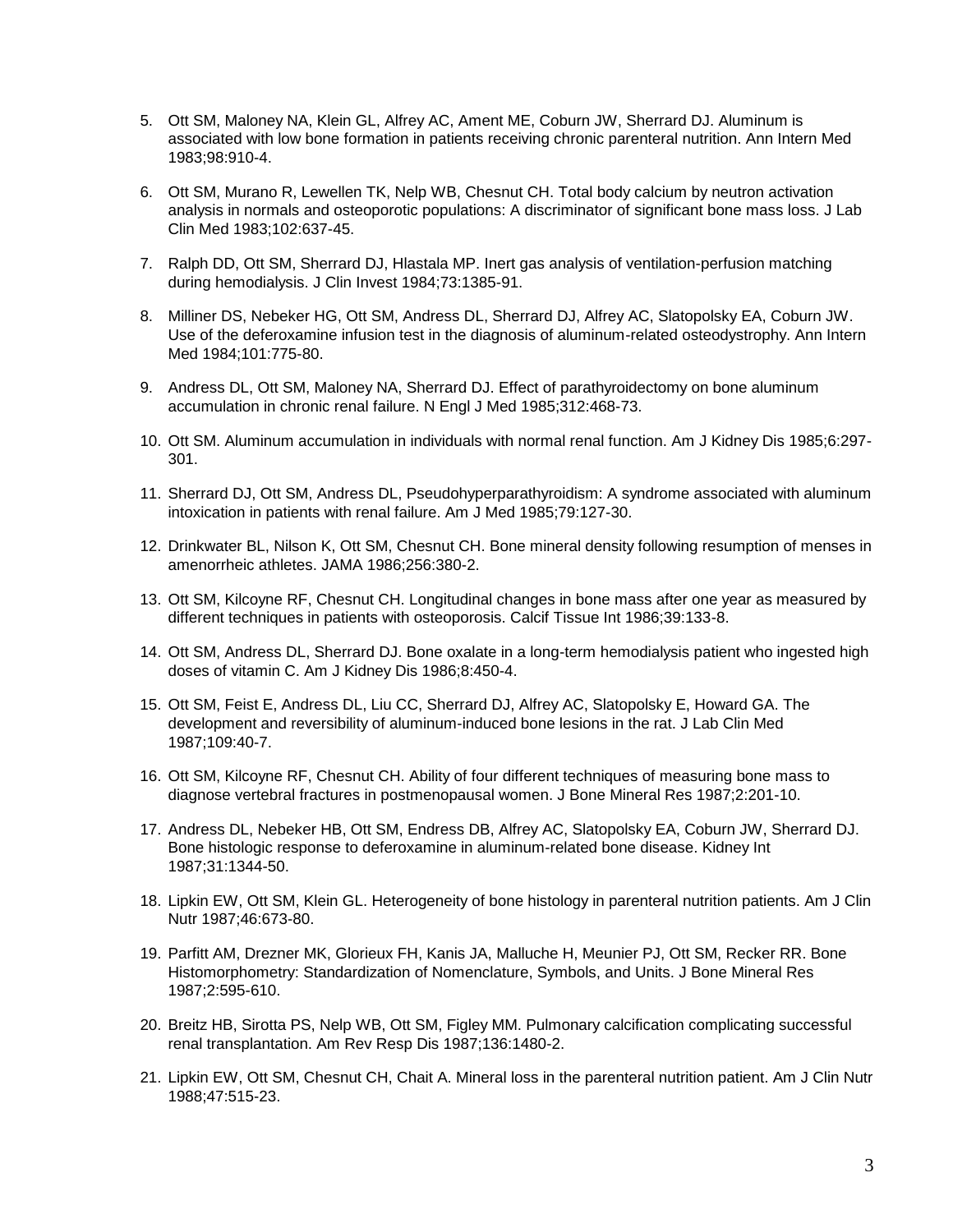- 5. Ott SM, Maloney NA, Klein GL, Alfrey AC, Ament ME, Coburn JW, Sherrard DJ. Aluminum is associated with low bone formation in patients receiving chronic parenteral nutrition. Ann Intern Med 1983;98:910-4.
- 6. Ott SM, Murano R, Lewellen TK, Nelp WB, Chesnut CH. Total body calcium by neutron activation analysis in normals and osteoporotic populations: A discriminator of significant bone mass loss. J Lab Clin Med 1983;102:637-45.
- 7. Ralph DD, Ott SM, Sherrard DJ, Hlastala MP. Inert gas analysis of ventilation-perfusion matching during hemodialysis. J Clin Invest 1984;73:1385-91.
- 8. Milliner DS, Nebeker HG, Ott SM, Andress DL, Sherrard DJ, Alfrey AC, Slatopolsky EA, Coburn JW. Use of the deferoxamine infusion test in the diagnosis of aluminum-related osteodystrophy. Ann Intern Med 1984;101:775-80.
- 9. Andress DL, Ott SM, Maloney NA, Sherrard DJ. Effect of parathyroidectomy on bone aluminum accumulation in chronic renal failure. N Engl J Med 1985;312:468-73.
- 10. Ott SM. Aluminum accumulation in individuals with normal renal function. Am J Kidney Dis 1985;6:297- 301.
- 11. Sherrard DJ, Ott SM, Andress DL, Pseudohyperparathyroidism: A syndrome associated with aluminum intoxication in patients with renal failure. Am J Med 1985;79:127-30.
- 12. Drinkwater BL, Nilson K, Ott SM, Chesnut CH. Bone mineral density following resumption of menses in amenorrheic athletes. JAMA 1986;256:380-2.
- 13. Ott SM, Kilcoyne RF, Chesnut CH. Longitudinal changes in bone mass after one year as measured by different techniques in patients with osteoporosis. Calcif Tissue Int 1986;39:133-8.
- 14. Ott SM, Andress DL, Sherrard DJ. Bone oxalate in a long-term hemodialysis patient who ingested high doses of vitamin C. Am J Kidney Dis 1986;8:450-4.
- 15. Ott SM, Feist E, Andress DL, Liu CC, Sherrard DJ, Alfrey AC, Slatopolsky E, Howard GA. The development and reversibility of aluminum-induced bone lesions in the rat. J Lab Clin Med 1987;109:40-7.
- 16. Ott SM, Kilcoyne RF, Chesnut CH. Ability of four different techniques of measuring bone mass to diagnose vertebral fractures in postmenopausal women. J Bone Mineral Res 1987;2:201-10.
- 17. Andress DL, Nebeker HB, Ott SM, Endress DB, Alfrey AC, Slatopolsky EA, Coburn JW, Sherrard DJ. Bone histologic response to deferoxamine in aluminum-related bone disease. Kidney Int 1987;31:1344-50.
- 18. Lipkin EW, Ott SM, Klein GL. Heterogeneity of bone histology in parenteral nutrition patients. Am J Clin Nutr 1987;46:673-80.
- 19. Parfitt AM, Drezner MK, Glorieux FH, Kanis JA, Malluche H, Meunier PJ, Ott SM, Recker RR. Bone Histomorphometry: Standardization of Nomenclature, Symbols, and Units. J Bone Mineral Res 1987;2:595-610.
- 20. Breitz HB, Sirotta PS, Nelp WB, Ott SM, Figley MM. Pulmonary calcification complicating successful renal transplantation. Am Rev Resp Dis 1987;136:1480-2.
- 21. Lipkin EW, Ott SM, Chesnut CH, Chait A. Mineral loss in the parenteral nutrition patient. Am J Clin Nutr 1988;47:515-23.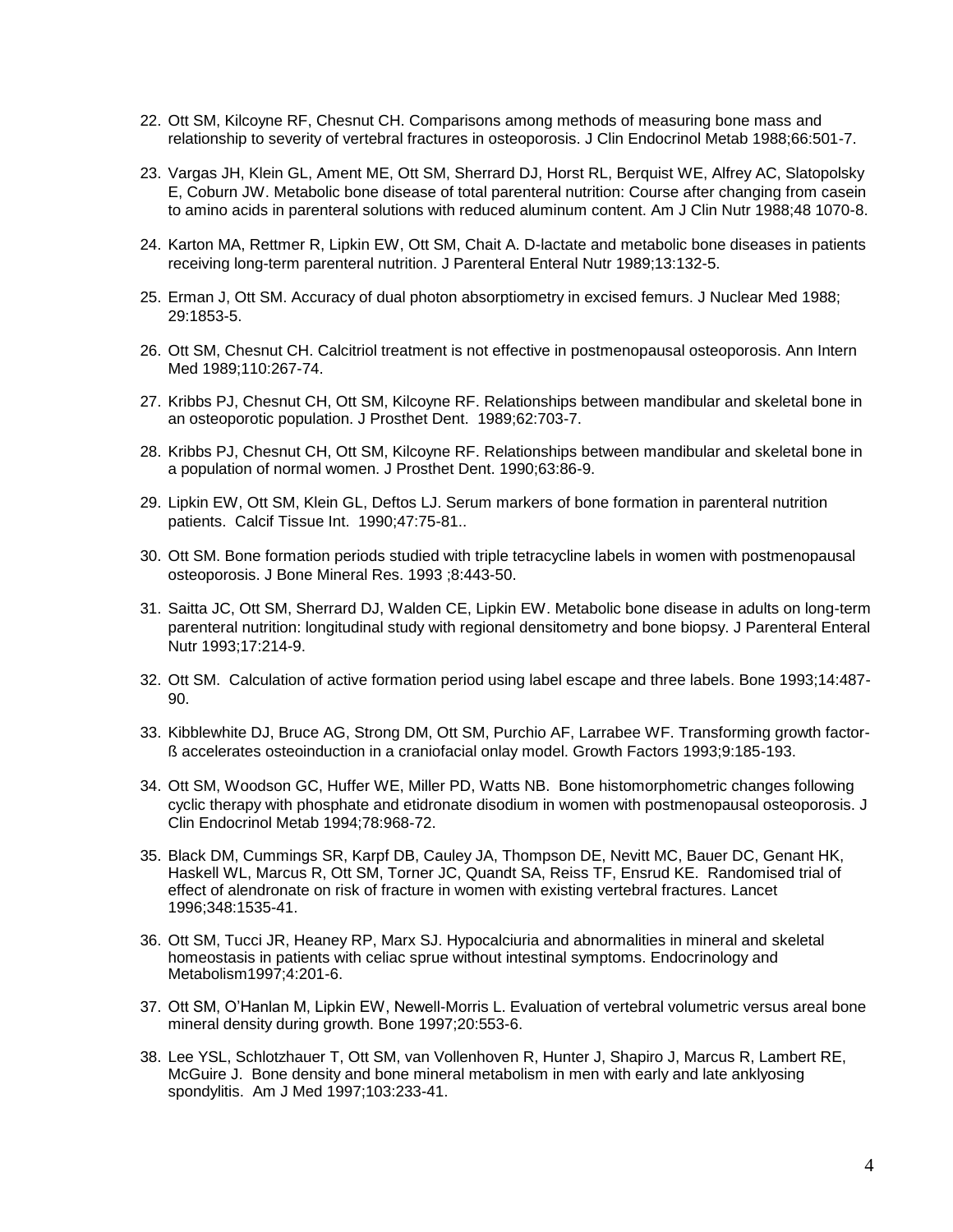- 22. Ott SM, Kilcoyne RF, Chesnut CH. Comparisons among methods of measuring bone mass and relationship to severity of vertebral fractures in osteoporosis. J Clin Endocrinol Metab 1988;66:501-7.
- 23. Vargas JH, Klein GL, Ament ME, Ott SM, Sherrard DJ, Horst RL, Berquist WE, Alfrey AC, Slatopolsky E, Coburn JW. Metabolic bone disease of total parenteral nutrition: Course after changing from casein to amino acids in parenteral solutions with reduced aluminum content. Am J Clin Nutr 1988;48 1070-8.
- 24. Karton MA, Rettmer R, Lipkin EW, Ott SM, Chait A. D-lactate and metabolic bone diseases in patients receiving long-term parenteral nutrition. J Parenteral Enteral Nutr 1989;13:132-5.
- 25. Erman J, Ott SM. Accuracy of dual photon absorptiometry in excised femurs. J Nuclear Med 1988; 29:1853-5.
- 26. Ott SM, Chesnut CH. Calcitriol treatment is not effective in postmenopausal osteoporosis. Ann Intern Med 1989;110:267-74.
- 27. Kribbs PJ, Chesnut CH, Ott SM, Kilcoyne RF. Relationships between mandibular and skeletal bone in an osteoporotic population. J Prosthet Dent. 1989;62:703-7.
- 28. Kribbs PJ, Chesnut CH, Ott SM, Kilcoyne RF. Relationships between mandibular and skeletal bone in a population of normal women. J Prosthet Dent. 1990;63:86-9.
- 29. Lipkin EW, Ott SM, Klein GL, Deftos LJ. Serum markers of bone formation in parenteral nutrition patients. Calcif Tissue Int. 1990;47:75-81..
- 30. Ott SM. Bone formation periods studied with triple tetracycline labels in women with postmenopausal osteoporosis. J Bone Mineral Res. 1993 ;8:443-50.
- 31. Saitta JC, Ott SM, Sherrard DJ, Walden CE, Lipkin EW. Metabolic bone disease in adults on long-term parenteral nutrition: longitudinal study with regional densitometry and bone biopsy. J Parenteral Enteral Nutr 1993;17:214-9.
- 32. Ott SM. Calculation of active formation period using label escape and three labels. Bone 1993;14:487- 90.
- 33. Kibblewhite DJ, Bruce AG, Strong DM, Ott SM, Purchio AF, Larrabee WF. Transforming growth factorß accelerates osteoinduction in a craniofacial onlay model. Growth Factors 1993;9:185-193.
- 34. Ott SM, Woodson GC, Huffer WE, Miller PD, Watts NB. Bone histomorphometric changes following cyclic therapy with phosphate and etidronate disodium in women with postmenopausal osteoporosis. J Clin Endocrinol Metab 1994;78:968-72.
- 35. Black DM, Cummings SR, Karpf DB, Cauley JA, Thompson DE, Nevitt MC, Bauer DC, Genant HK, Haskell WL, Marcus R, Ott SM, Torner JC, Quandt SA, Reiss TF, Ensrud KE. Randomised trial of effect of alendronate on risk of fracture in women with existing vertebral fractures. Lancet 1996;348:1535-41.
- 36. Ott SM, Tucci JR, Heaney RP, Marx SJ. Hypocalciuria and abnormalities in mineral and skeletal homeostasis in patients with celiac sprue without intestinal symptoms. Endocrinology and Metabolism1997;4:201-6.
- 37. Ott SM, O'Hanlan M, Lipkin EW, Newell-Morris L. Evaluation of vertebral volumetric versus areal bone mineral density during growth. Bone 1997;20:553-6.
- 38. Lee YSL, Schlotzhauer T, Ott SM, van Vollenhoven R, Hunter J, Shapiro J, Marcus R, Lambert RE, McGuire J. Bone density and bone mineral metabolism in men with early and late anklyosing spondylitis. Am J Med 1997;103:233-41.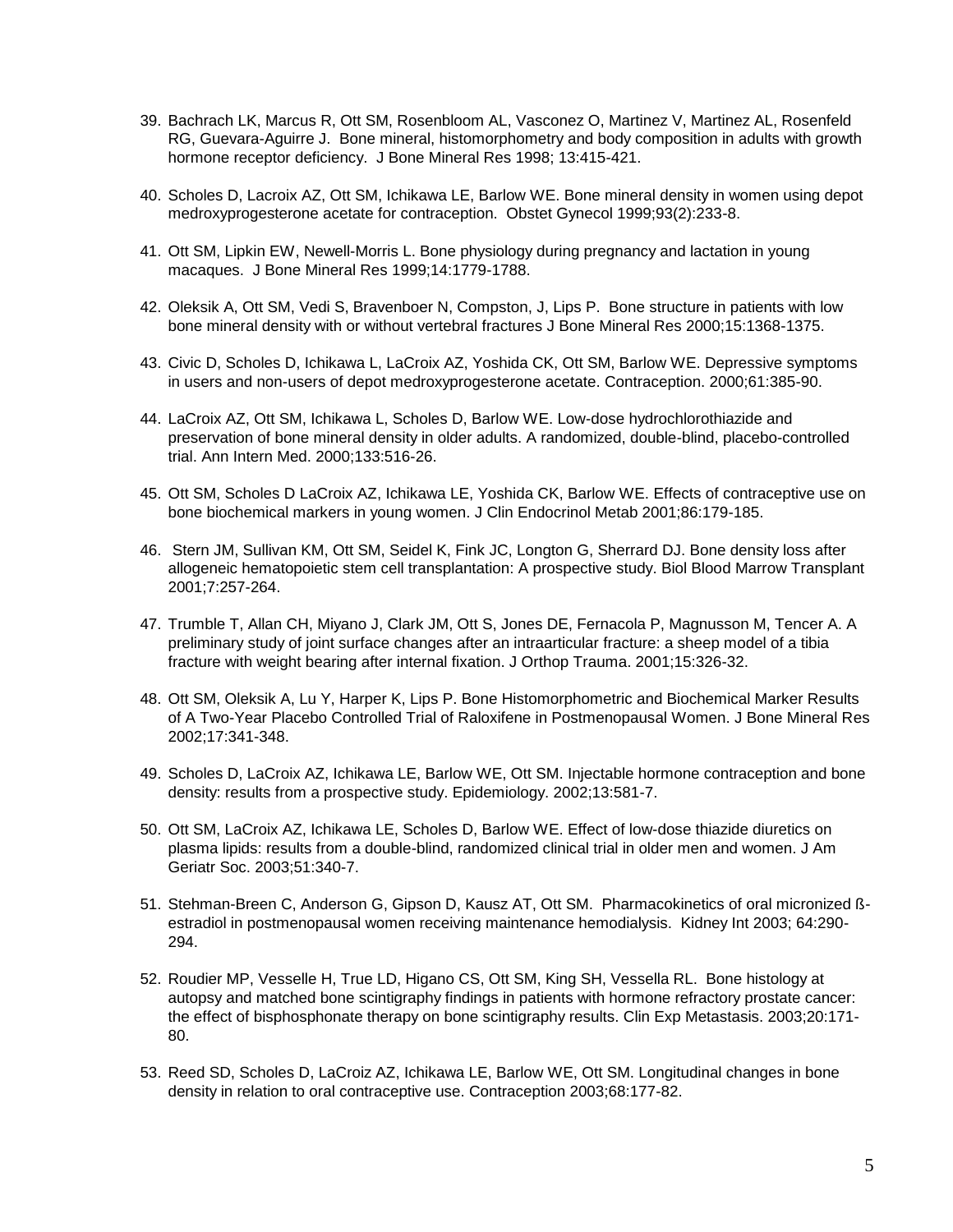- 39. Bachrach LK, Marcus R, Ott SM, Rosenbloom AL, Vasconez O, Martinez V, Martinez AL, Rosenfeld RG, Guevara-Aguirre J. Bone mineral, histomorphometry and body composition in adults with growth hormone receptor deficiency. J Bone Mineral Res 1998; 13:415-421.
- 40. Scholes D, Lacroix AZ, Ott SM, Ichikawa LE, Barlow WE. Bone mineral density in women using depot medroxyprogesterone acetate for contraception. Obstet Gynecol 1999;93(2):233-8.
- 41. Ott SM, Lipkin EW, Newell-Morris L. Bone physiology during pregnancy and lactation in young macaques. J Bone Mineral Res 1999;14:1779-1788.
- 42. Oleksik A, Ott SM, Vedi S, Bravenboer N, Compston, J, Lips P. Bone structure in patients with low bone mineral density with or without vertebral fractures J Bone Mineral Res 2000;15:1368-1375.
- 43. Civic D, Scholes D, Ichikawa L, LaCroix AZ, Yoshida CK, Ott SM, Barlow WE. Depressive symptoms in users and non-users of depot medroxyprogesterone acetate. Contraception. 2000;61:385-90.
- 44. LaCroix AZ, Ott SM, Ichikawa L, Scholes D, Barlow WE. Low-dose hydrochlorothiazide and preservation of bone mineral density in older adults. A randomized, double-blind, placebo-controlled trial. Ann Intern Med. 2000;133:516-26.
- 45. Ott SM, Scholes D LaCroix AZ, Ichikawa LE, Yoshida CK, Barlow WE. Effects of contraceptive use on bone biochemical markers in young women. J Clin Endocrinol Metab 2001;86:179-185.
- 46. Stern JM, Sullivan KM, Ott SM, Seidel K, Fink JC, Longton G, Sherrard DJ. Bone density loss after allogeneic hematopoietic stem cell transplantation: A prospective study. Biol Blood Marrow Transplant 2001;7:257-264.
- 47. Trumble T, Allan CH, Miyano J, Clark JM, Ott S, Jones DE, Fernacola P, Magnusson M, Tencer A. A preliminary study of joint surface changes after an intraarticular fracture: a sheep model of a tibia fracture with weight bearing after internal fixation. J Orthop Trauma. 2001;15:326-32.
- 48. Ott SM, Oleksik A, Lu Y, Harper K, Lips P. Bone Histomorphometric and Biochemical Marker Results of A Two-Year Placebo Controlled Trial of Raloxifene in Postmenopausal Women. J Bone Mineral Res 2002;17:341-348.
- 49. Scholes D, LaCroix AZ, Ichikawa LE, Barlow WE, Ott SM. Injectable hormone contraception and bone density: results from a prospective study. Epidemiology. 2002;13:581-7.
- 50. Ott SM, LaCroix AZ, Ichikawa LE, Scholes D, Barlow WE. Effect of low-dose thiazide diuretics on plasma lipids: results from a double-blind, randomized clinical trial in older men and women. J Am Geriatr Soc. 2003;51:340-7.
- 51. Stehman-Breen C, Anderson G, Gipson D, Kausz AT, Ott SM. Pharmacokinetics of oral micronized ßestradiol in postmenopausal women receiving maintenance hemodialysis. Kidney Int 2003; 64:290- 294.
- 52. Roudier MP, Vesselle H, True LD, Higano CS, Ott SM, King SH, Vessella RL. Bone histology at autopsy and matched bone scintigraphy findings in patients with hormone refractory prostate cancer: the effect of bisphosphonate therapy on bone scintigraphy results. Clin Exp Metastasis. 2003;20:171- 80.
- 53. Reed SD, Scholes D, LaCroiz AZ, Ichikawa LE, Barlow WE, Ott SM. Longitudinal changes in bone density in relation to oral contraceptive use. Contraception 2003;68:177-82.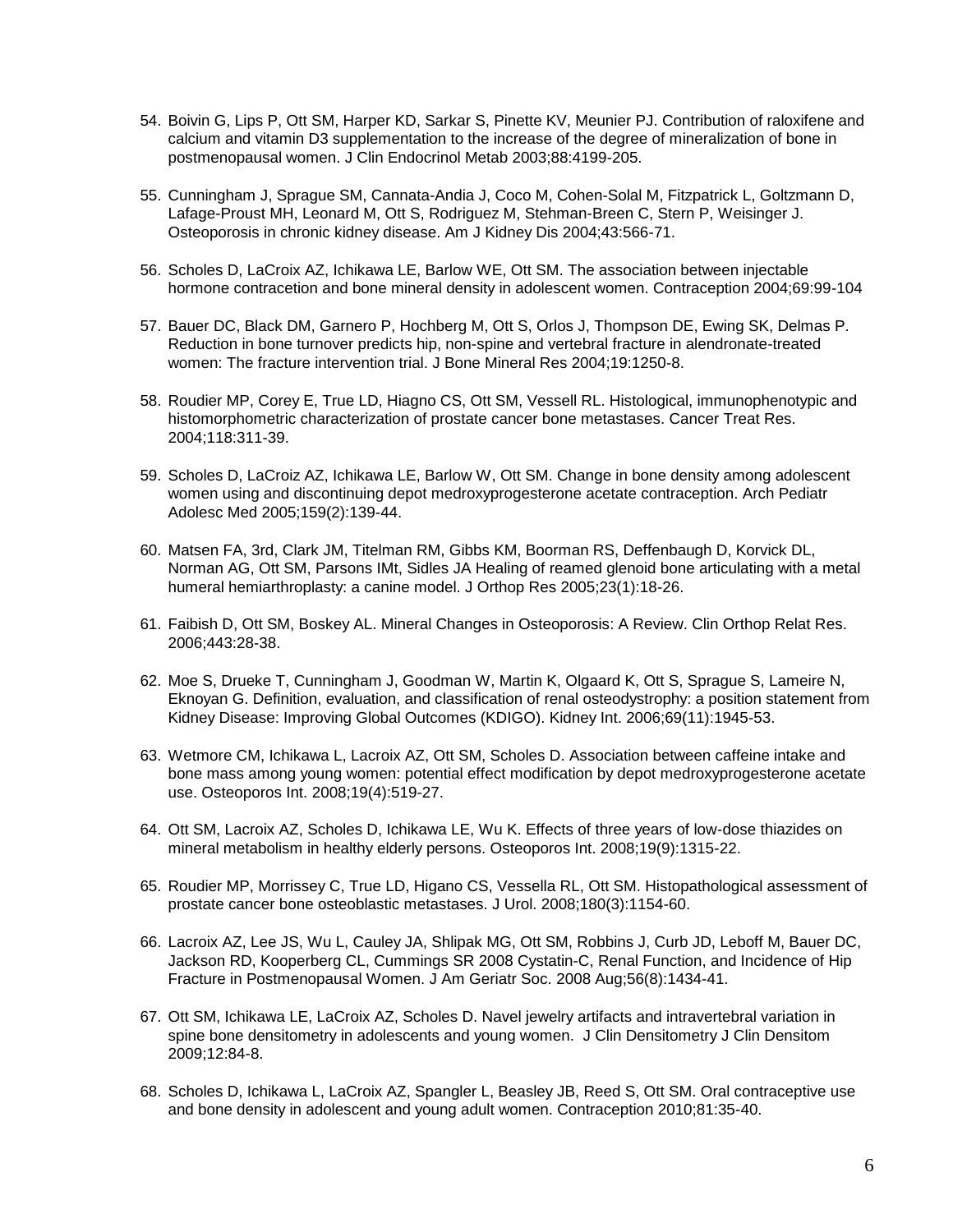- 54. Boivin G, Lips P, Ott SM, Harper KD, Sarkar S, Pinette KV, Meunier PJ. Contribution of raloxifene and calcium and vitamin D3 supplementation to the increase of the degree of mineralization of bone in postmenopausal women. J Clin Endocrinol Metab 2003;88:4199-205.
- 55. Cunningham J, Sprague SM, Cannata-Andia J, Coco M, Cohen-Solal M, Fitzpatrick L, Goltzmann D, Lafage-Proust MH, Leonard M, Ott S, Rodriguez M, Stehman-Breen C, Stern P, Weisinger J. Osteoporosis in chronic kidney disease. Am J Kidney Dis 2004;43:566-71.
- 56. Scholes D, LaCroix AZ, Ichikawa LE, Barlow WE, Ott SM. The association between injectable hormone contracetion and bone mineral density in adolescent women. Contraception 2004;69:99-104
- 57. Bauer DC, Black DM, Garnero P, Hochberg M, Ott S, Orlos J, Thompson DE, Ewing SK, Delmas P. Reduction in bone turnover predicts hip, non-spine and vertebral fracture in alendronate-treated women: The fracture intervention trial. J Bone Mineral Res 2004;19:1250-8.
- 58. Roudier MP, Corey E, True LD, Hiagno CS, Ott SM, Vessell RL. Histological, immunophenotypic and histomorphometric characterization of prostate cancer bone metastases. Cancer Treat Res. 2004;118:311-39.
- 59. Scholes D, LaCroiz AZ, Ichikawa LE, Barlow W, Ott SM. Change in bone density among adolescent women using and discontinuing depot medroxyprogesterone acetate contraception. Arch Pediatr Adolesc Med 2005;159(2):139-44.
- 60. Matsen FA, 3rd, Clark JM, Titelman RM, Gibbs KM, Boorman RS, Deffenbaugh D, Korvick DL, Norman AG, Ott SM, Parsons IMt, Sidles JA Healing of reamed glenoid bone articulating with a metal humeral hemiarthroplasty: a canine model. J Orthop Res 2005;23(1):18-26.
- 61. Faibish D, Ott SM, Boskey AL. Mineral Changes in Osteoporosis: A Review. Clin Orthop Relat Res. 2006;443:28-38.
- 62. Moe S, Drueke T, Cunningham J, Goodman W, Martin K, Olgaard K, Ott S, Sprague S, Lameire N, Eknoyan G. Definition, evaluation, and classification of renal osteodystrophy: a position statement from Kidney Disease: Improving Global Outcomes (KDIGO). Kidney Int. 2006;69(11):1945-53.
- 63. Wetmore CM, Ichikawa L, Lacroix AZ, Ott SM, Scholes D. Association between caffeine intake and bone mass among young women: potential effect modification by depot medroxyprogesterone acetate use. Osteoporos Int. 2008;19(4):519-27.
- 64. Ott SM, Lacroix AZ, Scholes D, Ichikawa LE, Wu K. Effects of three years of low-dose thiazides on mineral metabolism in healthy elderly persons. Osteoporos Int. 2008;19(9):1315-22.
- 65. Roudier MP, Morrissey C, True LD, Higano CS, Vessella RL, Ott SM. Histopathological assessment of prostate cancer bone osteoblastic metastases. J Urol. 2008;180(3):1154-60.
- 66. Lacroix AZ, Lee JS, Wu L, Cauley JA, Shlipak MG, Ott SM, Robbins J, Curb JD, Leboff M, Bauer DC, Jackson RD, Kooperberg CL, Cummings SR 2008 Cystatin-C, Renal Function, and Incidence of Hip Fracture in Postmenopausal Women. J Am Geriatr Soc. 2008 Aug;56(8):1434-41.
- 67. Ott SM, Ichikawa LE, LaCroix AZ, Scholes D. Navel jewelry artifacts and intravertebral variation in spine bone densitometry in adolescents and young women. J Clin Densitometry J Clin Densitom 2009;12:84-8.
- 68. Scholes D, Ichikawa L, LaCroix AZ, Spangler L, Beasley JB, Reed S, Ott SM. Oral contraceptive use and bone density in adolescent and young adult women. Contraception 2010;81:35-40.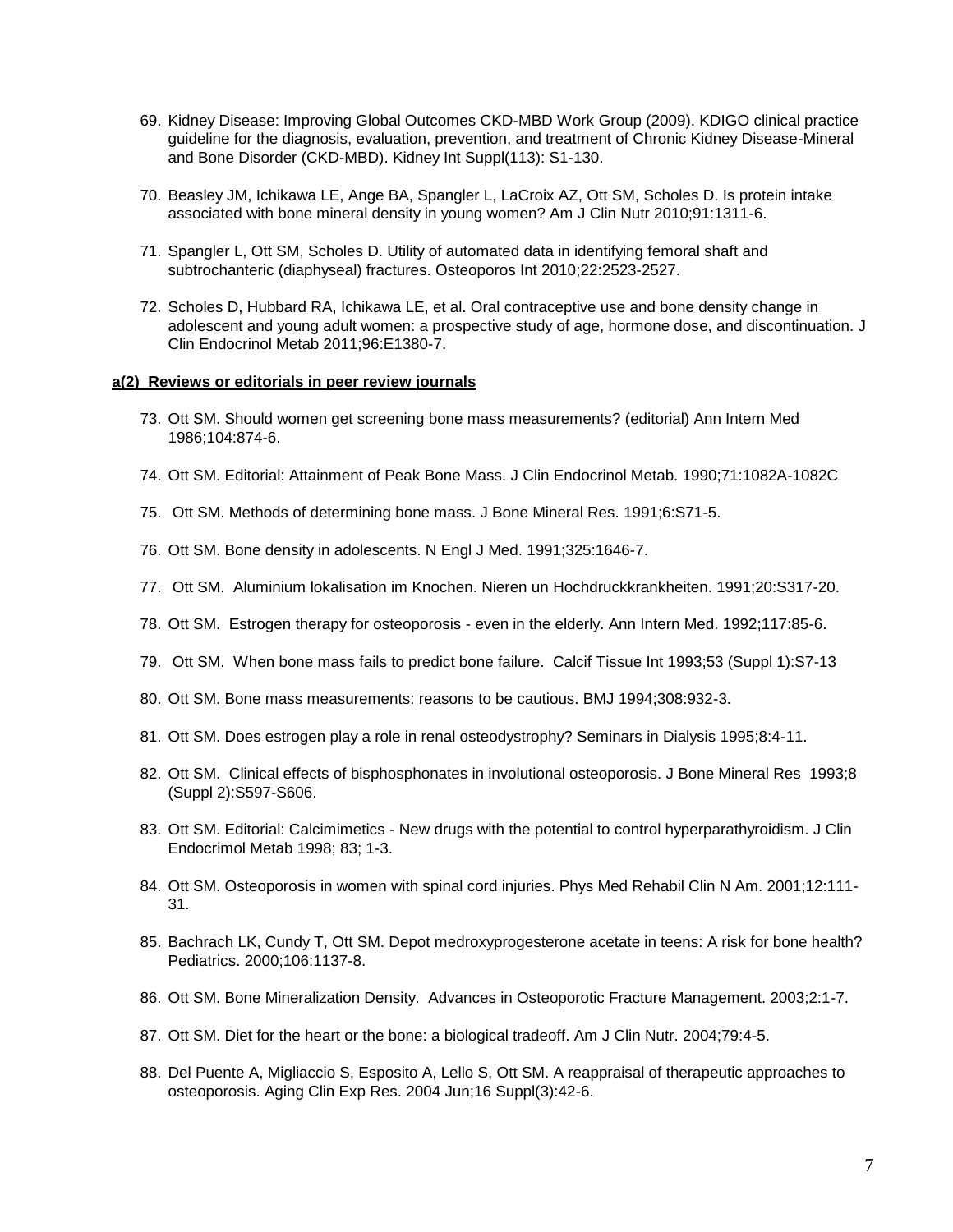- 69. Kidney Disease: Improving Global Outcomes CKD-MBD Work Group (2009). KDIGO clinical practice guideline for the diagnosis, evaluation, prevention, and treatment of Chronic Kidney Disease-Mineral and Bone Disorder (CKD-MBD). Kidney Int Suppl(113): S1-130.
- 70. Beasley JM, Ichikawa LE, Ange BA, Spangler L, LaCroix AZ, Ott SM, Scholes D. Is protein intake associated with bone mineral density in young women? Am J Clin Nutr 2010;91:1311-6.
- 71. Spangler L, Ott SM, Scholes D. Utility of automated data in identifying femoral shaft and subtrochanteric (diaphyseal) fractures. Osteoporos Int 2010;22:2523-2527.
- 72. Scholes D, Hubbard RA, Ichikawa LE, et al. Oral contraceptive use and bone density change in adolescent and young adult women: a prospective study of age, hormone dose, and discontinuation. J Clin Endocrinol Metab 2011;96:E1380-7.

#### **a(2) Reviews or editorials in peer review journals**

- 73. Ott SM. Should women get screening bone mass measurements? (editorial) Ann Intern Med 1986;104:874-6.
- 74. Ott SM. Editorial: Attainment of Peak Bone Mass. J Clin Endocrinol Metab. 1990;71:1082A-1082C
- 75. Ott SM. Methods of determining bone mass. J Bone Mineral Res. 1991;6:S71-5.
- 76. Ott SM. Bone density in adolescents. N Engl J Med. 1991;325:1646-7.
- 77. Ott SM. Aluminium lokalisation im Knochen. Nieren un Hochdruckkrankheiten. 1991;20:S317-20.
- 78. Ott SM. Estrogen therapy for osteoporosis even in the elderly. Ann Intern Med. 1992;117:85-6.
- 79. Ott SM. When bone mass fails to predict bone failure. Calcif Tissue Int 1993;53 (Suppl 1):S7-13
- 80. Ott SM. Bone mass measurements: reasons to be cautious. BMJ 1994;308:932-3.
- 81. Ott SM. Does estrogen play a role in renal osteodystrophy? Seminars in Dialysis 1995;8:4-11.
- 82. Ott SM. Clinical effects of bisphosphonates in involutional osteoporosis. J Bone Mineral Res 1993;8 (Suppl 2):S597-S606.
- 83. Ott SM. Editorial: Calcimimetics New drugs with the potential to control hyperparathyroidism. J Clin Endocrimol Metab 1998; 83; 1-3.
- 84. Ott SM. Osteoporosis in women with spinal cord injuries. Phys Med Rehabil Clin N Am. 2001;12:111- 31.
- 85. Bachrach LK, Cundy T, Ott SM. Depot medroxyprogesterone acetate in teens: A risk for bone health? Pediatrics. 2000;106:1137-8.
- 86. Ott SM. Bone Mineralization Density. Advances in Osteoporotic Fracture Management. 2003;2:1-7.
- 87. Ott SM. Diet for the heart or the bone: a biological tradeoff. Am J Clin Nutr. 2004;79:4-5.
- 88. Del Puente A, Migliaccio S, Esposito A, Lello S, Ott SM. A reappraisal of therapeutic approaches to osteoporosis. Aging Clin Exp Res. 2004 Jun;16 Suppl(3):42-6.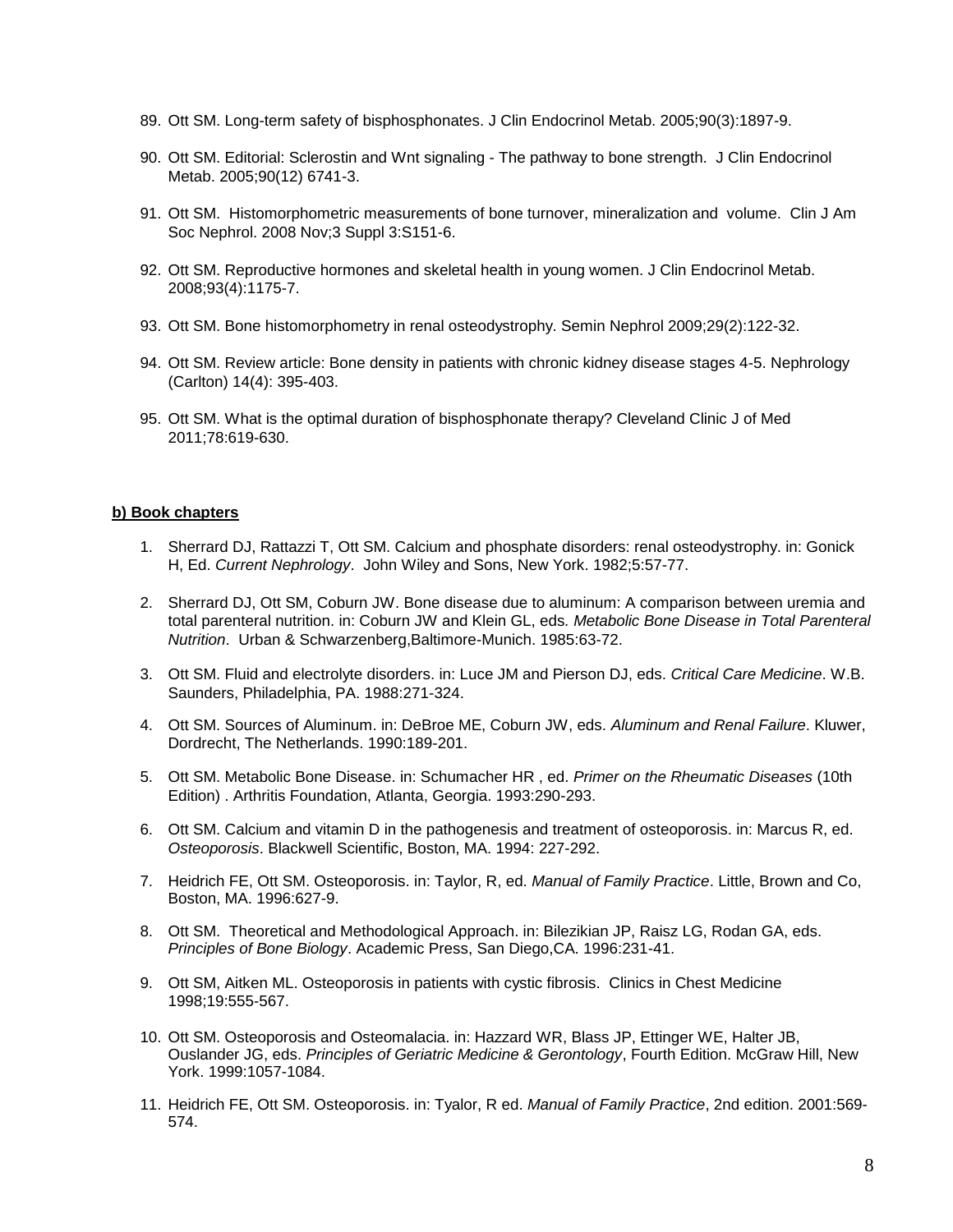- 89. Ott SM. Long-term safety of bisphosphonates. J Clin Endocrinol Metab. 2005;90(3):1897-9.
- 90. Ott SM. Editorial: Sclerostin and Wnt signaling The pathway to bone strength. J Clin Endocrinol Metab. 2005;90(12) 6741-3.
- 91. Ott SM. Histomorphometric measurements of bone turnover, mineralization and volume. Clin J Am Soc Nephrol. 2008 Nov;3 Suppl 3:S151-6.
- 92. Ott SM. Reproductive hormones and skeletal health in young women. J Clin Endocrinol Metab. 2008;93(4):1175-7.
- 93. Ott SM. Bone histomorphometry in renal osteodystrophy. Semin Nephrol 2009;29(2):122-32.
- 94. Ott SM. Review article: Bone density in patients with chronic kidney disease stages 4-5. Nephrology (Carlton) 14(4): 395-403.
- 95. Ott SM. What is the optimal duration of bisphosphonate therapy? Cleveland Clinic J of Med 2011;78:619-630.

#### **b) Book chapters**

- 1. Sherrard DJ, Rattazzi T, Ott SM. Calcium and phosphate disorders: renal osteodystrophy. in: Gonick H, Ed. *Current Nephrology*. John Wiley and Sons, New York. 1982;5:57-77.
- 2. Sherrard DJ, Ott SM, Coburn JW. Bone disease due to aluminum: A comparison between uremia and total parenteral nutrition. in: Coburn JW and Klein GL, eds*. Metabolic Bone Disease in Total Parenteral Nutrition*. Urban & Schwarzenberg,Baltimore-Munich. 1985:63-72.
- 3. Ott SM. Fluid and electrolyte disorders. in: Luce JM and Pierson DJ, eds. *Critical Care Medicine*. W.B. Saunders, Philadelphia, PA. 1988:271-324.
- 4. Ott SM. Sources of Aluminum. in: DeBroe ME, Coburn JW, eds. *Aluminum and Renal Failure*. Kluwer, Dordrecht, The Netherlands. 1990:189-201.
- 5. Ott SM. Metabolic Bone Disease. in: Schumacher HR , ed. *Primer on the Rheumatic Diseases* (10th Edition) . Arthritis Foundation, Atlanta, Georgia. 1993:290-293.
- 6. Ott SM. Calcium and vitamin D in the pathogenesis and treatment of osteoporosis. in: Marcus R, ed. *Osteoporosis*. Blackwell Scientific, Boston, MA. 1994: 227-292.
- 7. Heidrich FE, Ott SM. Osteoporosis. in: Taylor, R, ed. *Manual of Family Practice*. Little, Brown and Co, Boston, MA. 1996:627-9.
- 8. Ott SM. Theoretical and Methodological Approach. in: Bilezikian JP, Raisz LG, Rodan GA, eds. *Principles of Bone Biology*. Academic Press, San Diego,CA. 1996:231-41.
- 9. Ott SM, Aitken ML. Osteoporosis in patients with cystic fibrosis. Clinics in Chest Medicine 1998;19:555-567.
- 10. Ott SM. Osteoporosis and Osteomalacia. in: Hazzard WR, Blass JP, Ettinger WE, Halter JB, Ouslander JG, eds. *Principles of Geriatric Medicine & Gerontology*, Fourth Edition. McGraw Hill, New York. 1999:1057-1084.
- 11. Heidrich FE, Ott SM. Osteoporosis. in: Tyalor, R ed. *Manual of Family Practice*, 2nd edition. 2001:569- 574.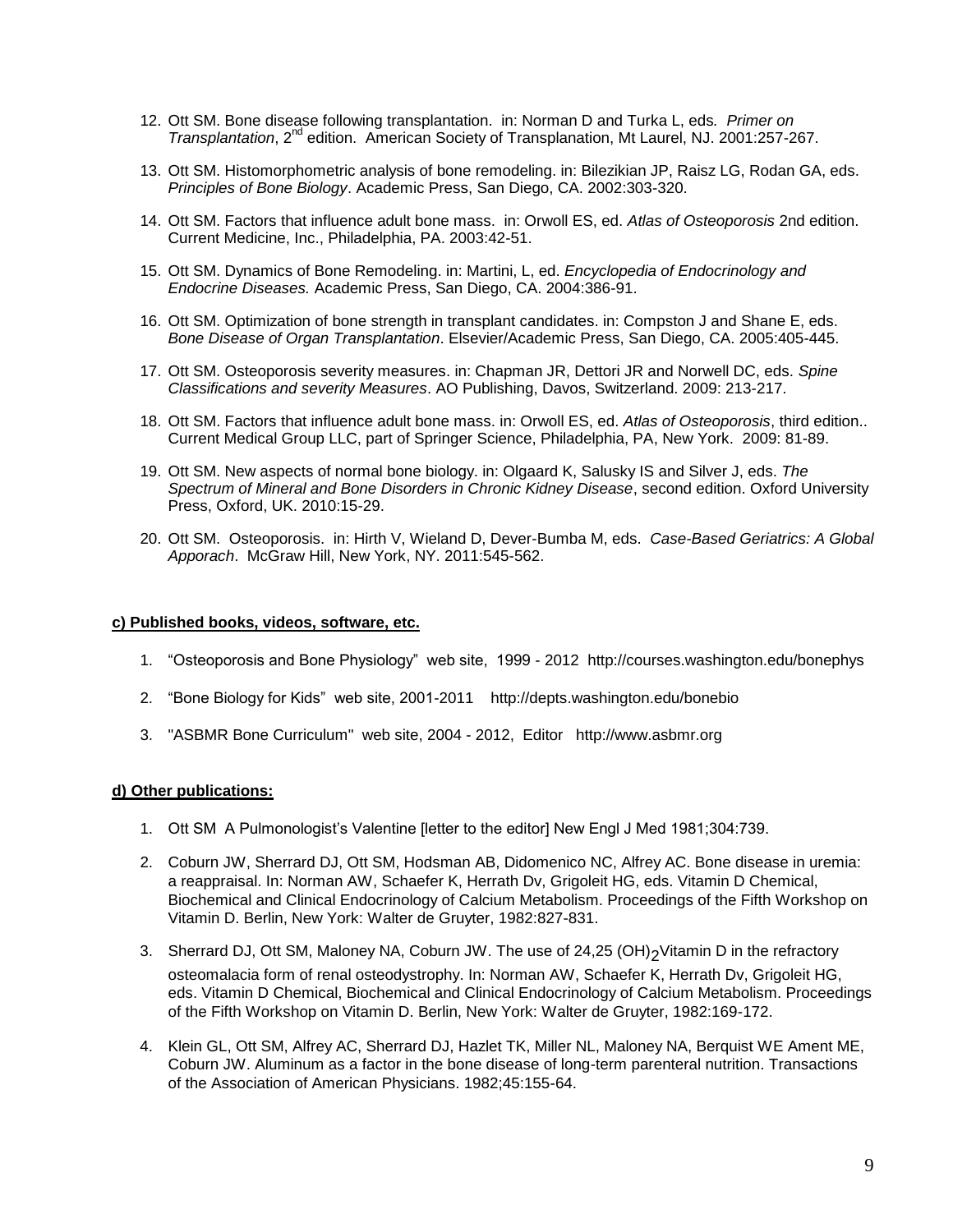- 12. Ott SM. Bone disease following transplantation. in: Norman D and Turka L, eds*. Primer on Transplantation*, 2nd edition. American Society of Transplanation, Mt Laurel, NJ. 2001:257-267.
- 13. Ott SM. Histomorphometric analysis of bone remodeling. in: Bilezikian JP, Raisz LG, Rodan GA, eds. *Principles of Bone Biology*. Academic Press, San Diego, CA. 2002:303-320.
- 14. Ott SM. Factors that influence adult bone mass. in: Orwoll ES, ed. *Atlas of Osteoporosis* 2nd edition. Current Medicine, Inc., Philadelphia, PA. 2003:42-51.
- 15. Ott SM. Dynamics of Bone Remodeling. in: Martini, L, ed. *Encyclopedia of Endocrinology and Endocrine Diseases.* Academic Press, San Diego, CA. 2004:386-91.
- 16. Ott SM. Optimization of bone strength in transplant candidates. in: Compston J and Shane E, eds. *Bone Disease of Organ Transplantation*. Elsevier/Academic Press, San Diego, CA. 2005:405-445.
- 17. Ott SM. Osteoporosis severity measures. in: Chapman JR, Dettori JR and Norwell DC, eds. *Spine Classifications and severity Measures*. AO Publishing, Davos, Switzerland. 2009: 213-217.
- 18. Ott SM. Factors that influence adult bone mass. in: Orwoll ES, ed. *Atlas of Osteoporosis*, third edition.. Current Medical Group LLC, part of Springer Science, Philadelphia, PA, New York. 2009: 81-89.
- 19. Ott SM. New aspects of normal bone biology. in: Olgaard K, Salusky IS and Silver J, eds. *The Spectrum of Mineral and Bone Disorders in Chronic Kidney Disease*, second edition. Oxford University Press, Oxford, UK. 2010:15-29.
- 20. Ott SM. Osteoporosis. in: Hirth V, Wieland D, Dever-Bumba M, eds. *Case-Based Geriatrics: A Global Apporach*. McGraw Hill, New York, NY. 2011:545-562.

#### **c) Published books, videos, software, etc.**

- 1. "Osteoporosis and Bone Physiology" web site, 1999 2012 http://courses.washington.edu/bonephys
- 2. "Bone Biology for Kids" web site, 2001-2011 http://depts.washington.edu/bonebio
- 3. "ASBMR Bone Curriculum" web site, 2004 2012, Editor http://www.asbmr.org

#### **d) Other publications:**

- 1. Ott SM A Pulmonologist's Valentine [letter to the editor] New Engl J Med 1981;304:739.
- 2. Coburn JW, Sherrard DJ, Ott SM, Hodsman AB, Didomenico NC, Alfrey AC. Bone disease in uremia: a reappraisal. In: Norman AW, Schaefer K, Herrath Dv, Grigoleit HG, eds. Vitamin D Chemical, Biochemical and Clinical Endocrinology of Calcium Metabolism. Proceedings of the Fifth Workshop on Vitamin D. Berlin, New York: Walter de Gruyter, 1982:827-831.
- 3. Sherrard DJ, Ott SM, Maloney NA, Coburn JW. The use of 24,25 (OH)<sub>2</sub>Vitamin D in the refractory osteomalacia form of renal osteodystrophy. In: Norman AW, Schaefer K, Herrath Dv, Grigoleit HG, eds. Vitamin D Chemical, Biochemical and Clinical Endocrinology of Calcium Metabolism. Proceedings of the Fifth Workshop on Vitamin D. Berlin, New York: Walter de Gruyter, 1982:169-172.
- 4. Klein GL, Ott SM, Alfrey AC, Sherrard DJ, Hazlet TK, Miller NL, Maloney NA, Berquist WE Ament ME, Coburn JW. Aluminum as a factor in the bone disease of long-term parenteral nutrition. Transactions of the Association of American Physicians. 1982;45:155-64.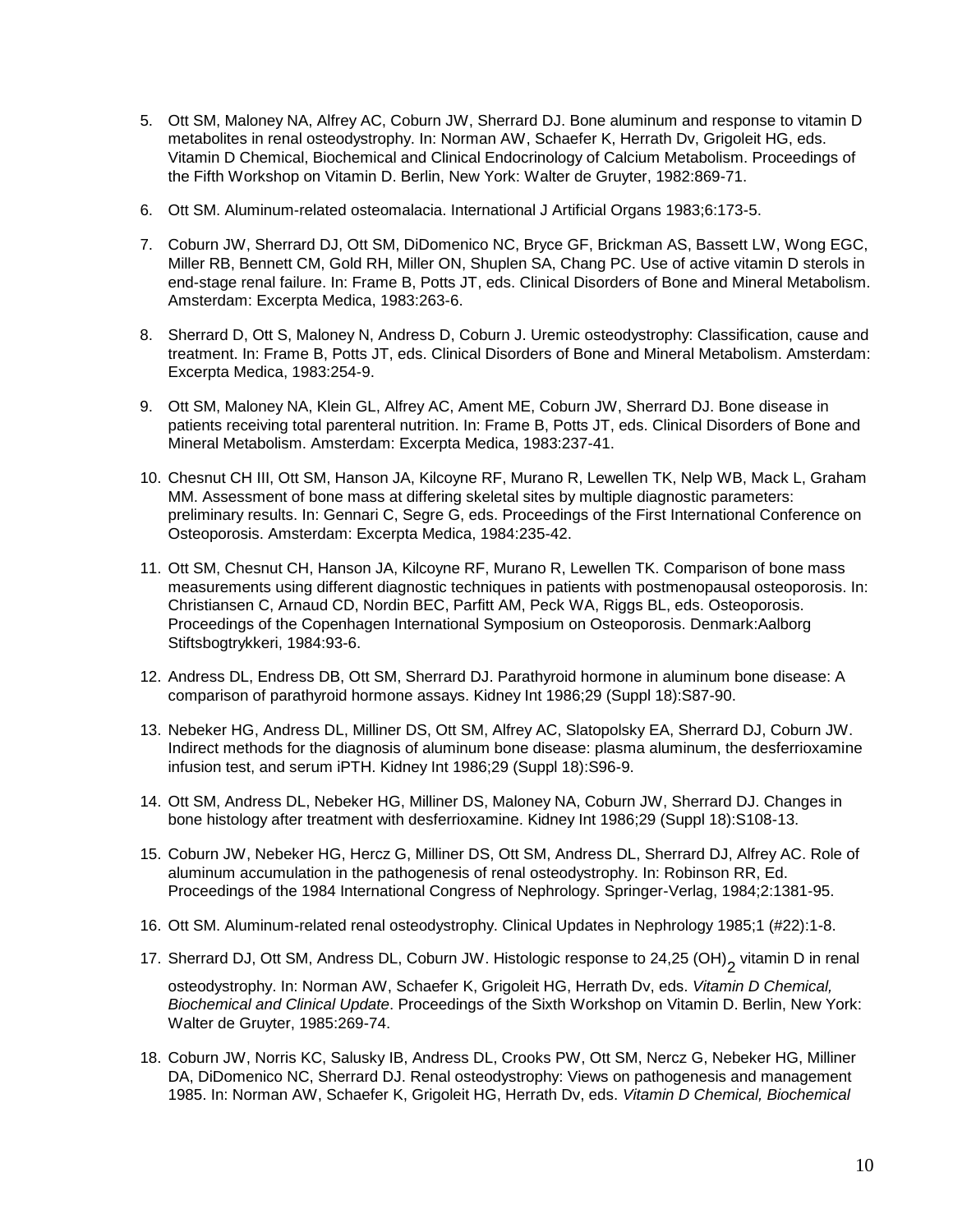- 5. Ott SM, Maloney NA, Alfrey AC, Coburn JW, Sherrard DJ. Bone aluminum and response to vitamin D metabolites in renal osteodystrophy. In: Norman AW, Schaefer K, Herrath Dv, Grigoleit HG, eds. Vitamin D Chemical, Biochemical and Clinical Endocrinology of Calcium Metabolism. Proceedings of the Fifth Workshop on Vitamin D. Berlin, New York: Walter de Gruyter, 1982:869-71.
- 6. Ott SM. Aluminum-related osteomalacia. International J Artificial Organs 1983;6:173-5.
- 7. Coburn JW, Sherrard DJ, Ott SM, DiDomenico NC, Bryce GF, Brickman AS, Bassett LW, Wong EGC, Miller RB, Bennett CM, Gold RH, Miller ON, Shuplen SA, Chang PC. Use of active vitamin D sterols in end-stage renal failure. In: Frame B, Potts JT, eds. Clinical Disorders of Bone and Mineral Metabolism. Amsterdam: Excerpta Medica, 1983:263-6.
- 8. Sherrard D, Ott S, Maloney N, Andress D, Coburn J. Uremic osteodystrophy: Classification, cause and treatment. In: Frame B, Potts JT, eds. Clinical Disorders of Bone and Mineral Metabolism. Amsterdam: Excerpta Medica, 1983:254-9.
- 9. Ott SM, Maloney NA, Klein GL, Alfrey AC, Ament ME, Coburn JW, Sherrard DJ. Bone disease in patients receiving total parenteral nutrition. In: Frame B, Potts JT, eds. Clinical Disorders of Bone and Mineral Metabolism. Amsterdam: Excerpta Medica, 1983:237-41.
- 10. Chesnut CH III, Ott SM, Hanson JA, Kilcoyne RF, Murano R, Lewellen TK, Nelp WB, Mack L, Graham MM. Assessment of bone mass at differing skeletal sites by multiple diagnostic parameters: preliminary results. In: Gennari C, Segre G, eds. Proceedings of the First International Conference on Osteoporosis. Amsterdam: Excerpta Medica, 1984:235-42.
- 11. Ott SM, Chesnut CH, Hanson JA, Kilcoyne RF, Murano R, Lewellen TK. Comparison of bone mass measurements using different diagnostic techniques in patients with postmenopausal osteoporosis. In: Christiansen C, Arnaud CD, Nordin BEC, Parfitt AM, Peck WA, Riggs BL, eds. Osteoporosis. Proceedings of the Copenhagen International Symposium on Osteoporosis. Denmark:Aalborg Stiftsbogtrykkeri, 1984:93-6.
- 12. Andress DL, Endress DB, Ott SM, Sherrard DJ. Parathyroid hormone in aluminum bone disease: A comparison of parathyroid hormone assays. Kidney Int 1986;29 (Suppl 18):S87-90.
- 13. Nebeker HG, Andress DL, Milliner DS, Ott SM, Alfrey AC, Slatopolsky EA, Sherrard DJ, Coburn JW. Indirect methods for the diagnosis of aluminum bone disease: plasma aluminum, the desferrioxamine infusion test, and serum iPTH. Kidney Int 1986;29 (Suppl 18):S96-9.
- 14. Ott SM, Andress DL, Nebeker HG, Milliner DS, Maloney NA, Coburn JW, Sherrard DJ. Changes in bone histology after treatment with desferrioxamine. Kidney Int 1986;29 (Suppl 18):S108-13.
- 15. Coburn JW, Nebeker HG, Hercz G, Milliner DS, Ott SM, Andress DL, Sherrard DJ, Alfrey AC. Role of aluminum accumulation in the pathogenesis of renal osteodystrophy. In: Robinson RR, Ed. Proceedings of the 1984 International Congress of Nephrology. Springer-Verlag, 1984;2:1381-95.
- 16. Ott SM. Aluminum-related renal osteodystrophy. Clinical Updates in Nephrology 1985;1 (#22):1-8.
- 17. Sherrard DJ, Ott SM, Andress DL, Coburn JW. Histologic response to 24,25 (OH)<sub>2</sub> vitamin D in renal

osteodystrophy. In: Norman AW, Schaefer K, Grigoleit HG, Herrath Dv, eds. *Vitamin D Chemical, Biochemical and Clinical Update*. Proceedings of the Sixth Workshop on Vitamin D. Berlin, New York: Walter de Gruyter, 1985:269-74.

18. Coburn JW, Norris KC, Salusky IB, Andress DL, Crooks PW, Ott SM, Nercz G, Nebeker HG, Milliner DA, DiDomenico NC, Sherrard DJ. Renal osteodystrophy: Views on pathogenesis and management 1985. In: Norman AW, Schaefer K, Grigoleit HG, Herrath Dv, eds. *Vitamin D Chemical, Biochemical*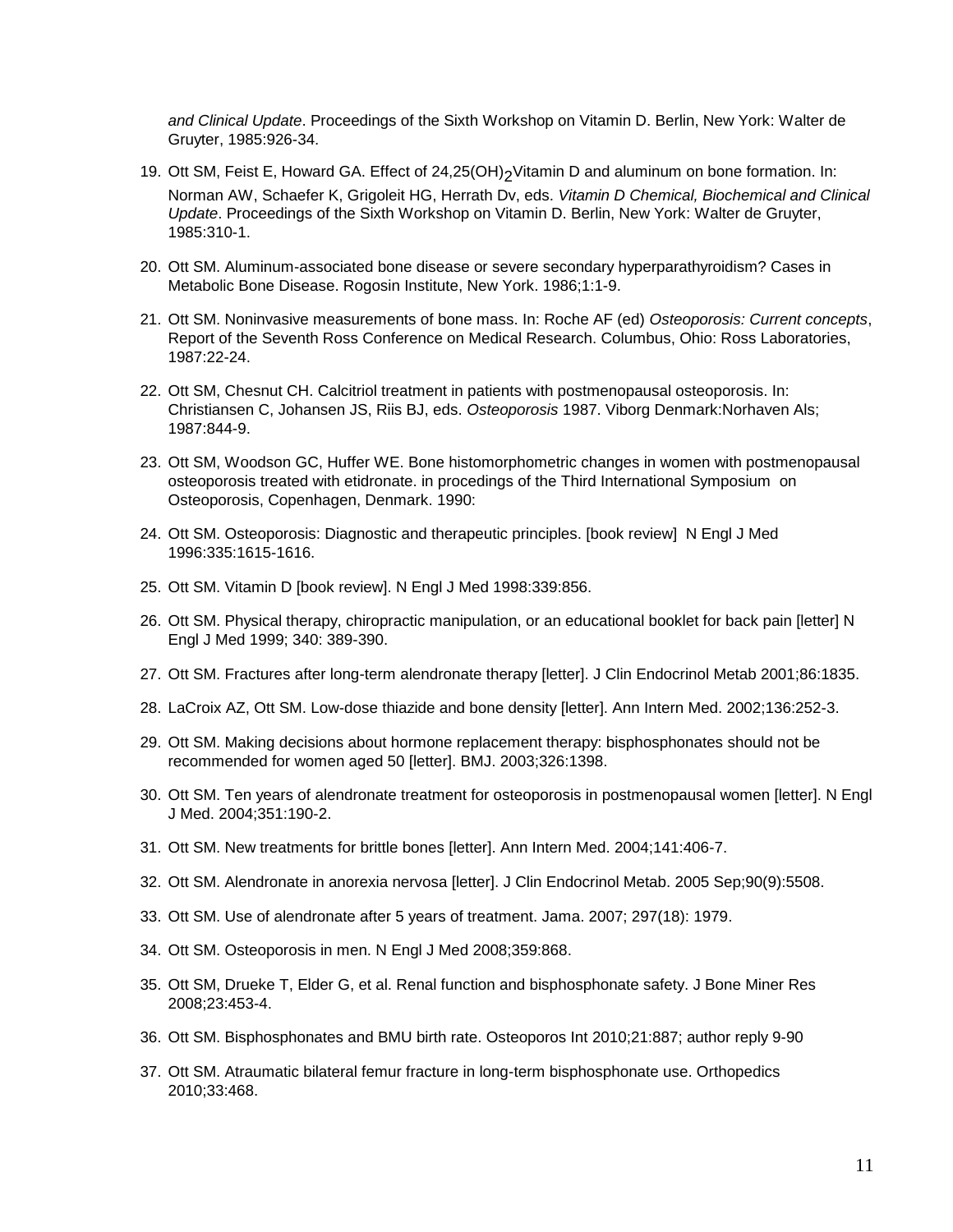*and Clinical Update*. Proceedings of the Sixth Workshop on Vitamin D. Berlin, New York: Walter de Gruyter, 1985:926-34.

- 19. Ott SM, Feist E, Howard GA. Effect of 24,25(OH)<sub>2</sub>Vitamin D and aluminum on bone formation. In: Norman AW, Schaefer K, Grigoleit HG, Herrath Dv, eds. *Vitamin D Chemical, Biochemical and Clinical Update*. Proceedings of the Sixth Workshop on Vitamin D. Berlin, New York: Walter de Gruyter, 1985:310-1.
- 20. Ott SM. Aluminum-associated bone disease or severe secondary hyperparathyroidism? Cases in Metabolic Bone Disease. Rogosin Institute, New York. 1986;1:1-9.
- 21. Ott SM. Noninvasive measurements of bone mass. In: Roche AF (ed) *Osteoporosis: Current concepts*, Report of the Seventh Ross Conference on Medical Research. Columbus, Ohio: Ross Laboratories, 1987:22-24.
- 22. Ott SM, Chesnut CH. Calcitriol treatment in patients with postmenopausal osteoporosis. In: Christiansen C, Johansen JS, Riis BJ, eds. *Osteoporosis* 1987. Viborg Denmark:Norhaven Als; 1987:844-9.
- 23. Ott SM, Woodson GC, Huffer WE. Bone histomorphometric changes in women with postmenopausal osteoporosis treated with etidronate. in procedings of the Third International Symposium on Osteoporosis, Copenhagen, Denmark. 1990:
- 24. Ott SM. Osteoporosis: Diagnostic and therapeutic principles. [book review] N Engl J Med 1996:335:1615-1616.
- 25. Ott SM. Vitamin D [book review]. N Engl J Med 1998:339:856.
- 26. Ott SM. Physical therapy, chiropractic manipulation, or an educational booklet for back pain [letter] N Engl J Med 1999; 340: 389-390.
- 27. Ott SM. Fractures after long-term alendronate therapy [letter]. J Clin Endocrinol Metab 2001;86:1835.
- 28. LaCroix AZ, Ott SM. Low-dose thiazide and bone density [letter]. Ann Intern Med. 2002;136:252-3.
- 29. Ott SM. Making decisions about hormone replacement therapy: bisphosphonates should not be recommended for women aged 50 [letter]. BMJ. 2003;326:1398.
- 30. Ott SM. Ten years of alendronate treatment for osteoporosis in postmenopausal women [letter]. N Engl J Med. 2004;351:190-2.
- 31. Ott SM. New treatments for brittle bones [letter]. Ann Intern Med. 2004;141:406-7.
- 32. Ott SM. Alendronate in anorexia nervosa [letter]. J Clin Endocrinol Metab. 2005 Sep;90(9):5508.
- 33. Ott SM. Use of alendronate after 5 years of treatment. Jama. 2007; 297(18): 1979.
- 34. Ott SM. Osteoporosis in men. N Engl J Med 2008;359:868.
- 35. Ott SM, Drueke T, Elder G, et al. Renal function and bisphosphonate safety. J Bone Miner Res 2008;23:453-4.
- 36. Ott SM. Bisphosphonates and BMU birth rate. Osteoporos Int 2010;21:887; author reply 9-90
- 37. Ott SM. Atraumatic bilateral femur fracture in long-term bisphosphonate use. Orthopedics 2010;33:468.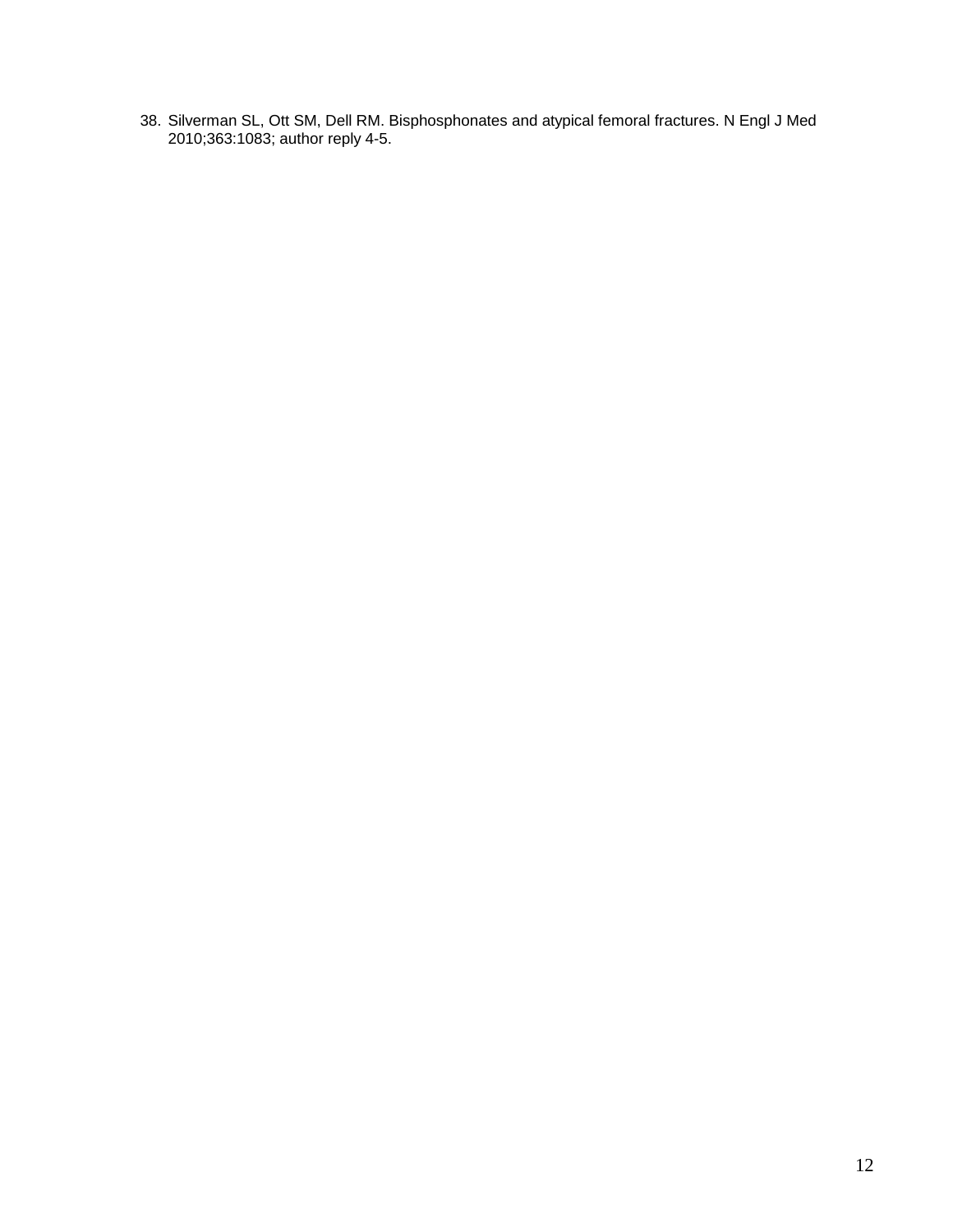38. Silverman SL, Ott SM, Dell RM. Bisphosphonates and atypical femoral fractures. N Engl J Med 2010;363:1083; author reply 4-5.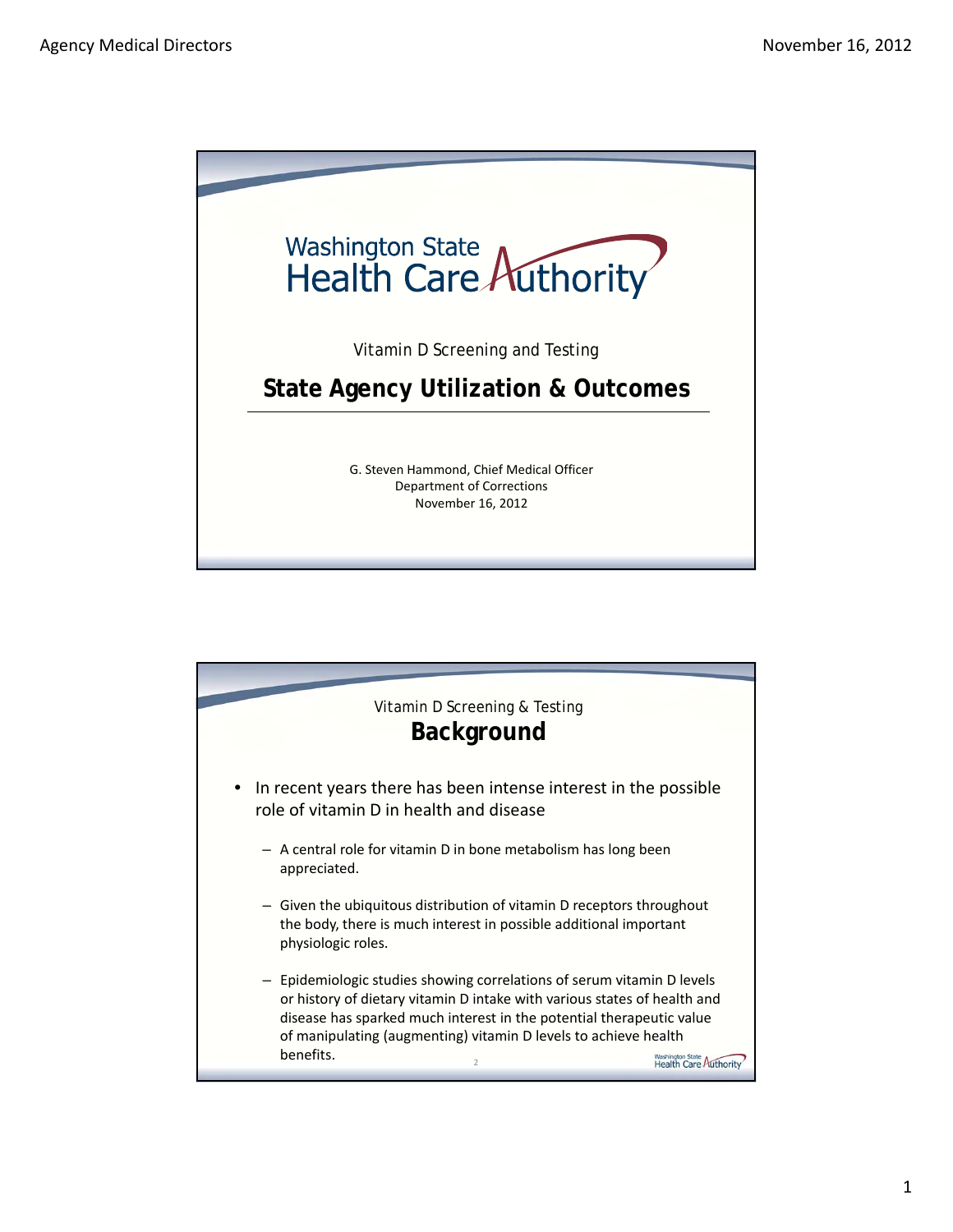

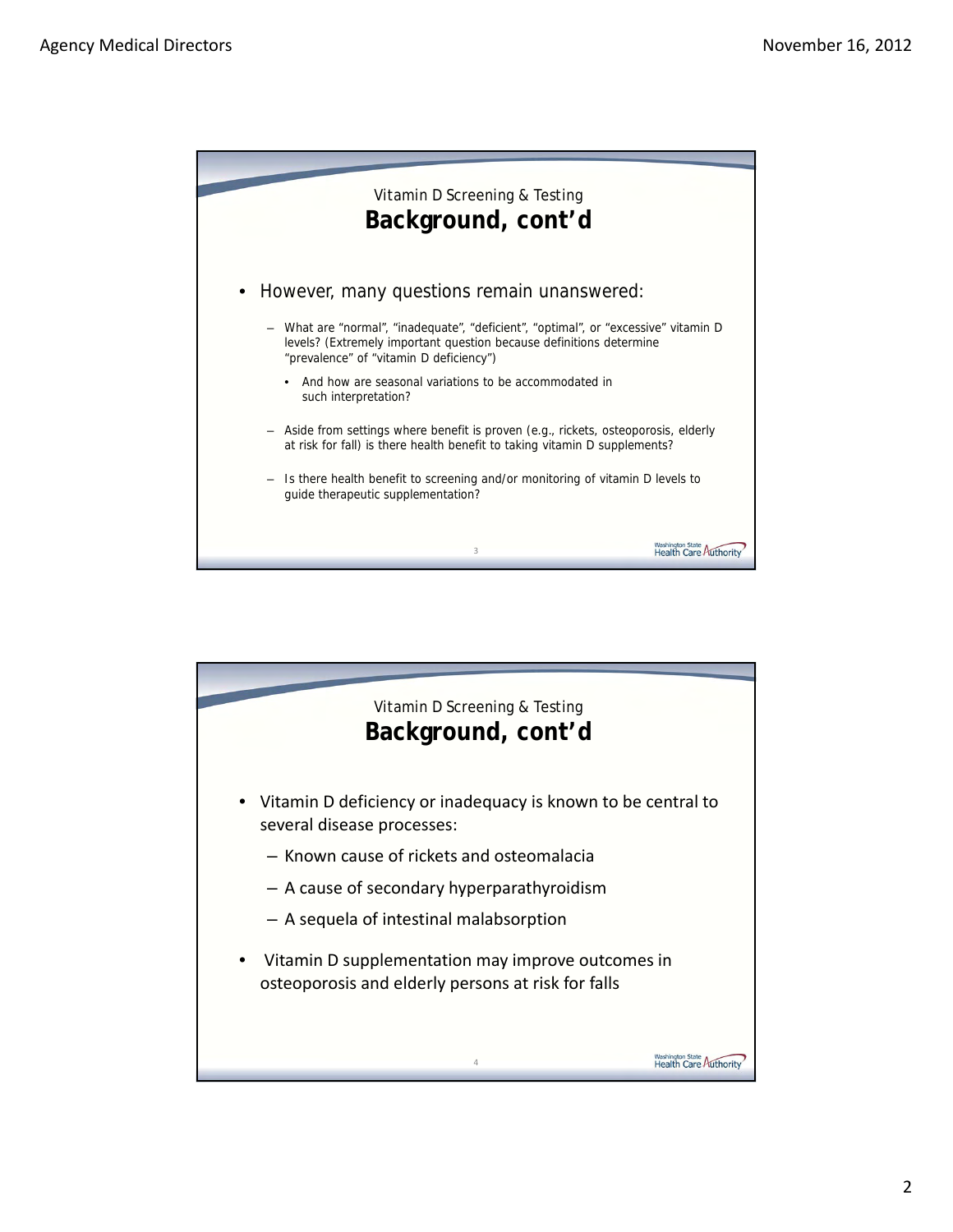

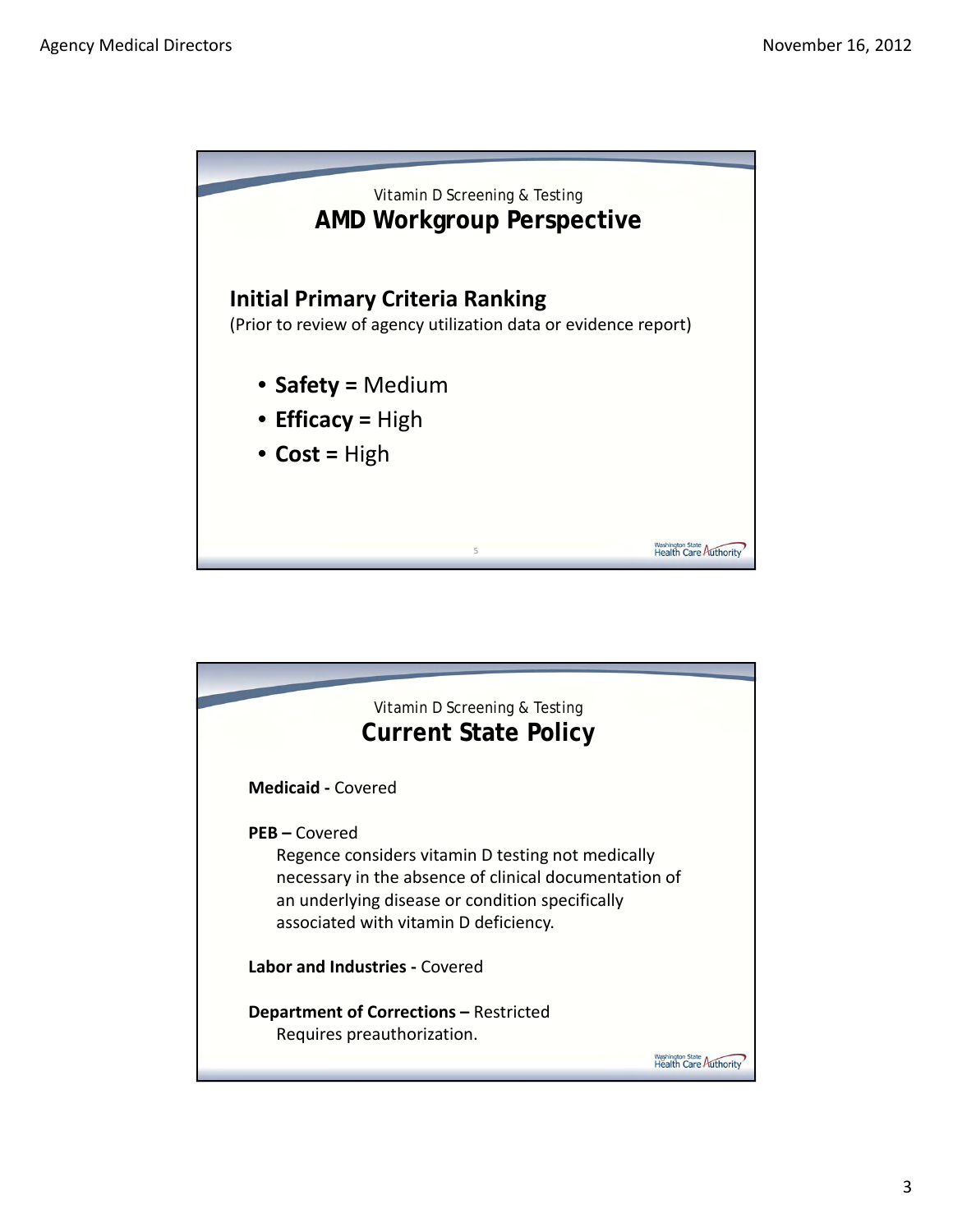

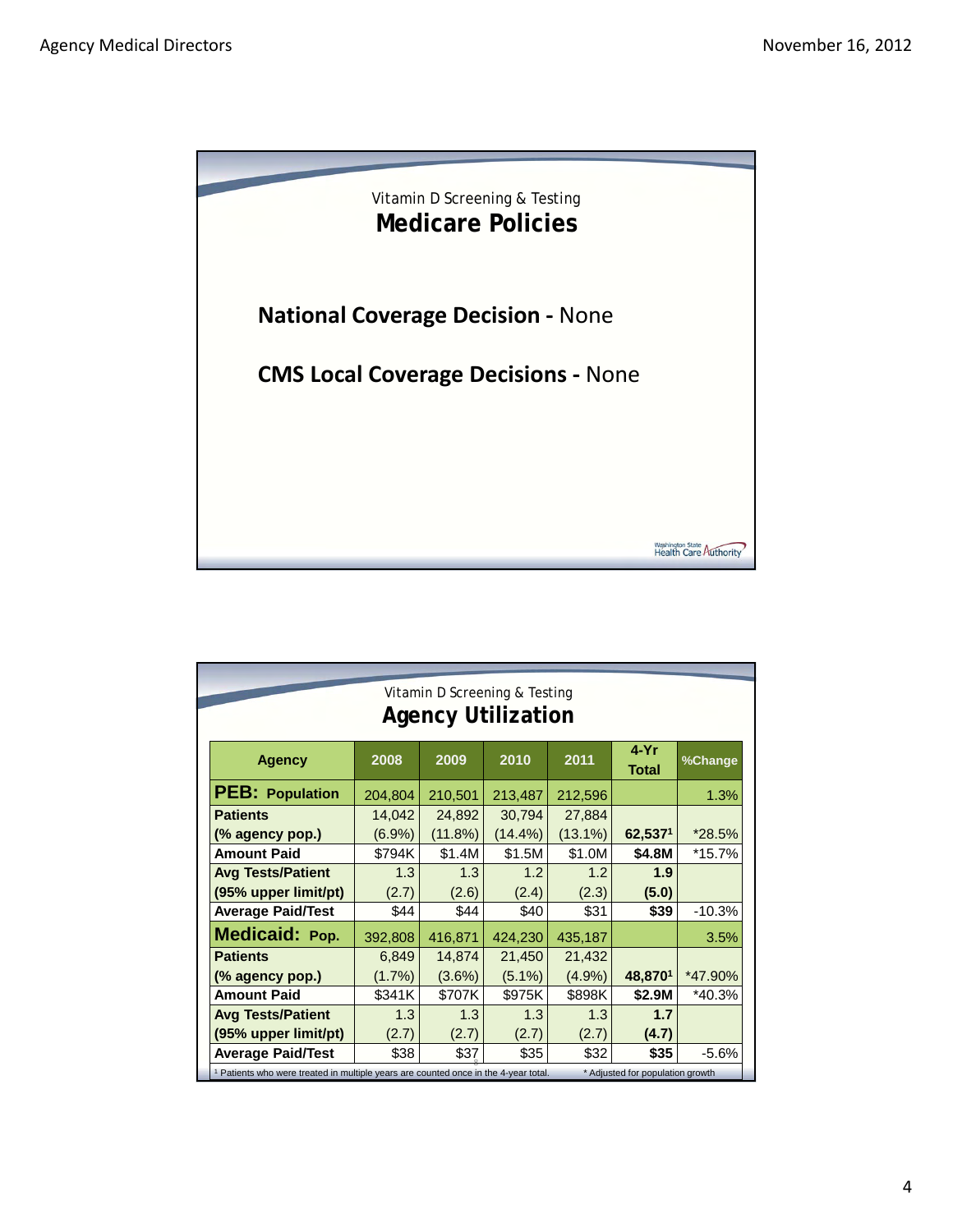

| Vitamin D Screening & Testing                                                                  |           |         |            |            |                                  |          |  |
|------------------------------------------------------------------------------------------------|-----------|---------|------------|------------|----------------------------------|----------|--|
| <b>Agency Utilization</b>                                                                      |           |         |            |            |                                  |          |  |
| <b>Agency</b>                                                                                  | 2008      | 2009    | 2010       | 2011       | $4-Yr$<br>Total                  | %Change  |  |
| <b>PEB: Population</b>                                                                         | 204,804   | 210,501 | 213,487    | 212,596    |                                  | 1.3%     |  |
| <b>Patients</b>                                                                                | 14,042    | 24,892  | 30,794     | 27,884     |                                  |          |  |
| (% agency pop.)                                                                                | $(6.9\%)$ | (11.8%) | $(14.4\%)$ | $(13.1\%)$ | 62,5371                          | $*28.5%$ |  |
| <b>Amount Paid</b>                                                                             | \$794K    | \$1.4M  | \$1.5M     | \$1.0M     | \$4.8M                           | *15.7%   |  |
| <b>Avg Tests/Patient</b>                                                                       | 1.3       | 1.3     | 1.2        | 1.2        | 1.9                              |          |  |
| (95% upper limit/pt)                                                                           | (2.7)     | (2.6)   | (2.4)      | (2.3)      | (5.0)                            |          |  |
| <b>Average Paid/Test</b>                                                                       | \$44      | \$44    | \$40       | \$31       | \$39                             | $-10.3%$ |  |
| Medicaid: Pop.                                                                                 | 392,808   | 416,871 | 424,230    | 435,187    |                                  | 3.5%     |  |
| <b>Patients</b>                                                                                | 6,849     | 14,874  | 21,450     | 21,432     |                                  |          |  |
| (% agency pop.)                                                                                | (1.7%)    | (3.6%)  | $(5.1\%)$  | (4.9%)     | 48,8701                          | *47.90%  |  |
| <b>Amount Paid</b>                                                                             | \$341K    | \$707K  | \$975K     | \$898K     | \$2.9M                           | $*40.3%$ |  |
| <b>Avg Tests/Patient</b>                                                                       | 1.3       | 1.3     | 1.3        | 1.3        | 1.7                              |          |  |
| (95% upper limit/pt)                                                                           | (2.7)     | (2.7)   | (2.7)      | (2.7)      | (4.7)                            |          |  |
| <b>Average Paid/Test</b>                                                                       | \$38      | \$37    | \$35       | \$32       | \$35                             | $-5.6%$  |  |
| <sup>1</sup> Patients who were treated in multiple years are counted once in the 4-year total. |           |         |            |            | * Adjusted for population growth |          |  |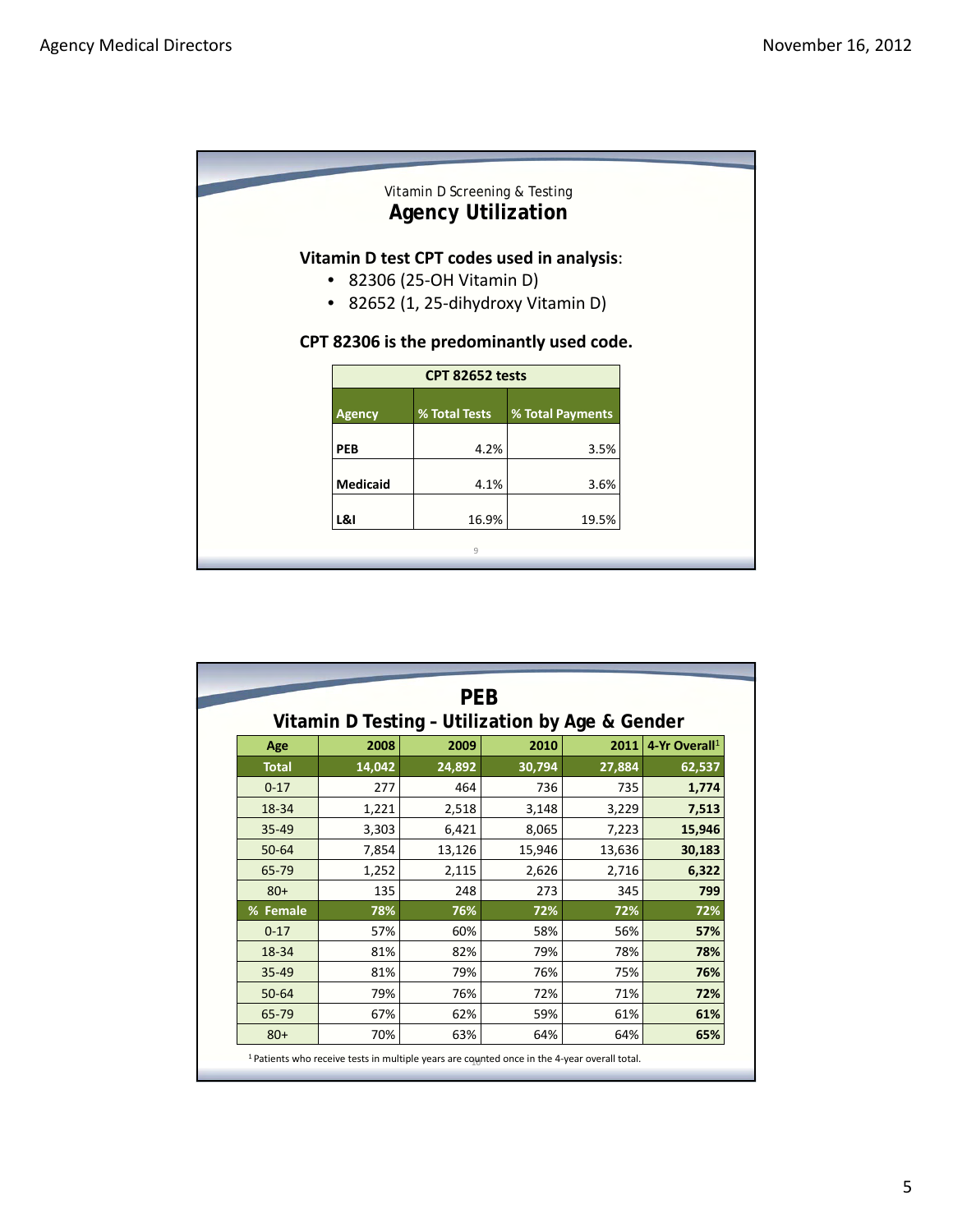| Vitamin D Screening & Testing<br><b>Agency Utilization</b>                                                                                                                        |                        |                  |  |  |
|-----------------------------------------------------------------------------------------------------------------------------------------------------------------------------------|------------------------|------------------|--|--|
| Vitamin D test CPT codes used in analysis:<br>82306 (25-OH Vitamin D)<br>$\bullet$<br>82652 (1, 25-dihydroxy Vitamin D)<br>$\bullet$<br>CPT 82306 is the predominantly used code. |                        |                  |  |  |
|                                                                                                                                                                                   | <b>CPT 82652 tests</b> |                  |  |  |
| <b>Agency</b>                                                                                                                                                                     | % Total Tests          | % Total Payments |  |  |
| <b>PEB</b>                                                                                                                                                                        | 4.2%                   | 3.5%             |  |  |
| <b>Medicaid</b>                                                                                                                                                                   | 4.1%                   | 3.6%             |  |  |
| L&I<br>19.5%<br>16.9%                                                                                                                                                             |                        |                  |  |  |
|                                                                                                                                                                                   | 9                      |                  |  |  |
|                                                                                                                                                                                   |                        |                  |  |  |

| <b>PEB</b><br>Vitamin D Testing - Utilization by Age & Gender |        |        |        |        |              |
|---------------------------------------------------------------|--------|--------|--------|--------|--------------|
| 4-Yr Overall <sup>1</sup>                                     | 2011   | 2010   | 2009   | 2008   | Age          |
| 62,537                                                        | 27,884 | 30,794 | 24,892 | 14,042 | <b>Total</b> |
| 1,774                                                         | 735    | 736    | 464    | 277    | $0 - 17$     |
| 7,513                                                         | 3,229  | 3,148  | 2,518  | 1,221  | 18-34        |
| 15,946                                                        | 7,223  | 8,065  | 6,421  | 3,303  | $35 - 49$    |
| 30,183                                                        | 13,636 | 15,946 | 13,126 | 7,854  | 50-64        |
| 6,322                                                         | 2,716  | 2,626  | 2,115  | 1,252  | 65-79        |
| 799                                                           | 345    | 273    | 248    | 135    | $80+$        |
| 72%                                                           | 72%    | 72%    | 76%    | 78%    | % Female     |
| 57%                                                           | 56%    | 58%    | 60%    | 57%    | $0 - 17$     |
| 78%                                                           | 78%    | 79%    | 82%    | 81%    | 18-34        |
| 76%                                                           | 75%    | 76%    | 79%    | 81%    | $35 - 49$    |
| 72%                                                           | 71%    | 72%    | 76%    | 79%    | $50 - 64$    |
| 61%                                                           | 61%    | 59%    | 62%    | 67%    | 65-79        |
| 65%                                                           | 64%    | 64%    | 63%    | 70%    | $80+$        |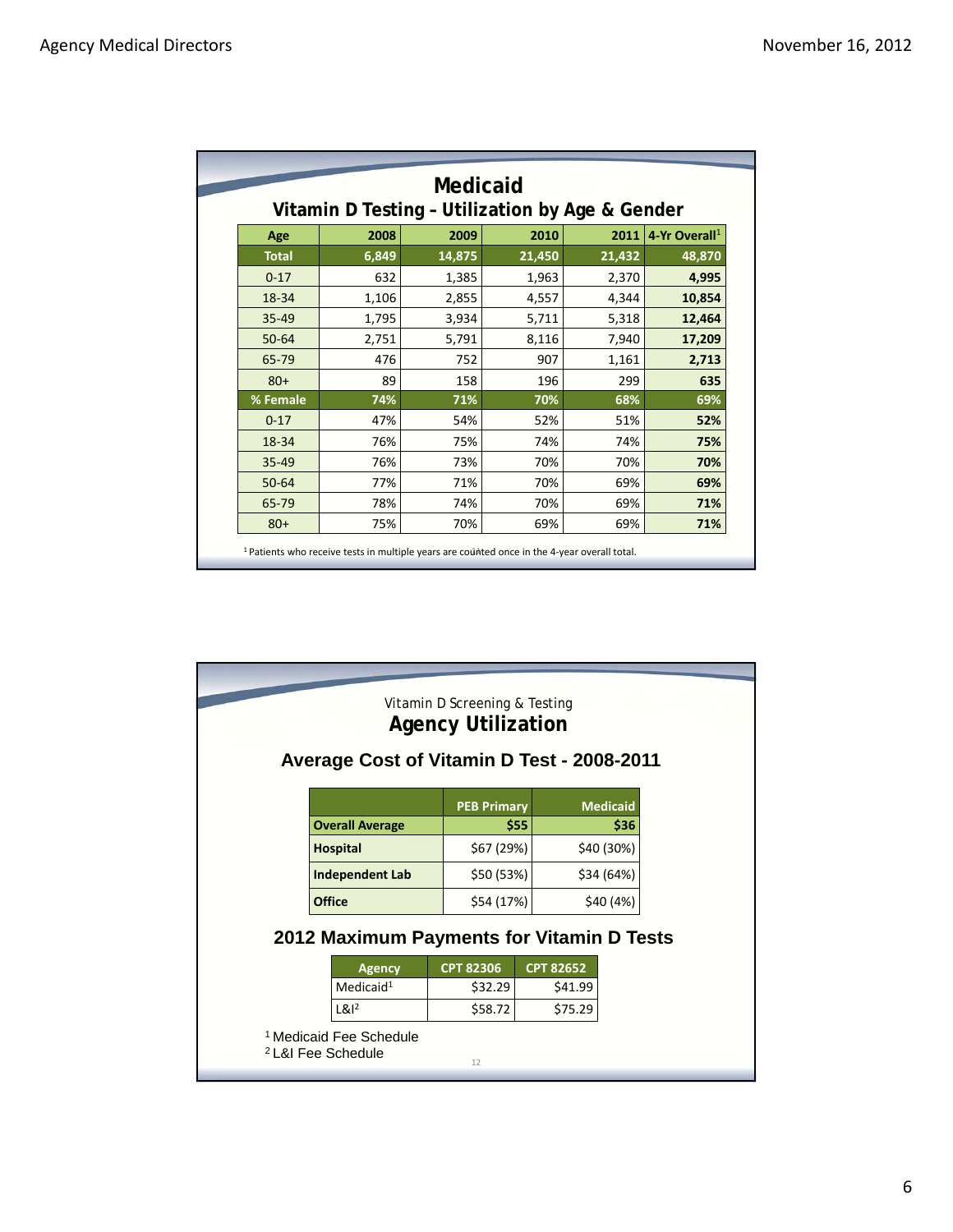| Medicaid<br>Vitamin D Testing - Utilization by Age & Gender |       |        |        |        |                           |
|-------------------------------------------------------------|-------|--------|--------|--------|---------------------------|
| Age                                                         | 2008  | 2009   | 2010   | 2011   | 4-Yr Overall <sup>1</sup> |
| <b>Total</b>                                                | 6,849 | 14,875 | 21,450 | 21,432 | 48,870                    |
| $0 - 17$                                                    | 632   | 1,385  | 1,963  | 2,370  | 4,995                     |
| 18-34                                                       | 1,106 | 2,855  | 4,557  | 4,344  | 10,854                    |
| $35 - 49$                                                   | 1,795 | 3,934  | 5,711  | 5,318  | 12,464                    |
| $50 - 64$                                                   | 2,751 | 5,791  | 8,116  | 7,940  | 17,209                    |
| 65-79                                                       | 476   | 752    | 907    | 1,161  | 2,713                     |
| $80+$                                                       | 89    | 158    | 196    | 299    | 635                       |
| % Female                                                    | 74%   | 71%    | 70%    | 68%    | 69%                       |
| $0 - 17$                                                    | 47%   | 54%    | 52%    | 51%    | 52%                       |
| 18-34                                                       | 76%   | 75%    | 74%    | 74%    | 75%                       |
| 35-49                                                       | 76%   | 73%    | 70%    | 70%    | 70%                       |
| $50 - 64$                                                   | 77%   | 71%    | 70%    | 69%    | 69%                       |
| 65-79                                                       | 78%   | 74%    | 70%    | 69%    | 71%                       |
| $80+$                                                       | 75%   | 70%    | 69%    | 69%    | 71%                       |

| Average Cost of Vitamin D Test - 2008-2011                          | Vitamin D Screening & Testing<br><b>Agency Utilization</b> |                  |                 |  |  |  |
|---------------------------------------------------------------------|------------------------------------------------------------|------------------|-----------------|--|--|--|
|                                                                     | <b>PEB Primary</b>                                         |                  | <b>Medicaid</b> |  |  |  |
| <b>Overall Average</b>                                              |                                                            | \$55             | \$36            |  |  |  |
| <b>Hospital</b>                                                     | \$67 (29%)                                                 |                  | \$40 (30%)      |  |  |  |
| <b>Independent Lab</b>                                              | \$50 (53%)                                                 |                  | \$34 (64%)      |  |  |  |
| <b>Office</b>                                                       | \$54 (17%)                                                 |                  | \$40 (4%)       |  |  |  |
| 2012 Maximum Payments for Vitamin D Tests                           |                                                            |                  |                 |  |  |  |
| <b>Agency</b>                                                       | CPT 82306                                                  | <b>CPT 82652</b> |                 |  |  |  |
| Medicaid <sup>1</sup>                                               | \$32.29                                                    | \$41.99          |                 |  |  |  |
| $Lg1^2$                                                             | \$58.72                                                    | \$75.29          |                 |  |  |  |
| <sup>1</sup> Medicaid Fee Schedule<br><sup>2</sup> L&I Fee Schedule | 12                                                         |                  |                 |  |  |  |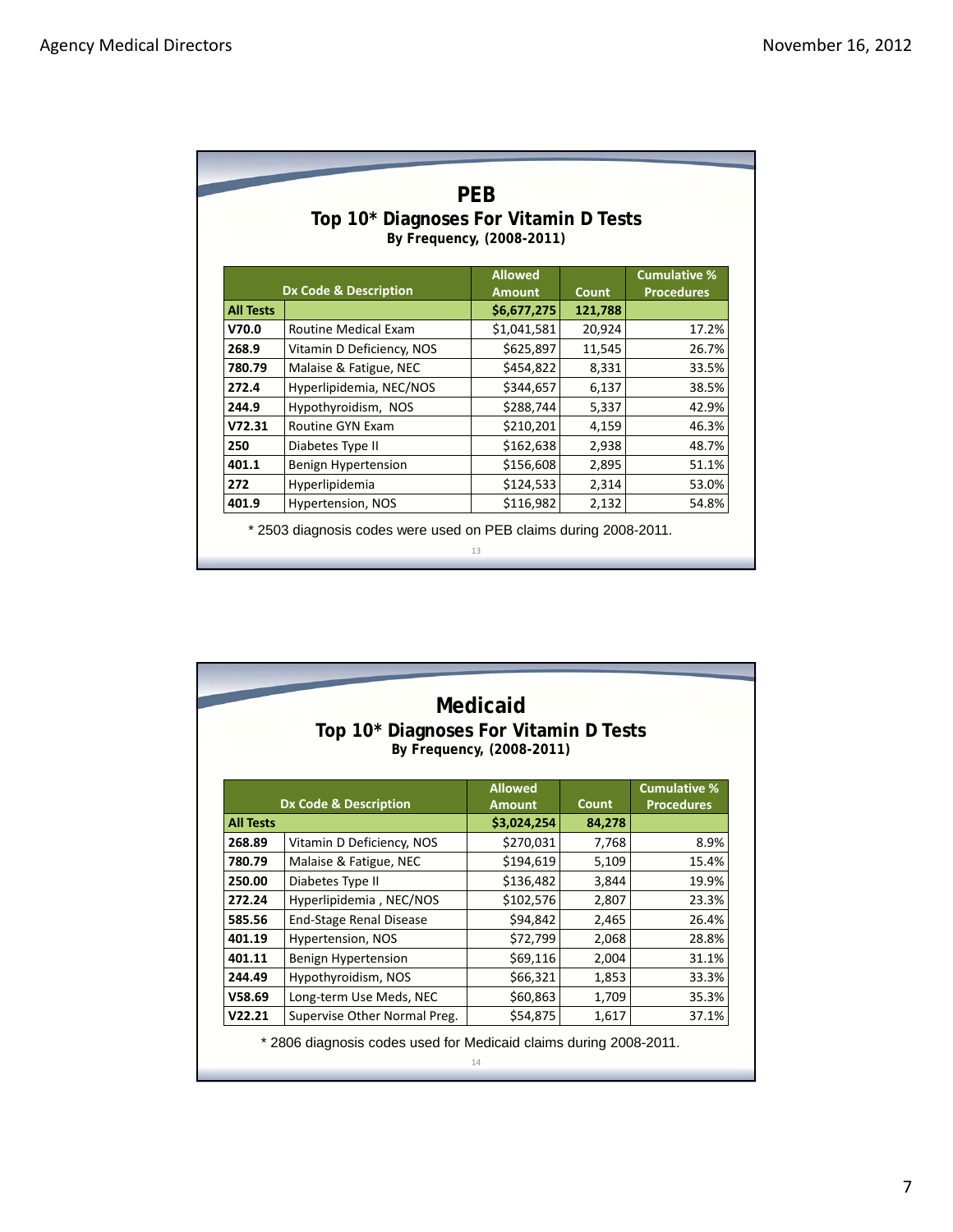| <b>PEB</b><br>Top 10* Diagnoses For Vitamin D Tests<br>By Frequency, (2008-2011)                                                |                             |             |         |       |  |
|---------------------------------------------------------------------------------------------------------------------------------|-----------------------------|-------------|---------|-------|--|
| <b>Cumulative %</b><br><b>Allowed</b><br><b>Dx Code &amp; Description</b><br><b>Procedures</b><br><b>Count</b><br><b>Amount</b> |                             |             |         |       |  |
| <b>All Tests</b>                                                                                                                |                             | \$6,677,275 | 121,788 |       |  |
| V70.0                                                                                                                           | <b>Routine Medical Exam</b> | \$1,041,581 | 20,924  | 17.2% |  |
| 268.9                                                                                                                           | Vitamin D Deficiency, NOS   | \$625,897   | 11,545  | 26.7% |  |
| 780.79                                                                                                                          | Malaise & Fatigue, NEC      | \$454,822   | 8,331   | 33.5% |  |
| 272.4                                                                                                                           | Hyperlipidemia, NEC/NOS     | \$344,657   | 6,137   | 38.5% |  |
| 244.9                                                                                                                           | Hypothyroidism, NOS         | \$288,744   | 5,337   | 42.9% |  |
| V72.31                                                                                                                          | Routine GYN Exam            | \$210,201   | 4,159   | 46.3% |  |
| 250                                                                                                                             | Diabetes Type II            | \$162,638   | 2,938   | 48.7% |  |
| 401.1                                                                                                                           | Benign Hypertension         | \$156,608   | 2,895   | 51.1% |  |
| 272                                                                                                                             | Hyperlipidemia              | \$124,533   | 2,314   | 53.0% |  |
| 401.9                                                                                                                           | Hypertension, NOS           | \$116,982   | 2,132   | 54.8% |  |

| Medicaid<br>Top 10* Diagnoses For Vitamin D Tests<br>By Frequency, (2008-2011) |                                  |                              |                        |                     |  |
|--------------------------------------------------------------------------------|----------------------------------|------------------------------|------------------------|---------------------|--|
|                                                                                |                                  | <b>Allowed</b>               |                        | <b>Cumulative %</b> |  |
| <b>All Tests</b>                                                               | <b>Dx Code &amp; Description</b> | <b>Amount</b><br>\$3,024,254 | <b>Count</b><br>84,278 | <b>Procedures</b>   |  |
| 268.89                                                                         | Vitamin D Deficiency, NOS        | \$270,031                    | 7,768                  | 8.9%                |  |
| 780.79                                                                         | Malaise & Fatigue, NEC           | \$194,619                    | 5,109                  | 15.4%               |  |
| 250.00                                                                         | Diabetes Type II                 | \$136,482                    | 3,844                  | 19.9%               |  |
| 272.24                                                                         | Hyperlipidemia, NEC/NOS          | \$102,576                    | 2,807                  | 23.3%               |  |
| 585.56                                                                         | <b>End-Stage Renal Disease</b>   | \$94,842                     | 2,465                  | 26.4%               |  |
| 401.19                                                                         | Hypertension, NOS                | \$72,799                     | 2,068                  | 28.8%               |  |
| 401.11                                                                         | Benign Hypertension              | \$69,116                     | 2,004                  | 31.1%               |  |
| 244.49                                                                         | Hypothyroidism, NOS              | \$66,321                     | 1,853                  | 33.3%               |  |
| V58.69                                                                         | Long-term Use Meds, NEC          | \$60,863                     | 1,709                  | 35.3%               |  |
| V22.21                                                                         | Supervise Other Normal Preg.     | \$54,875                     | 1,617                  | 37.1%               |  |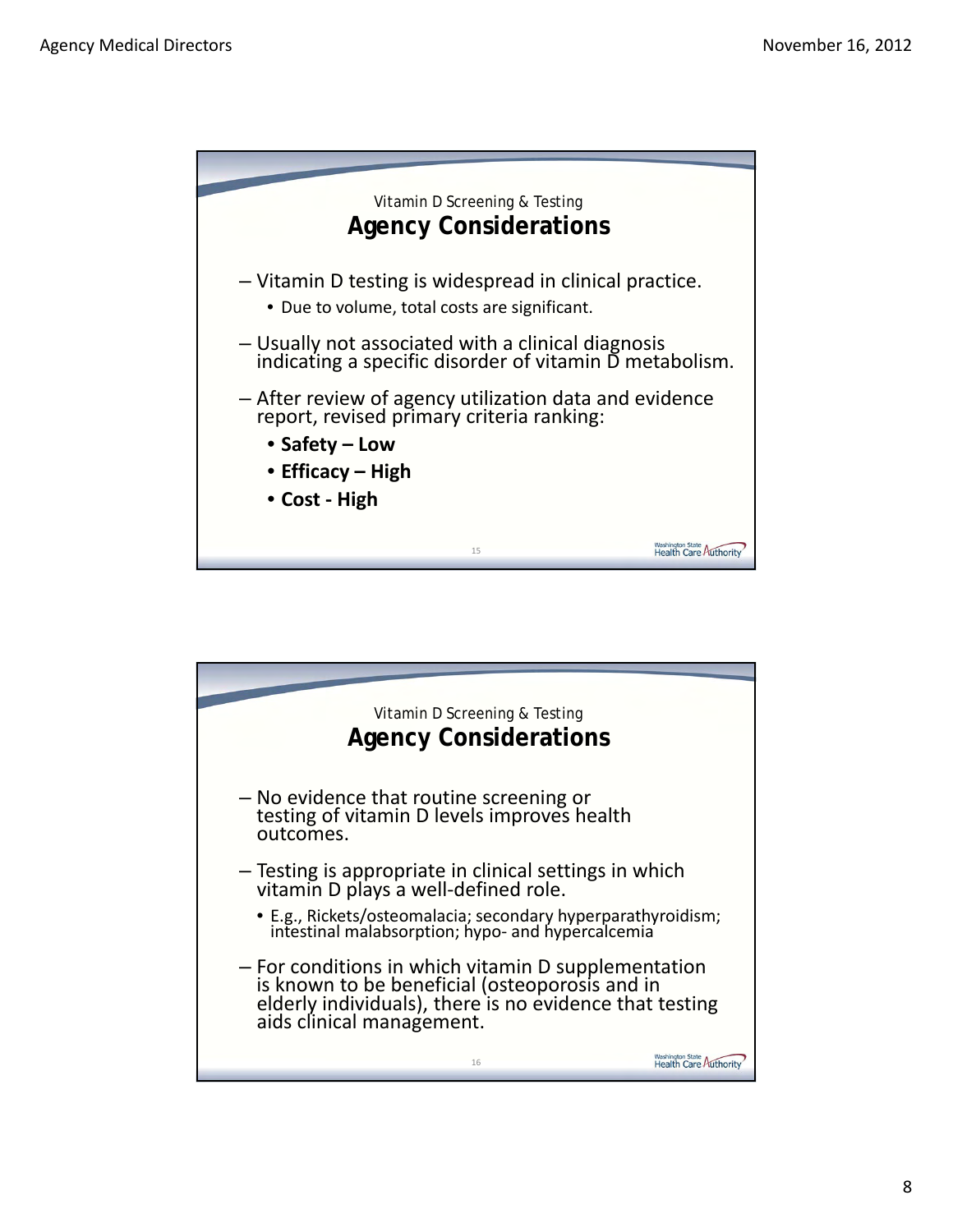

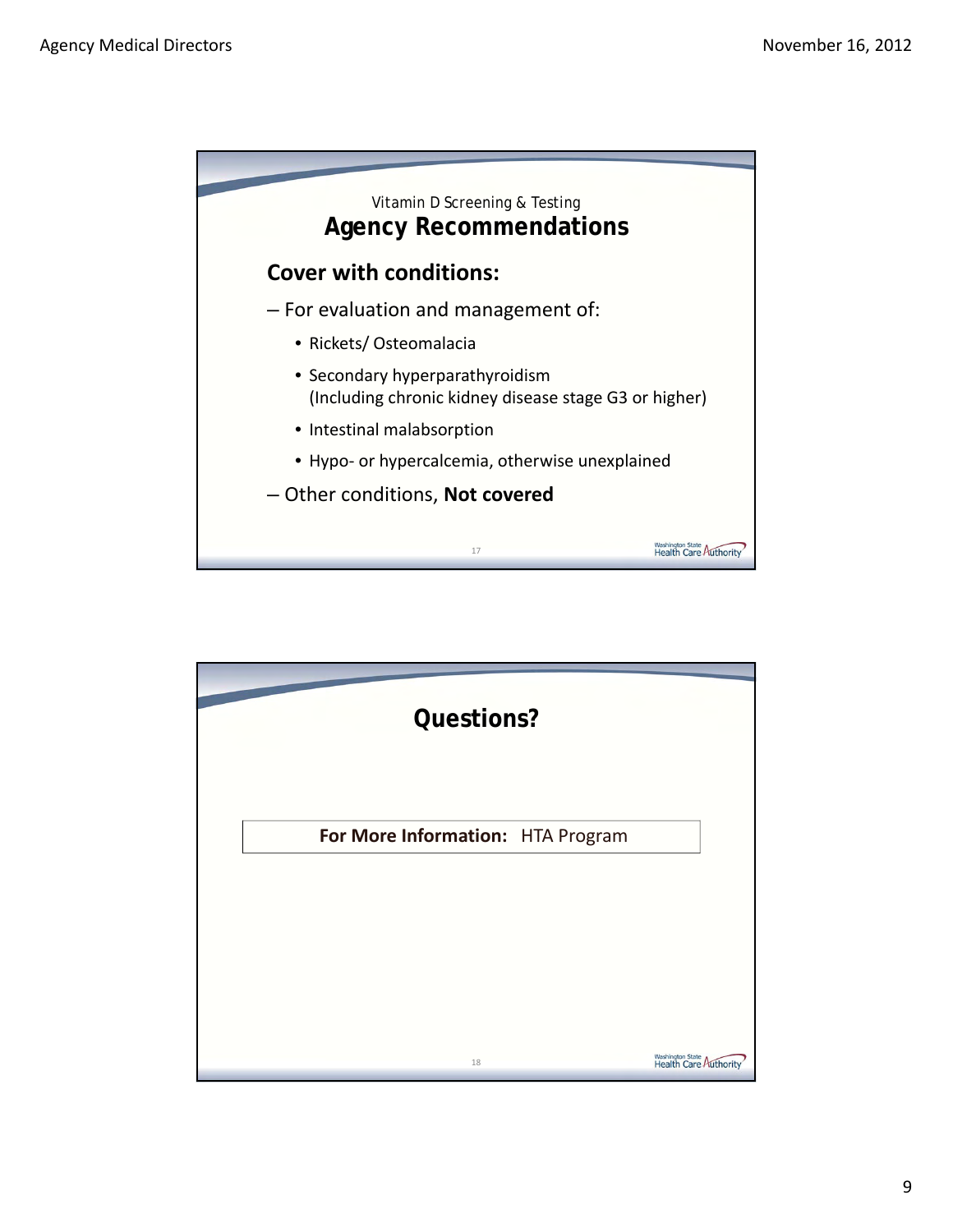

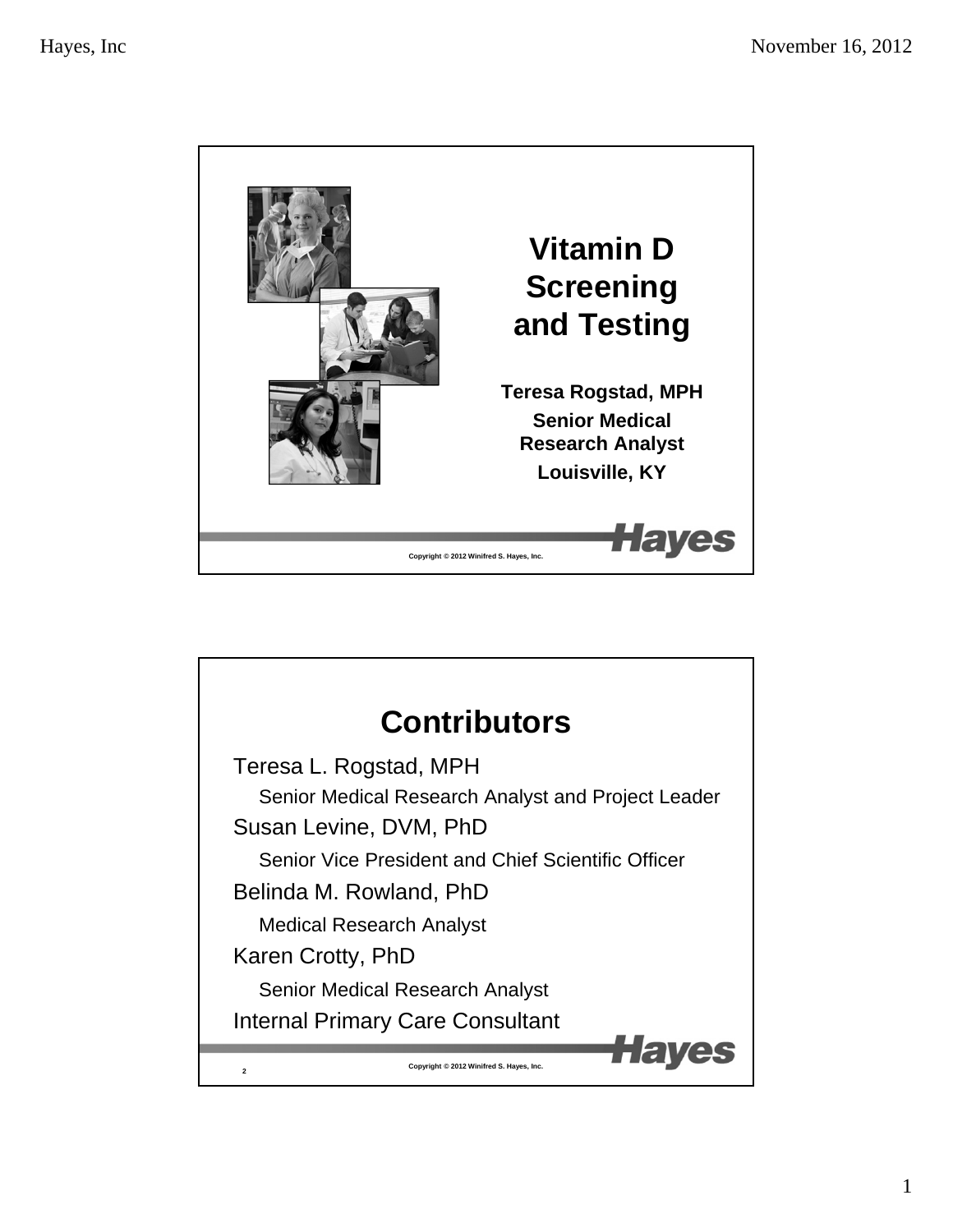

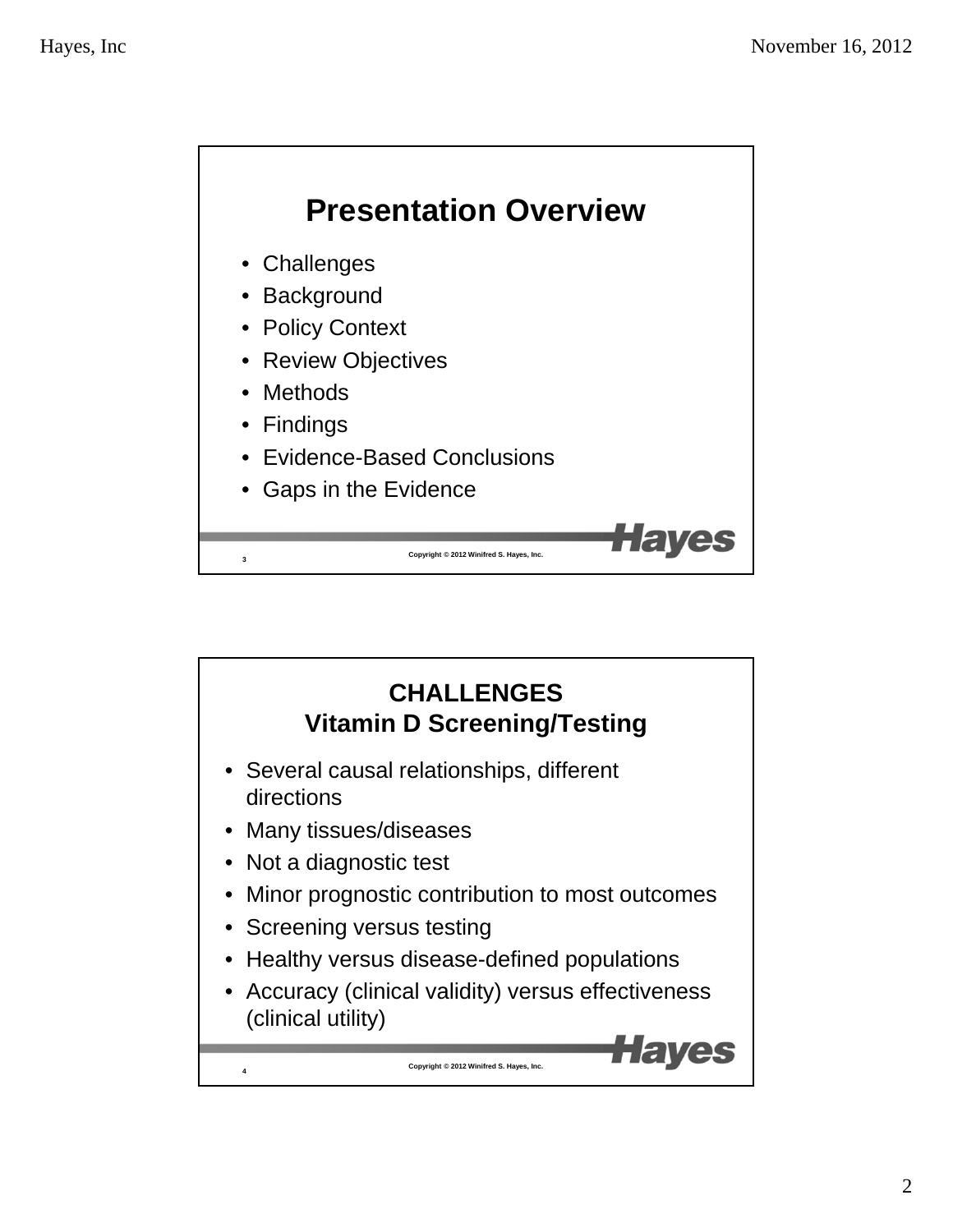

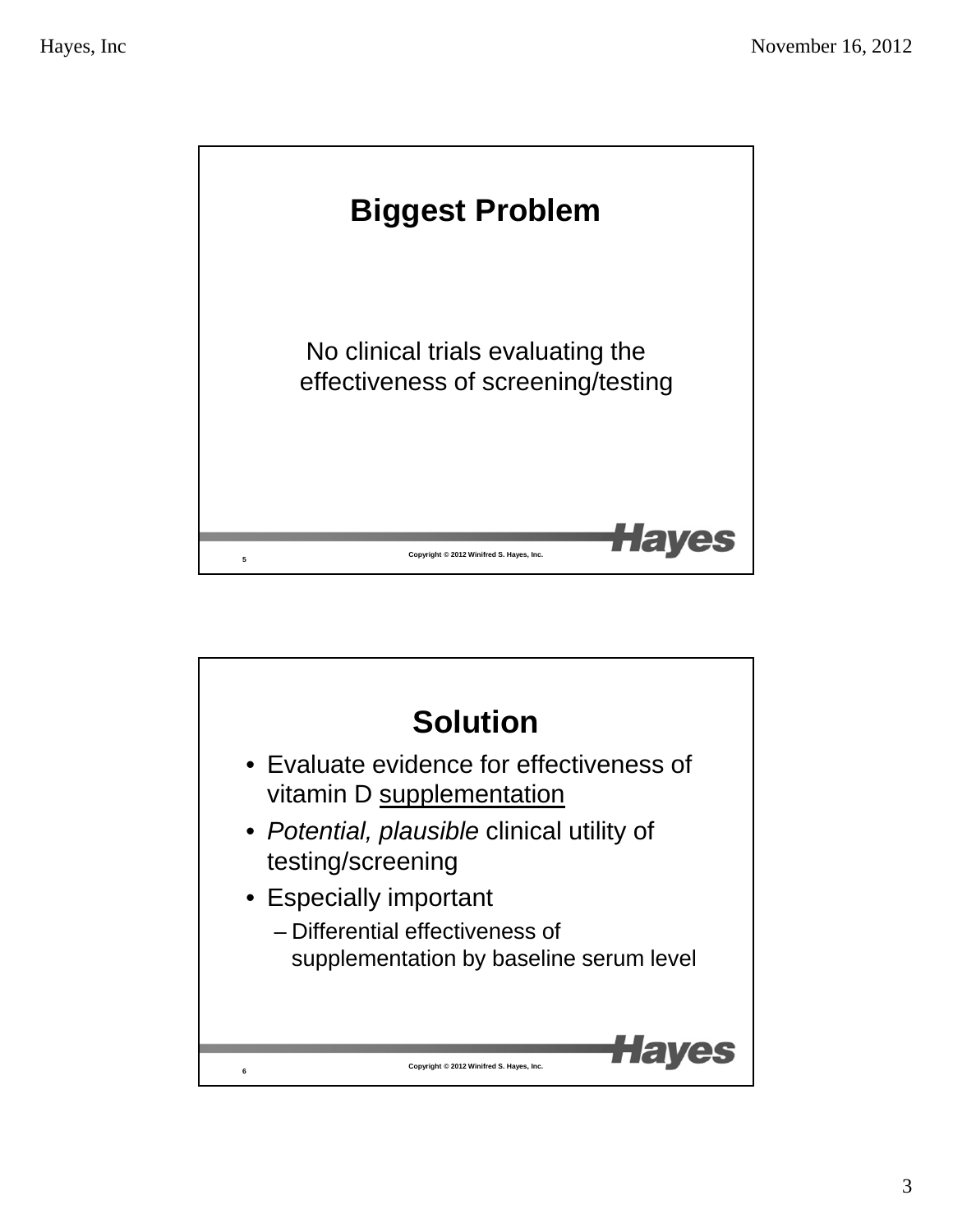

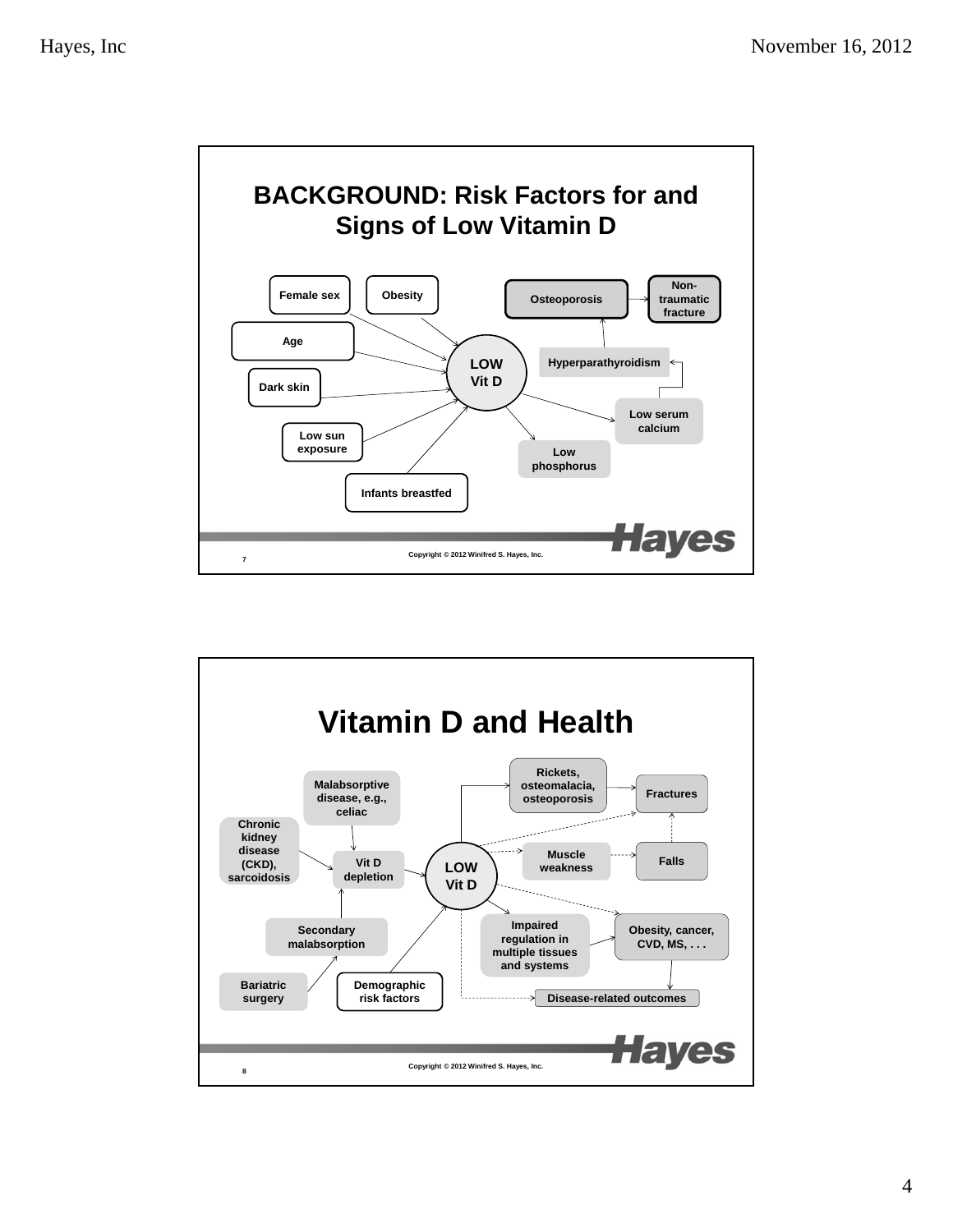

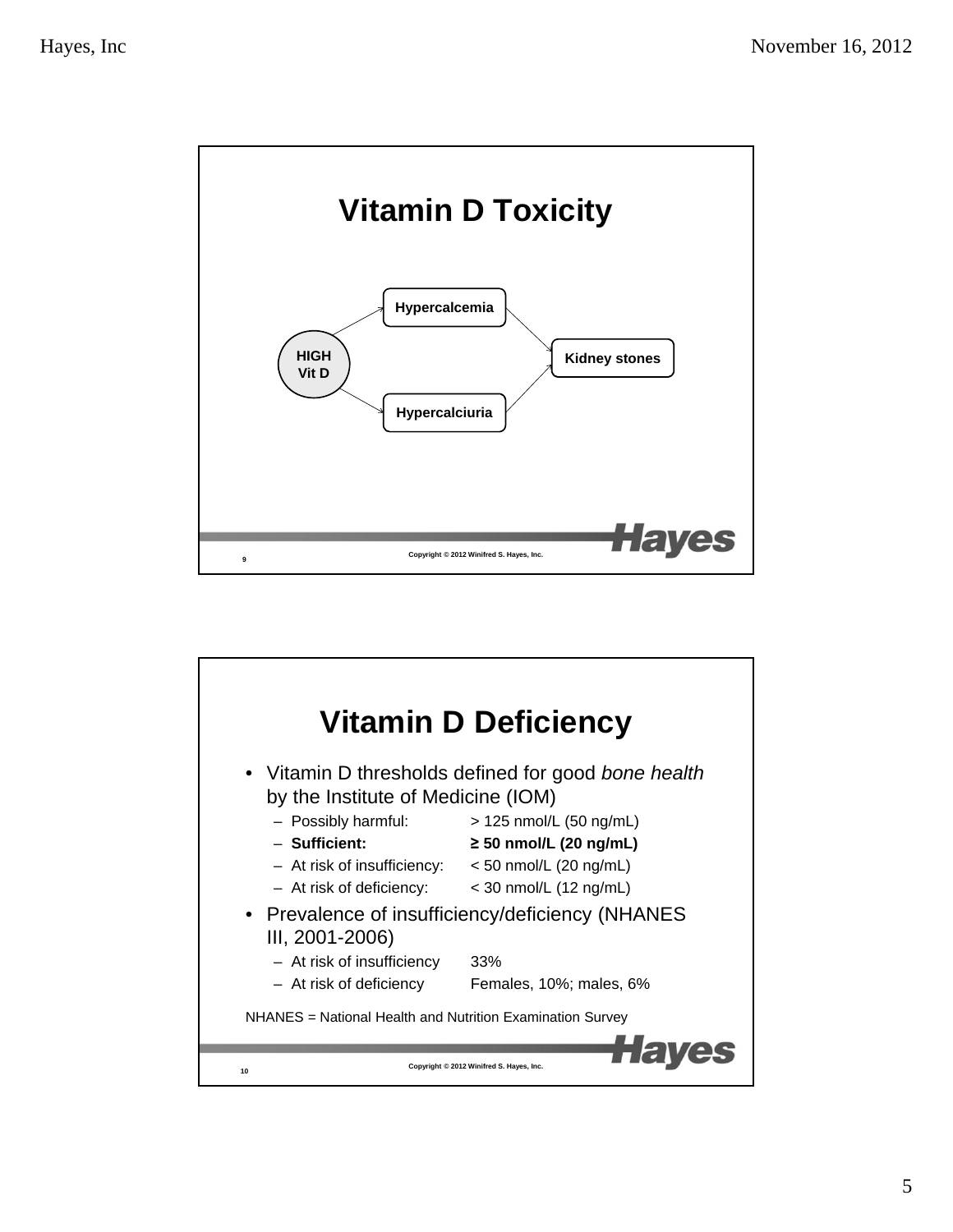

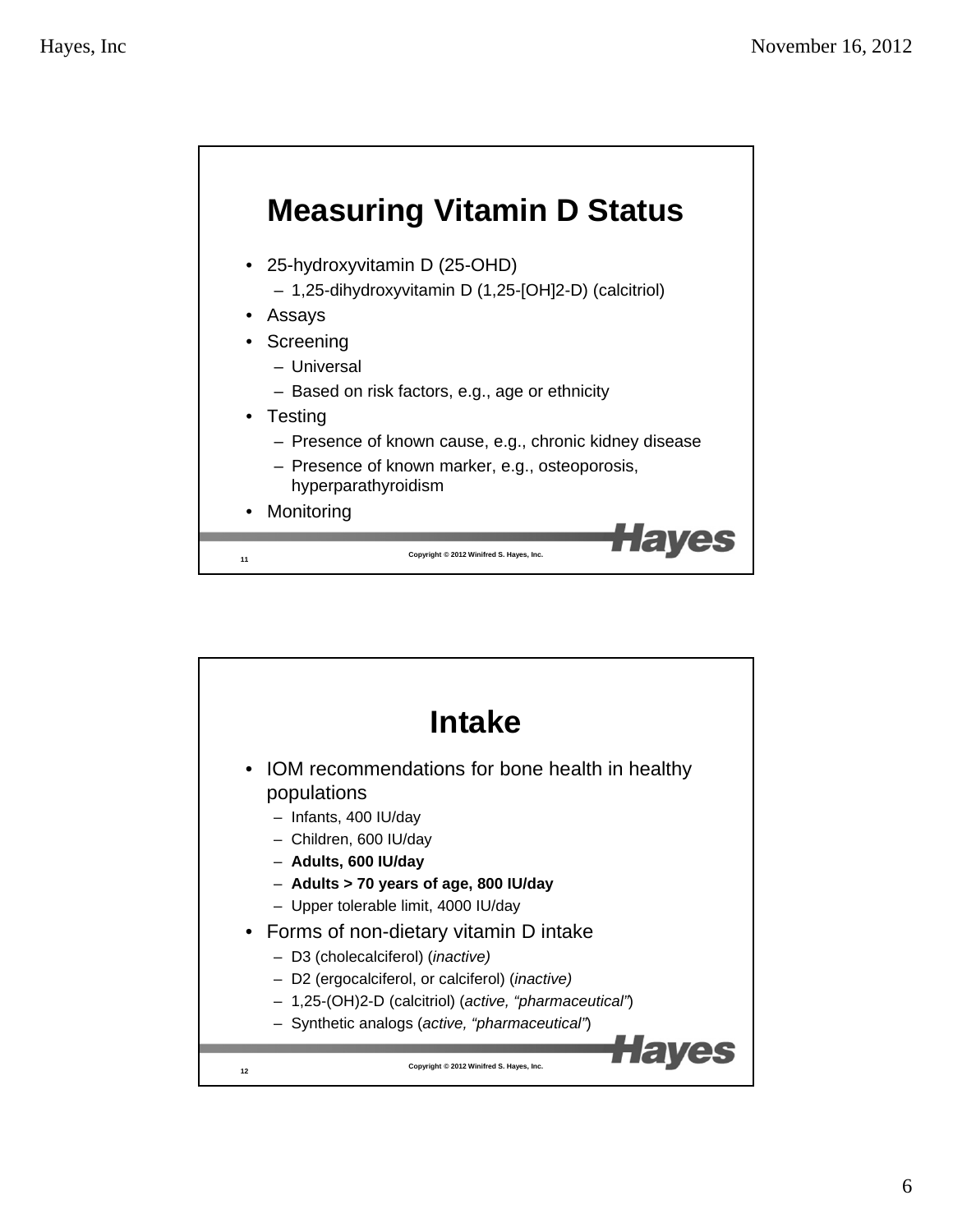

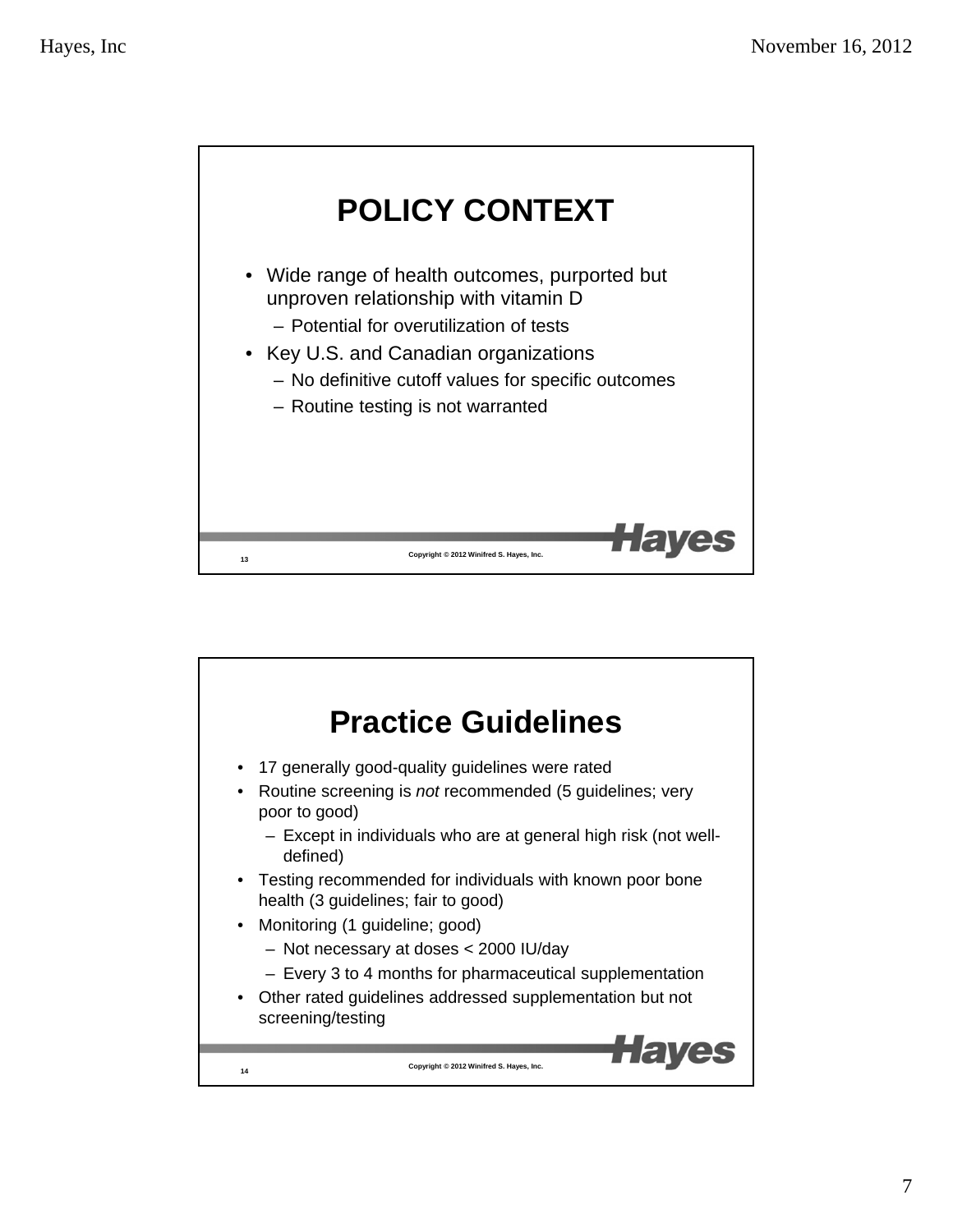

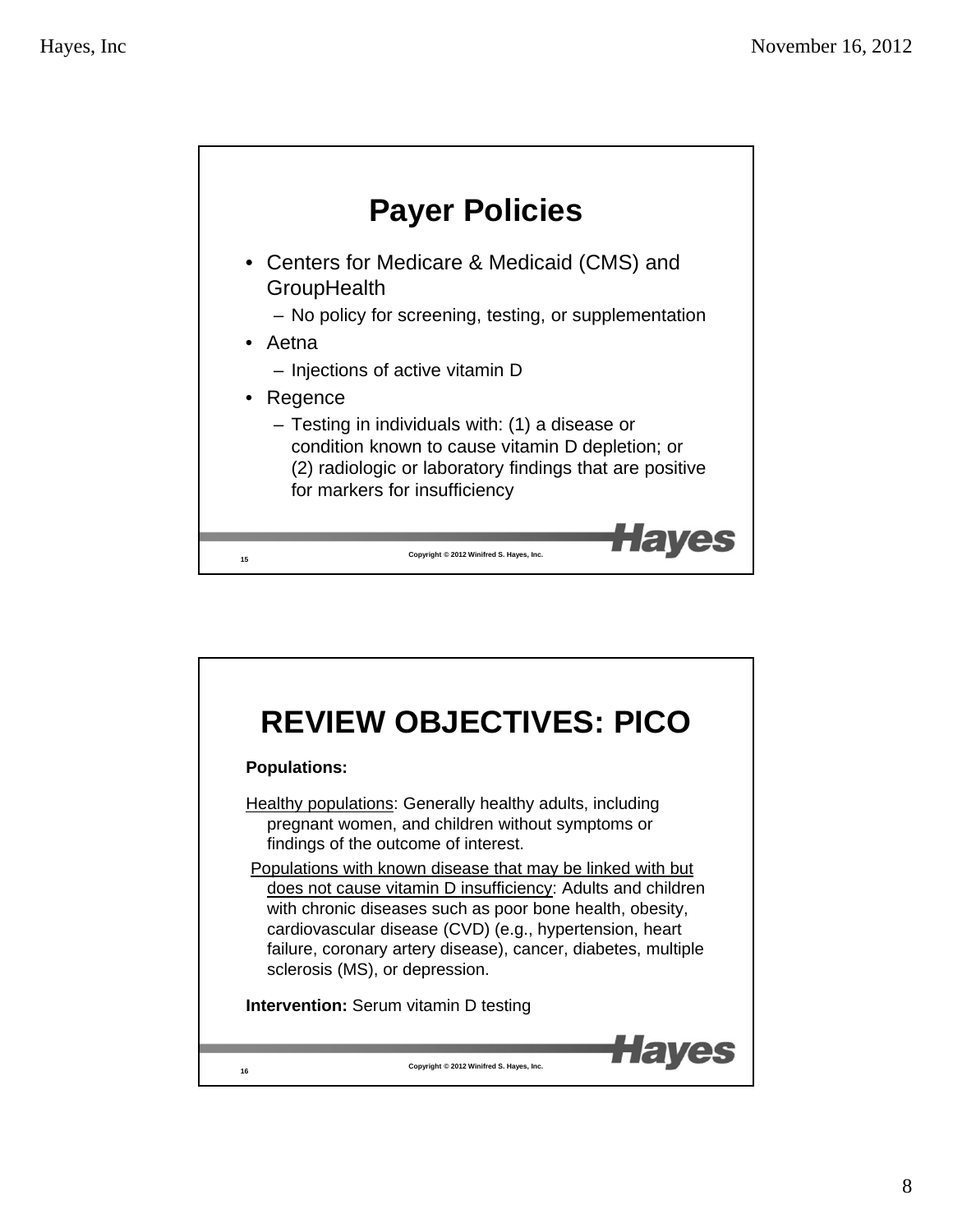

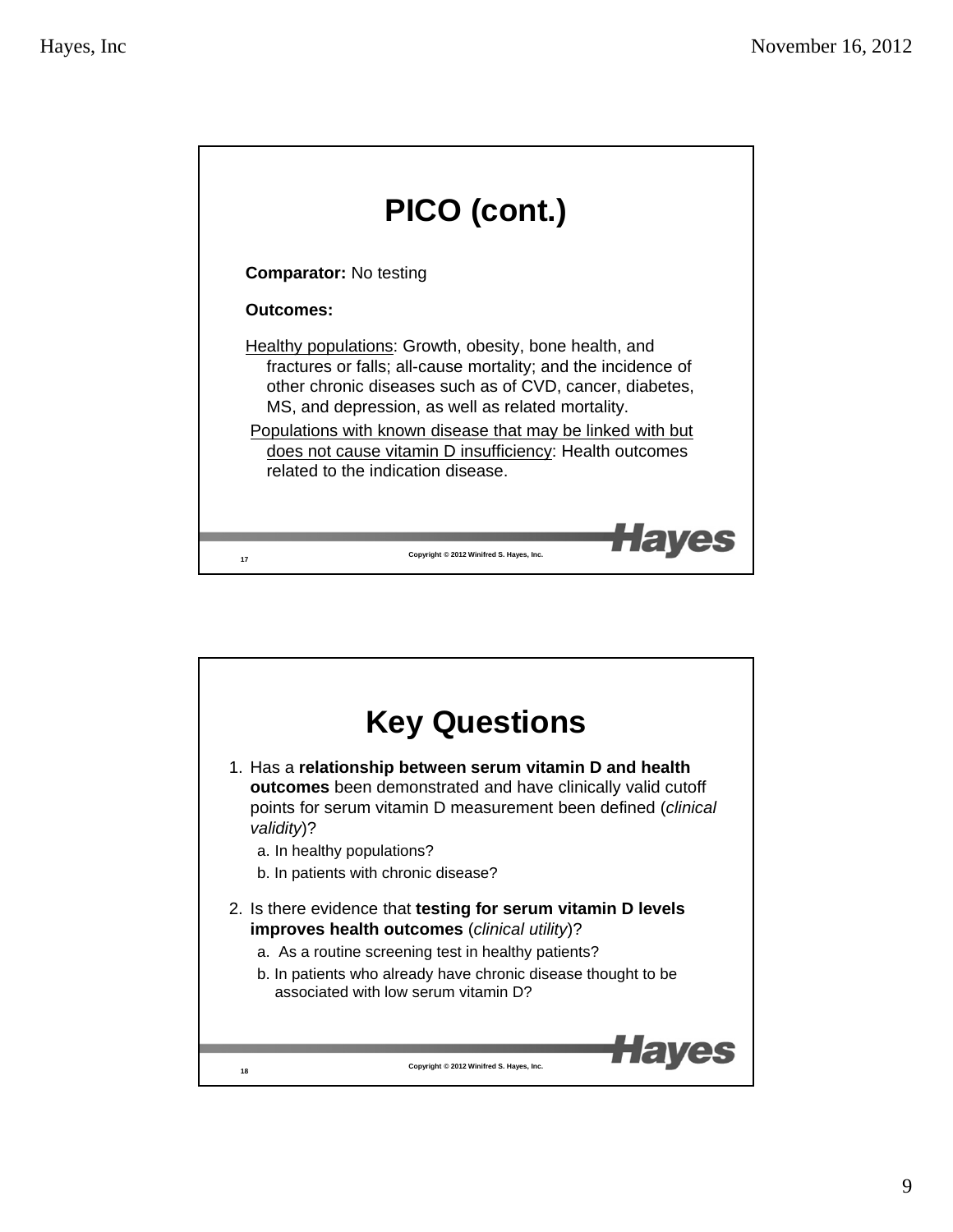

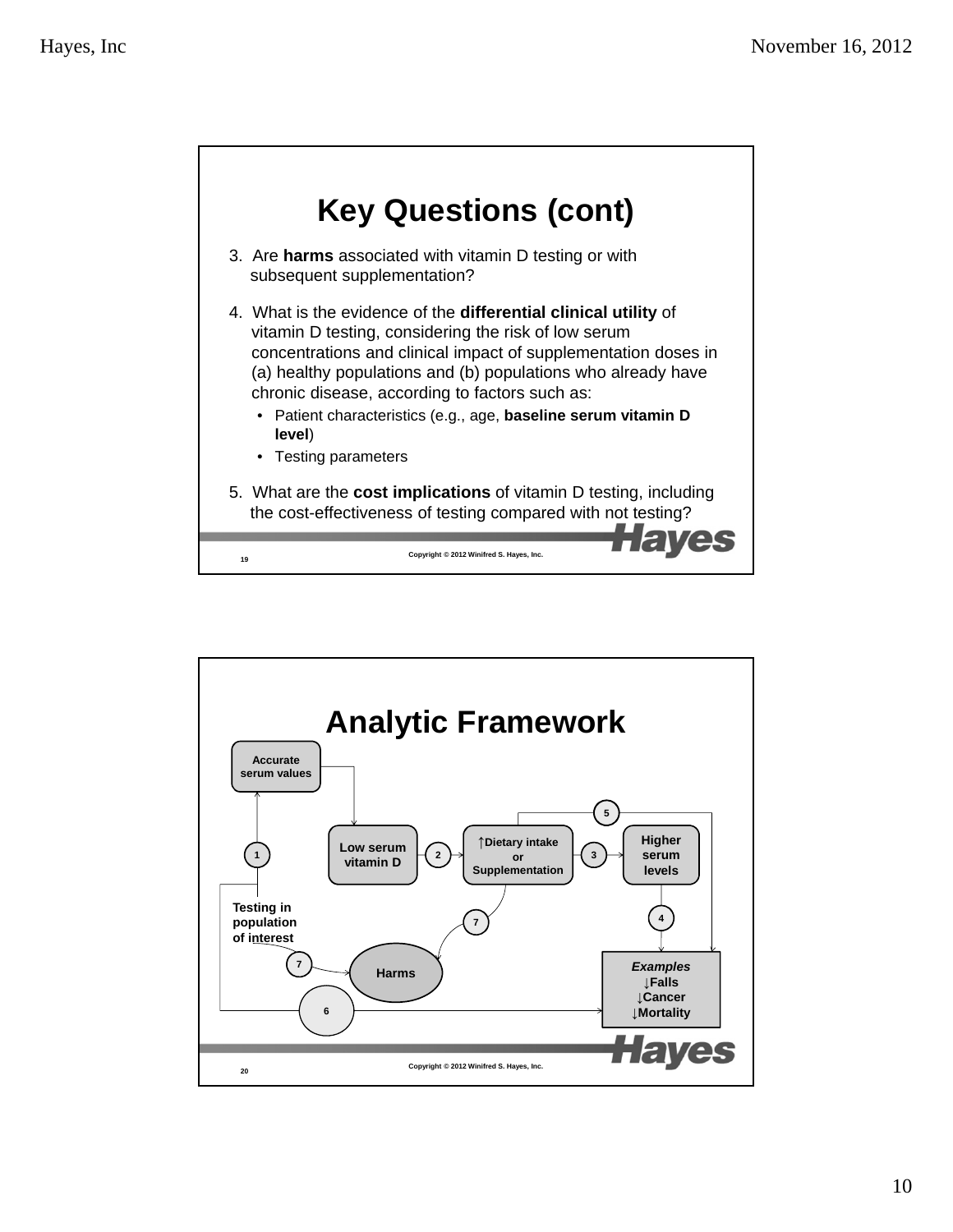

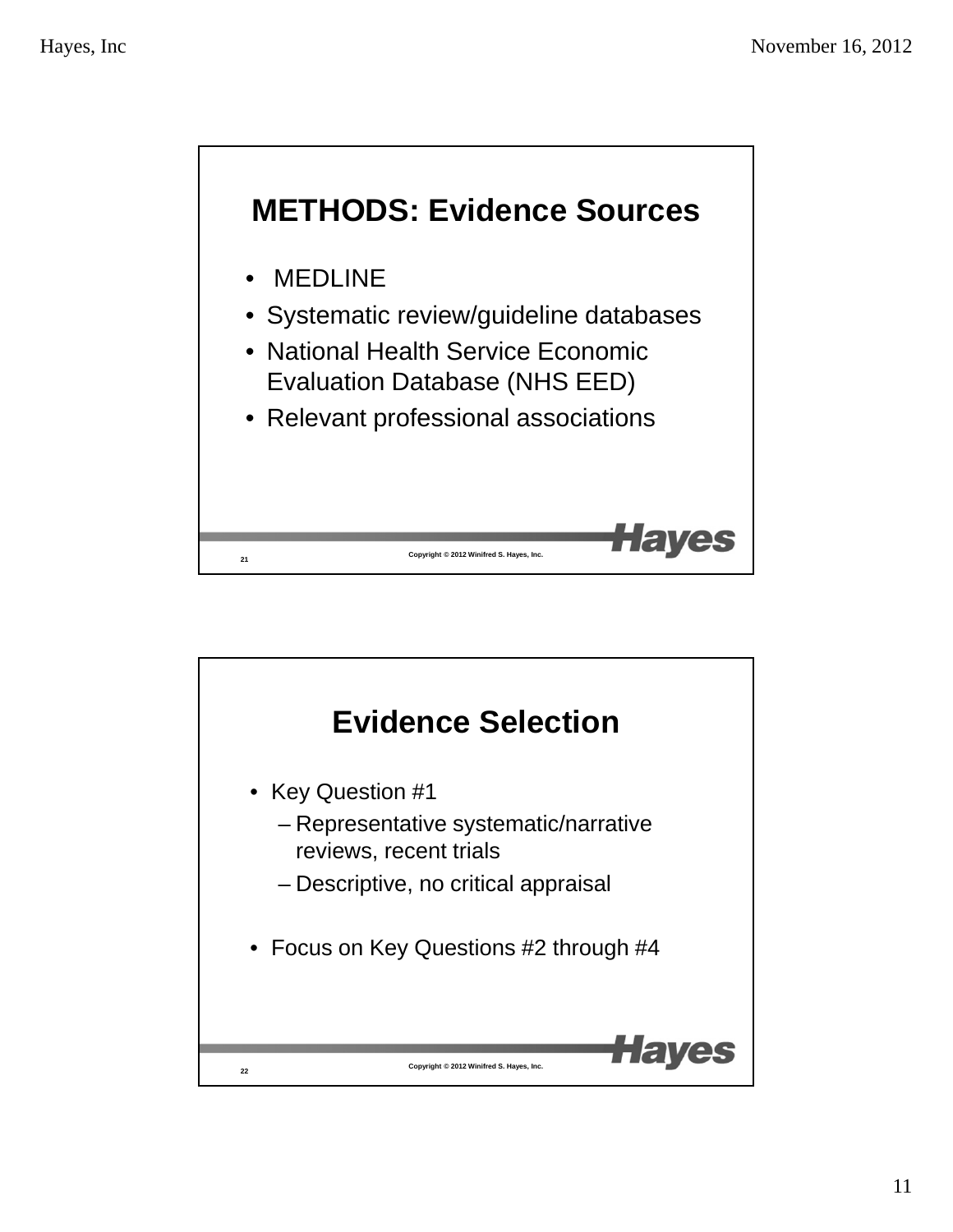

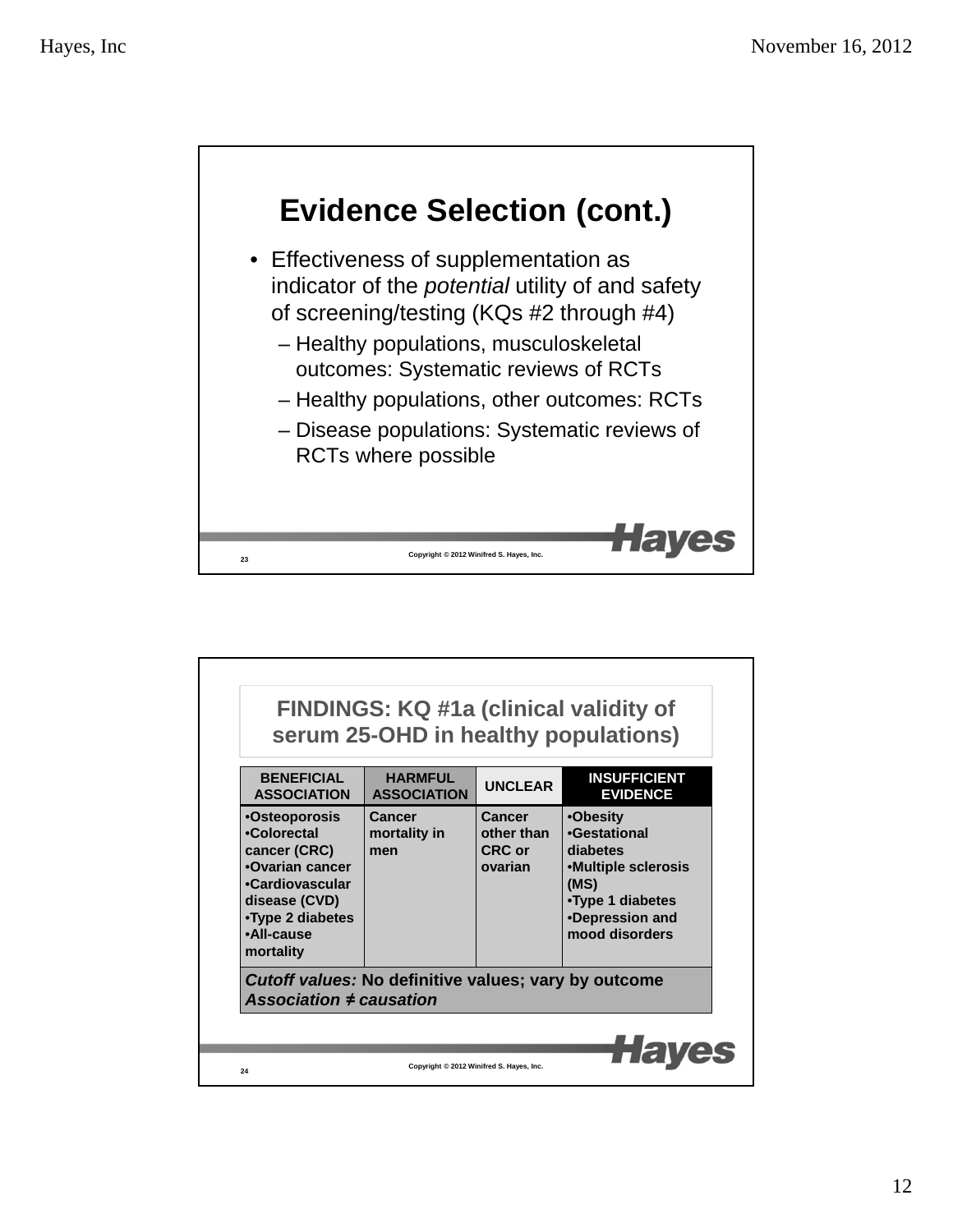

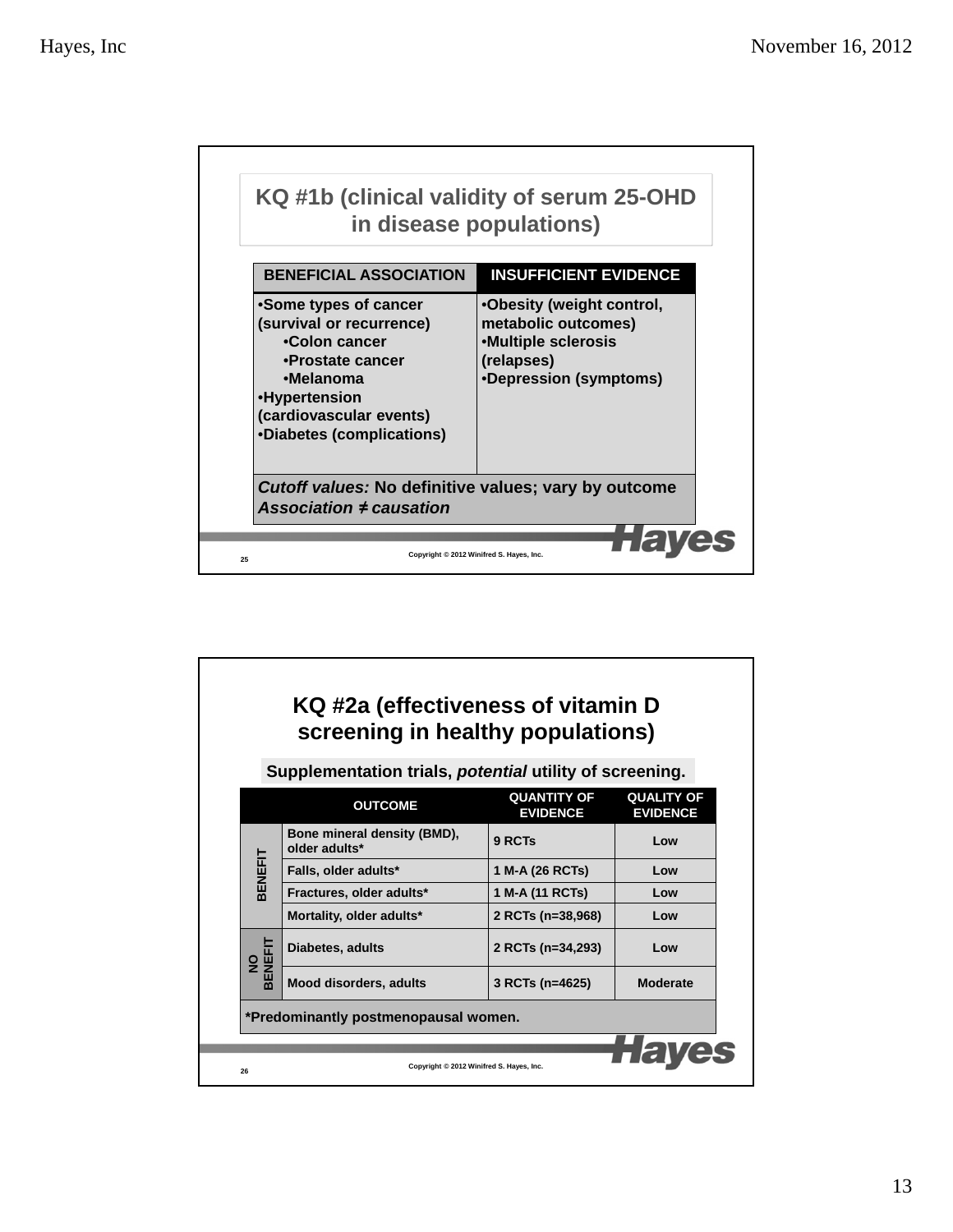

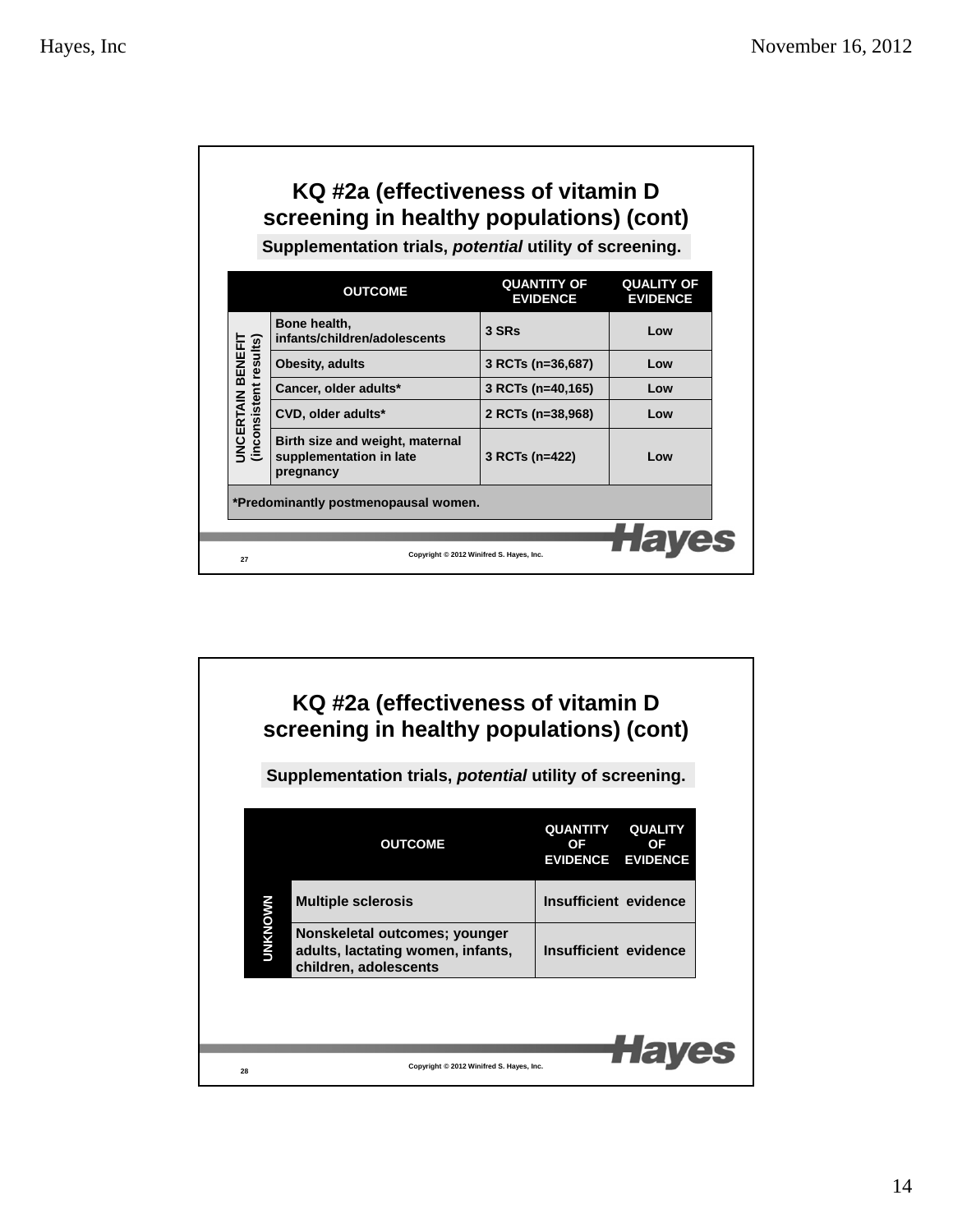| KQ #2a (effectiveness of vitamin D<br>screening in healthy populations) (cont)<br>Supplementation trials, potential utility of screening. |                                                                         |                                          |                                      |  |  |
|-------------------------------------------------------------------------------------------------------------------------------------------|-------------------------------------------------------------------------|------------------------------------------|--------------------------------------|--|--|
|                                                                                                                                           | <b>OUTCOME</b>                                                          | <b>QUANTITY OF</b><br><b>EVIDENCE</b>    | <b>QUALITY OF</b><br><b>EVIDENCE</b> |  |  |
| <b>JNCERTAIN BENEFIT</b><br>(inconsistent results)                                                                                        | Bone health,<br>infants/children/adolescents                            | 3 SRs                                    | Low                                  |  |  |
|                                                                                                                                           | Obesity, adults                                                         | 3 RCTs (n=36,687)                        | Low                                  |  |  |
|                                                                                                                                           | Cancer, older adults*                                                   | 3 RCTs (n=40,165)                        | Low                                  |  |  |
|                                                                                                                                           | CVD, older adults*                                                      | 2 RCTs (n=38,968)                        | Low                                  |  |  |
|                                                                                                                                           | Birth size and weight, maternal<br>supplementation in late<br>pregnancy | 3 RCTs (n=422)                           | Low                                  |  |  |
| *Predominantly postmenopausal women.                                                                                                      |                                                                         |                                          |                                      |  |  |
|                                                                                                                                           |                                                                         |                                          |                                      |  |  |
| 27                                                                                                                                        |                                                                         | Copyright © 2012 Winifred S. Hayes, Inc. |                                      |  |  |

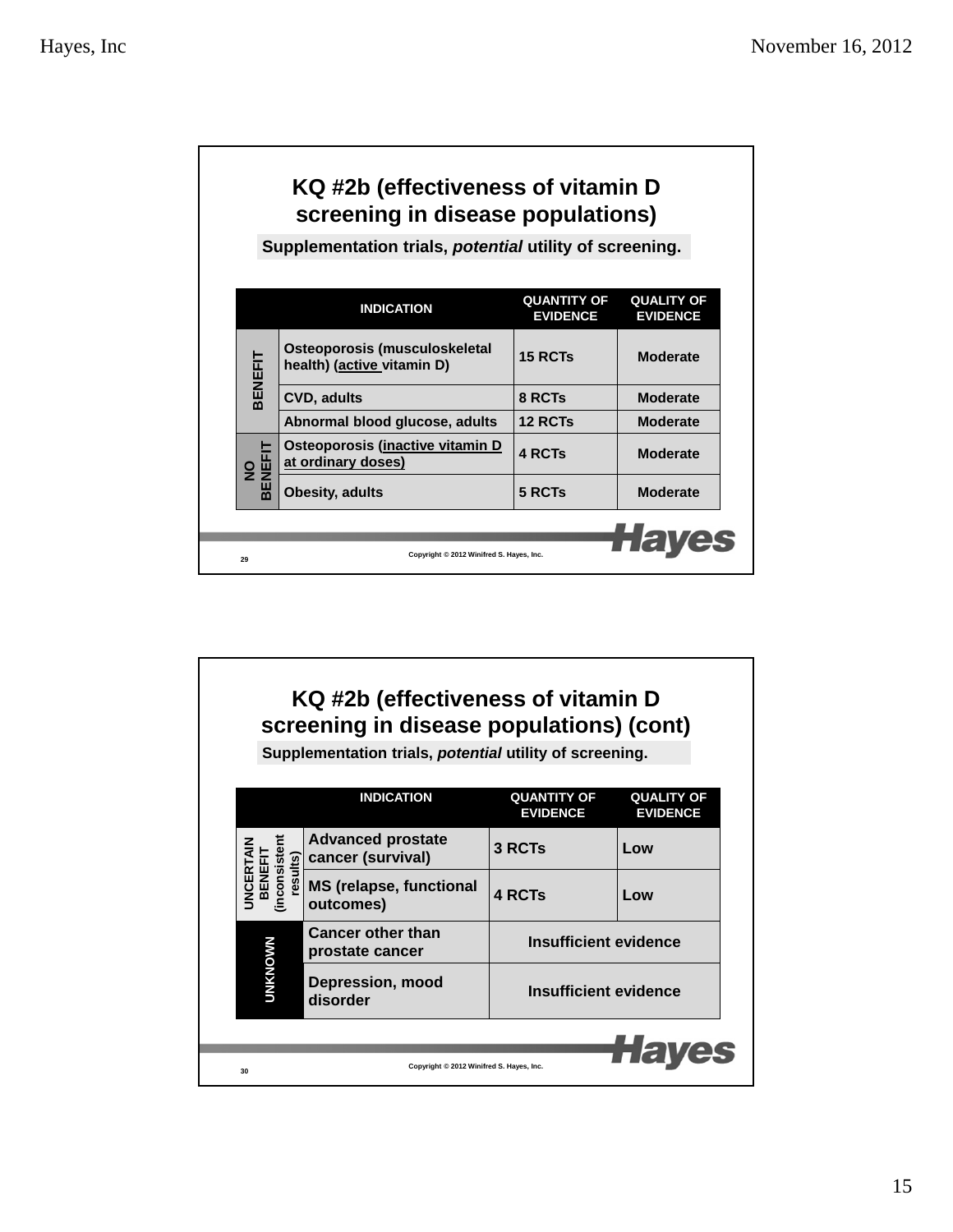| KQ #2b (effectiveness of vitamin D<br>screening in disease populations) |                                                                |                                       |                                      |  |
|-------------------------------------------------------------------------|----------------------------------------------------------------|---------------------------------------|--------------------------------------|--|
|                                                                         | Supplementation trials, <i>potential</i> utility of screening. |                                       |                                      |  |
|                                                                         |                                                                |                                       |                                      |  |
|                                                                         | <b>INDICATION</b>                                              | <b>QUANTITY OF</b><br><b>EVIDENCE</b> | <b>QUALITY OF</b><br><b>EVIDENCE</b> |  |
| 3ENEFIT                                                                 | Osteoporosis (musculoskeletal<br>health) (active vitamin D)    | 15 RCTs                               | <b>Moderate</b>                      |  |
|                                                                         | <b>CVD, adults</b>                                             | 8 RCTs                                | <b>Moderate</b>                      |  |
|                                                                         | Abnormal blood glucose, adults                                 | <b>12 RCTs</b>                        | <b>Moderate</b>                      |  |
| NO<br>BENEFIT                                                           | Osteoporosis (inactive vitamin D<br>at ordinary doses)         | 4 RCTs                                | <b>Moderate</b>                      |  |
|                                                                         | <b>Obesity, adults</b>                                         | 5 RCTs                                | <b>Moderate</b>                      |  |
|                                                                         |                                                                |                                       |                                      |  |
| 29                                                                      | Copyright © 2012 Winifred S. Hayes, Inc.                       |                                       |                                      |  |

# **KQ #2b (effectiveness of vitamin D screening in disease populations) (cont)**

**Supplementation trials,** *potential* **utility of screening.**

|                                                         | <b>INDICATION</b>                             | <b>QUANTITY OF</b><br><b>EVIDENCE</b> | <b>QUALITY OF</b><br><b>EVIDENCE</b> |
|---------------------------------------------------------|-----------------------------------------------|---------------------------------------|--------------------------------------|
|                                                         | <b>Advanced prostate</b><br>cancer (survival) | 3 RCTs                                | Low                                  |
| inconsisten<br>esults)<br><b>JNCERT</b><br><b>BENER</b> | <b>MS (relapse, functional</b><br>outcomes)   | <b>4 RCTs</b>                         | Low                                  |
|                                                         | <b>Cancer other than</b><br>prostate cancer   | Insufficient evidence                 |                                      |
| <b>UNKNOWN</b>                                          | <b>Depression, mood</b><br>disorder           | Insufficient evidence                 |                                      |
|                                                         |                                               |                                       | TTET                                 |
| 30                                                      | Copyright © 2012 Winifred S. Hayes, Inc.      |                                       |                                      |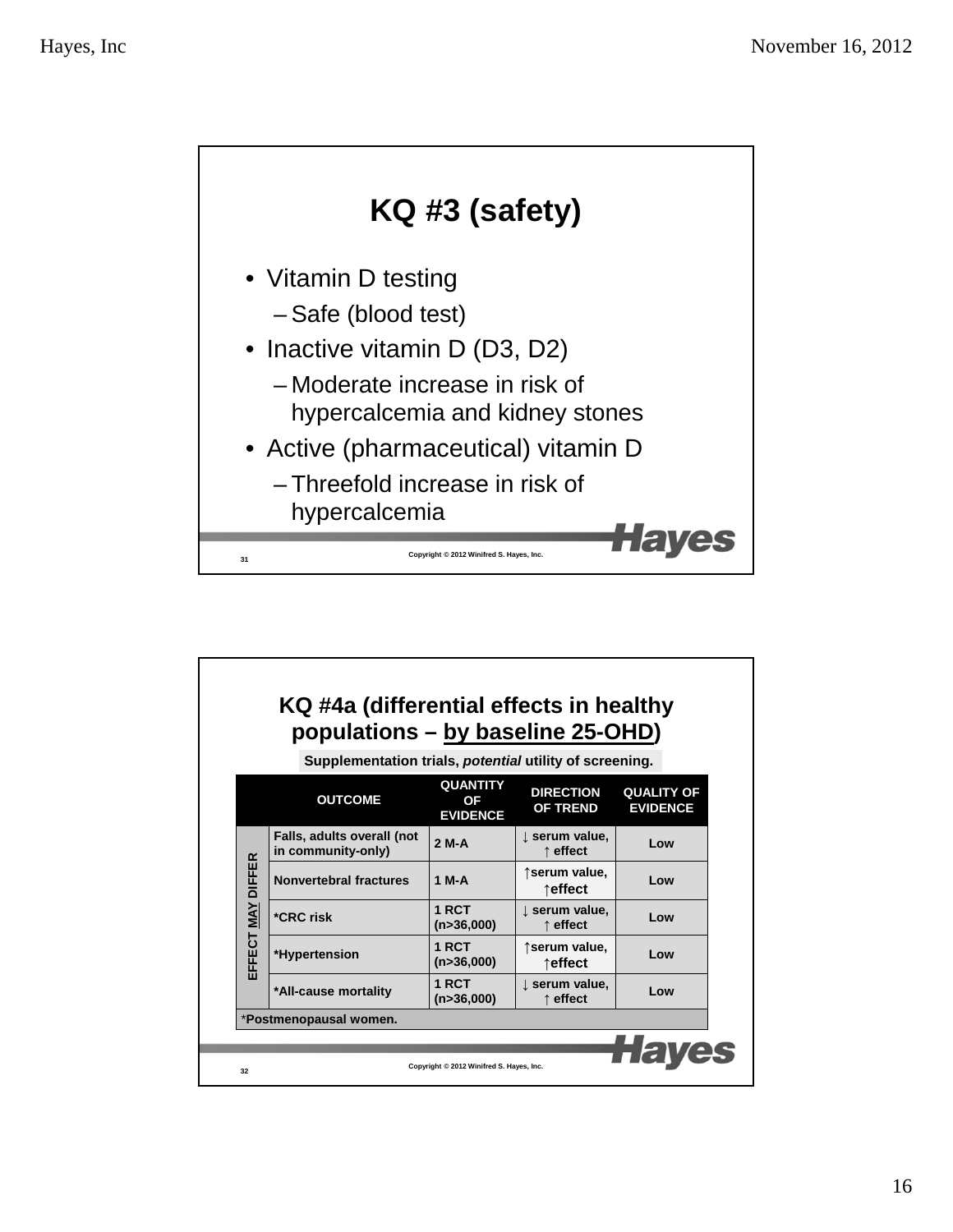

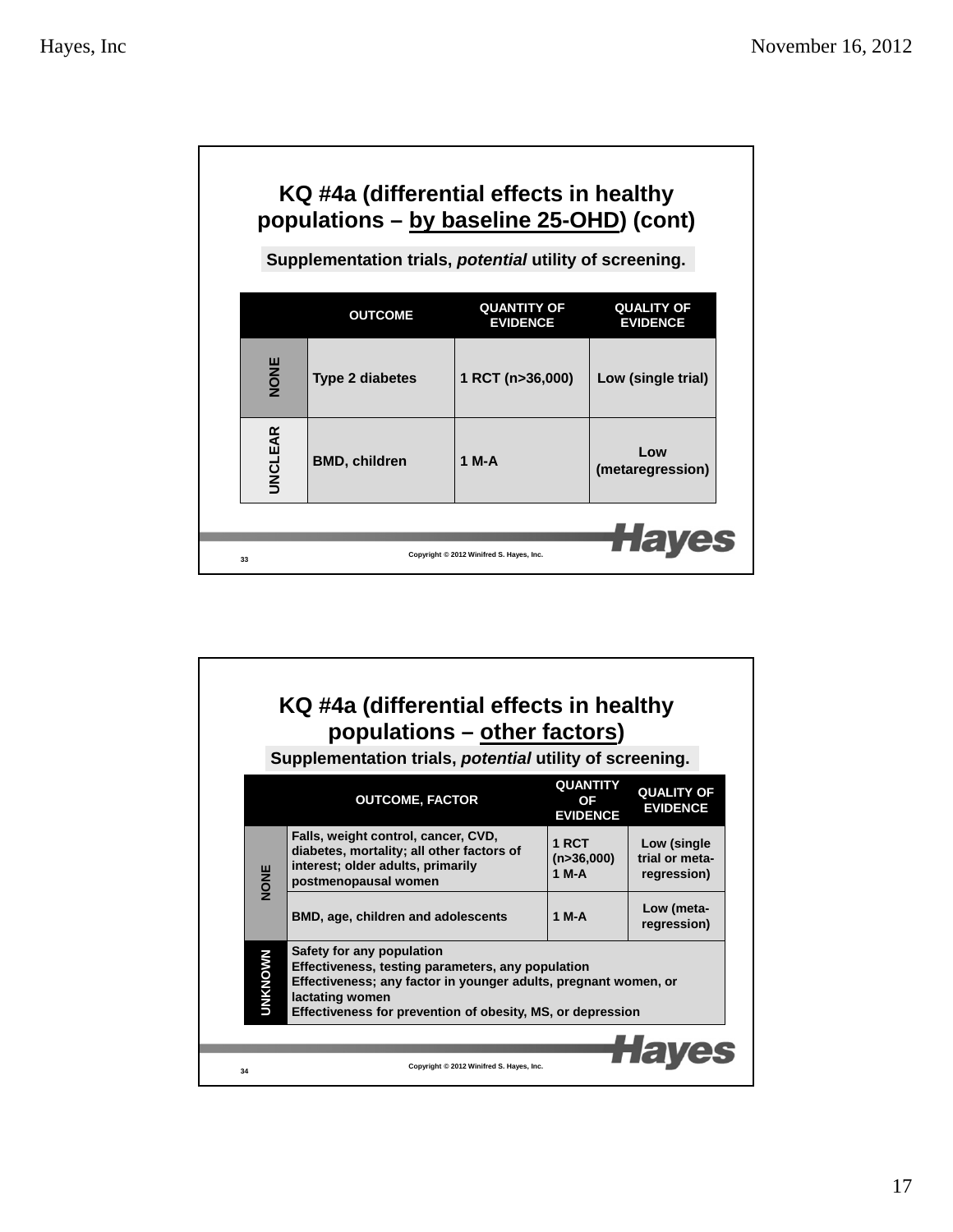Г

| KQ #4a (differential effects in healthy<br>populations - by baseline 25-OHD) (cont) |                                                         |                                       |                                      |  |  |  |
|-------------------------------------------------------------------------------------|---------------------------------------------------------|---------------------------------------|--------------------------------------|--|--|--|
|                                                                                     | Supplementation trials, potential utility of screening. |                                       |                                      |  |  |  |
|                                                                                     | <b>OUTCOME</b>                                          | <b>QUANTITY OF</b><br><b>EVIDENCE</b> | <b>QUALITY OF</b><br><b>EVIDENCE</b> |  |  |  |
| NONE                                                                                | <b>Type 2 diabetes</b>                                  | 1 RCT (n>36,000)                      | Low (single trial)                   |  |  |  |
| <b>UNCLEAR</b>                                                                      | <b>BMD, children</b>                                    | 1 M-A                                 | Low<br>(metaregression)              |  |  |  |
| Copyright © 2012 Winifred S. Hayes, Inc.<br>33                                      |                                                         |                                       |                                      |  |  |  |

# **KQ #4a (differential effects in healthy populations – other factors)**

**Supplementation trials,** *potential* **utility of screening.**

|    |                                                                                                                                                                                                                                                      | <b>OUTCOME, FACTOR</b>                                                                                                                        | <b>QUANTITY</b><br>OF<br><b>EVIDENCE</b> | <b>QUALITY OF</b><br><b>EVIDENCE</b>         |  |
|----|------------------------------------------------------------------------------------------------------------------------------------------------------------------------------------------------------------------------------------------------------|-----------------------------------------------------------------------------------------------------------------------------------------------|------------------------------------------|----------------------------------------------|--|
|    | <b>NONE</b>                                                                                                                                                                                                                                          | Falls, weight control, cancer, CVD,<br>diabetes, mortality; all other factors of<br>interest; older adults, primarily<br>postmenopausal women | 1 RCT<br>(n>36,000)<br>1 M-A             | Low (single<br>trial or meta-<br>regression) |  |
|    |                                                                                                                                                                                                                                                      | <b>BMD, age, children and adolescents</b>                                                                                                     | 1 M-A                                    | Low (meta-<br>regression)                    |  |
|    | Safety for any population<br><b>UNKNOWN</b><br>Effectiveness, testing parameters, any population<br>Effectiveness; any factor in younger adults, pregnant women, or<br>lactating women<br>Effectiveness for prevention of obesity, MS, or depression |                                                                                                                                               |                                          |                                              |  |
|    |                                                                                                                                                                                                                                                      |                                                                                                                                               |                                          |                                              |  |
| 34 |                                                                                                                                                                                                                                                      | Copyright © 2012 Winifred S. Hayes, Inc.                                                                                                      |                                          |                                              |  |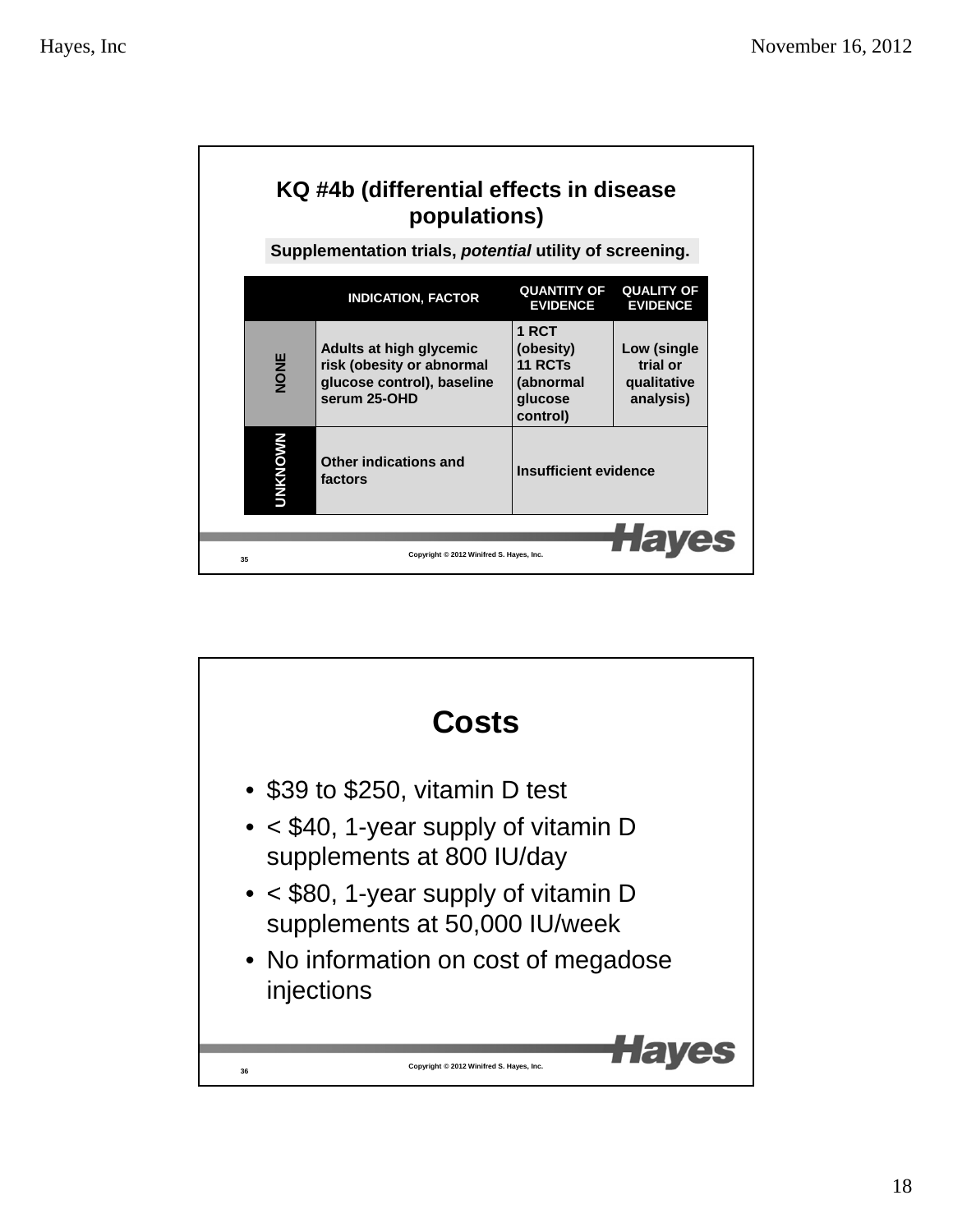| KQ #4b (differential effects in disease<br>populations)<br>Supplementation trials, potential utility of screening. |                                                                                                    |                                                                   |                                                     |
|--------------------------------------------------------------------------------------------------------------------|----------------------------------------------------------------------------------------------------|-------------------------------------------------------------------|-----------------------------------------------------|
|                                                                                                                    | <b>INDICATION, FACTOR</b>                                                                          | <b>QUANTITY OF</b><br><b>EVIDENCE</b>                             | <b>QUALITY OF</b><br><b>EVIDENCE</b>                |
| NONE                                                                                                               | Adults at high glycemic<br>risk (obesity or abnormal<br>glucose control), baseline<br>serum 25-OHD | 1 RCT<br>(obesity)<br>11 RCTs<br>(abnormal<br>glucose<br>control) | Low (single<br>trial or<br>qualitative<br>analysis) |
| <b>MKNOWN</b>                                                                                                      | Other indications and<br>factors                                                                   | Insufficient evidence                                             |                                                     |
| 35                                                                                                                 | Copyright © 2012 Winifred S. Hayes, Inc.                                                           |                                                                   |                                                     |

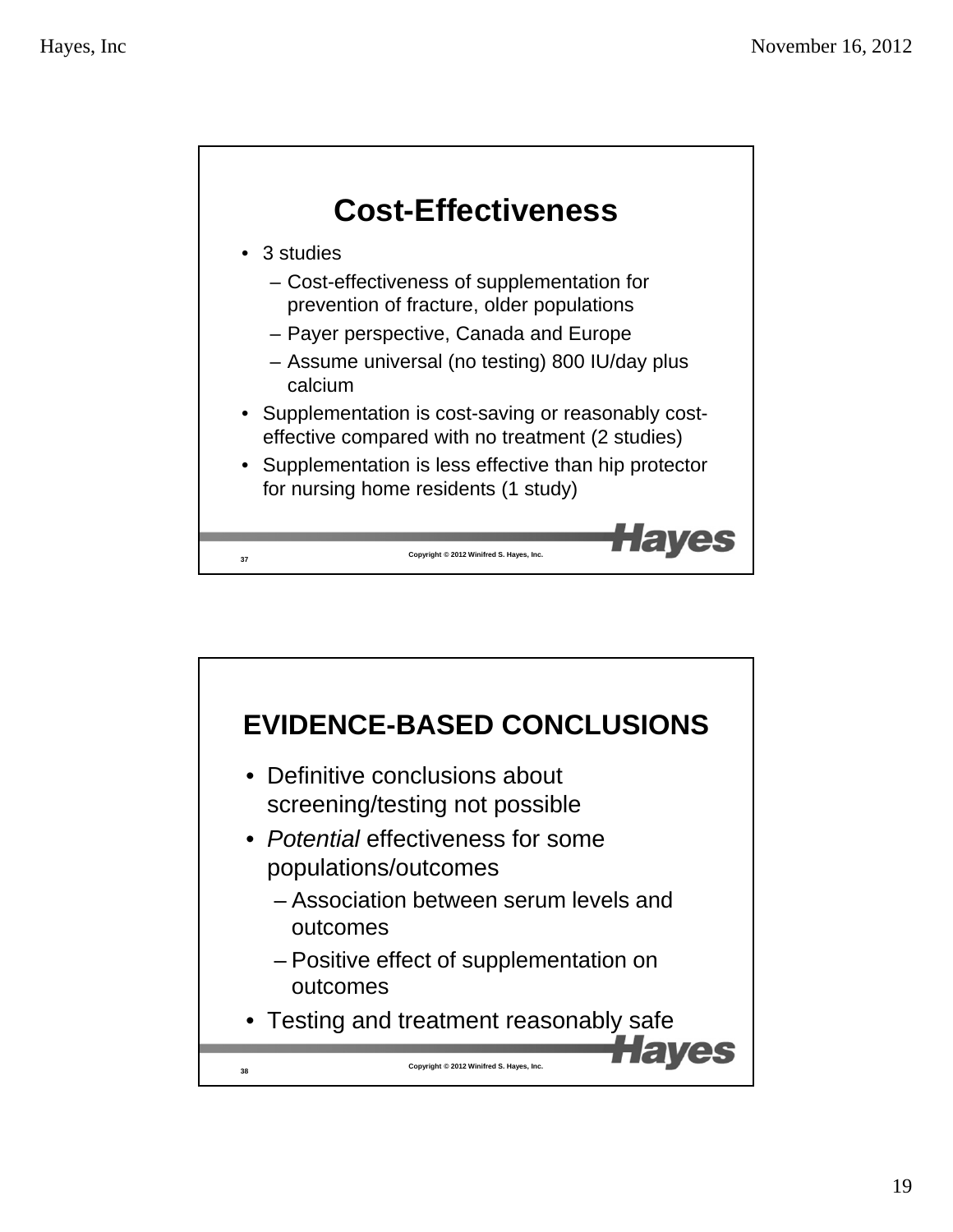

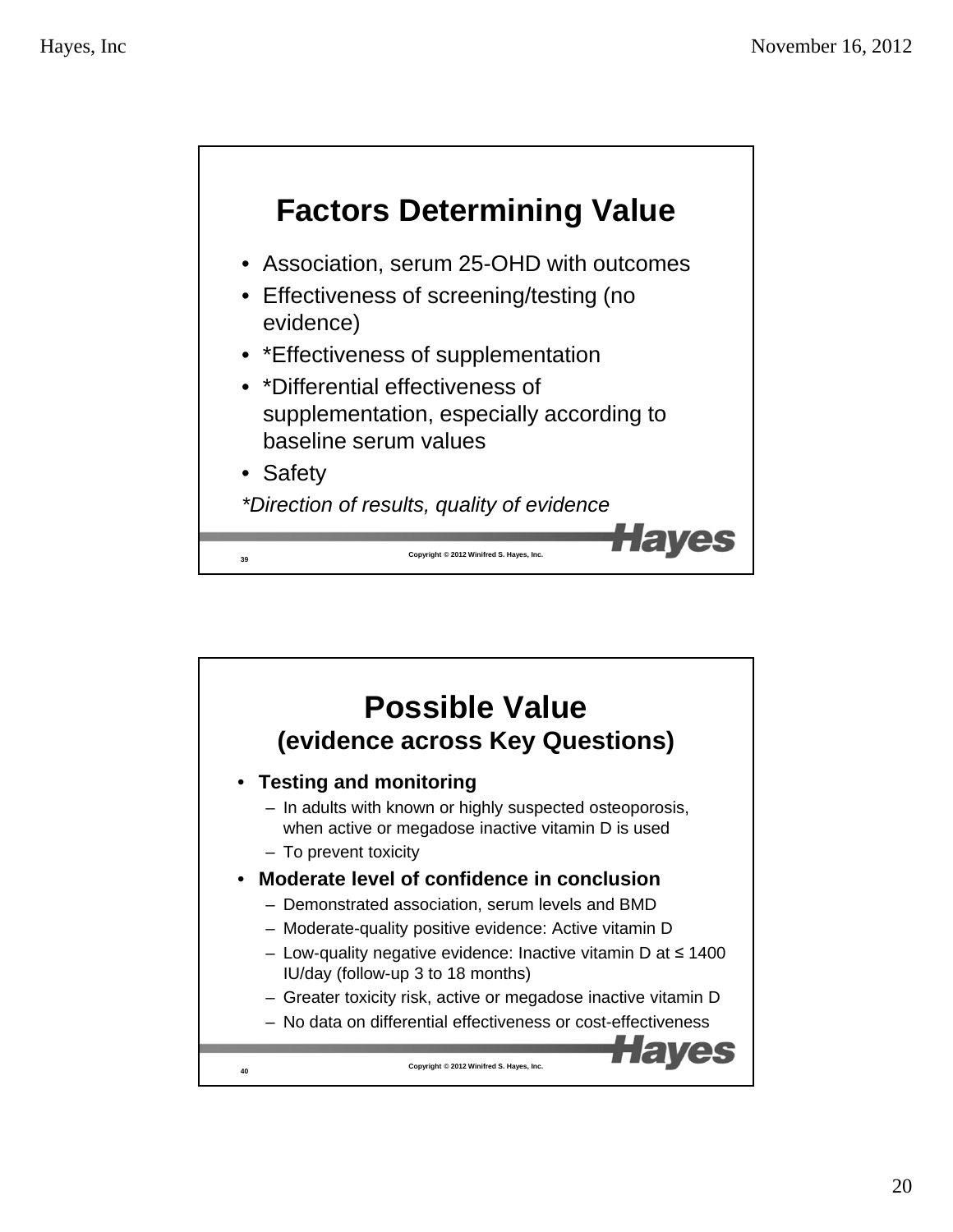

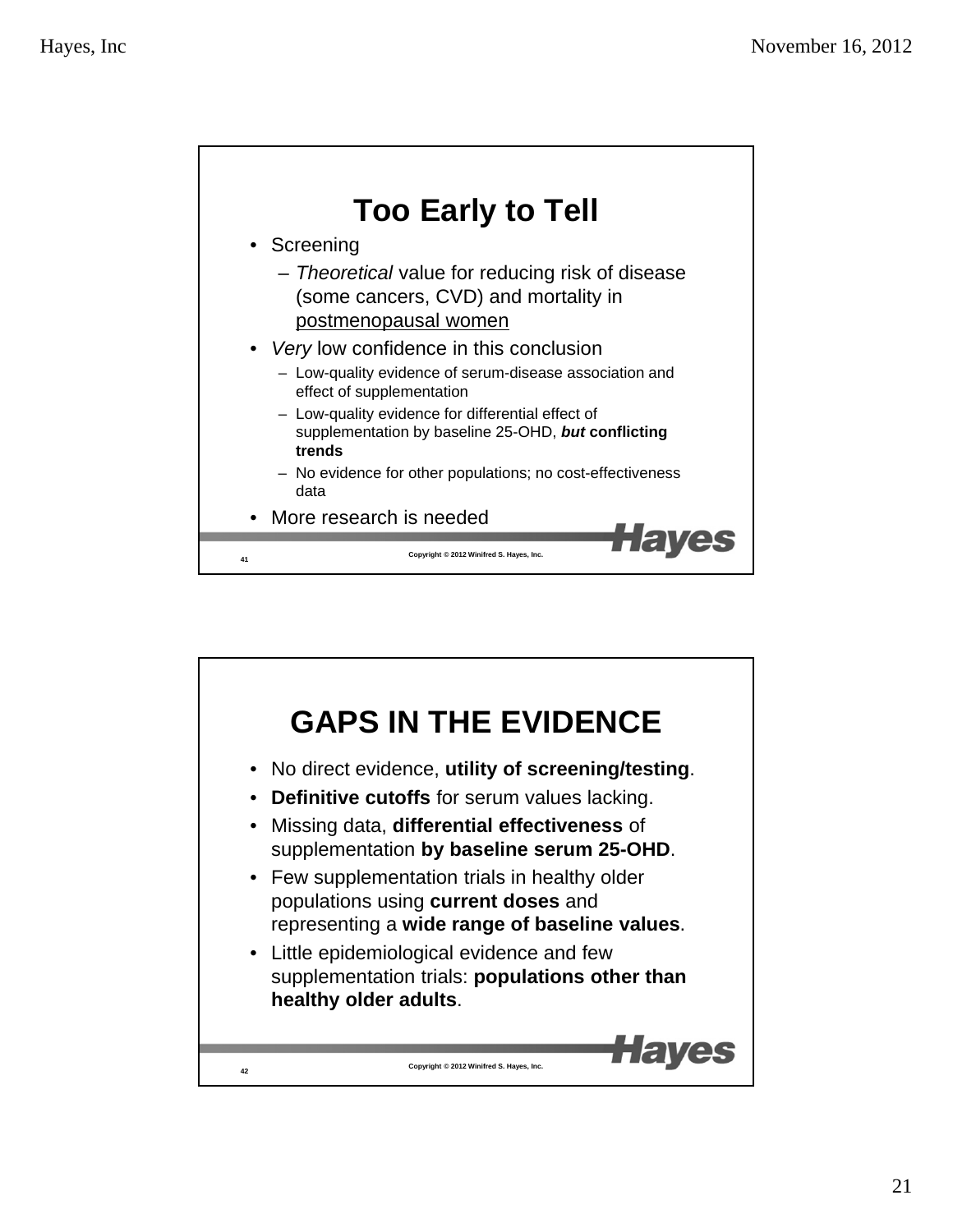